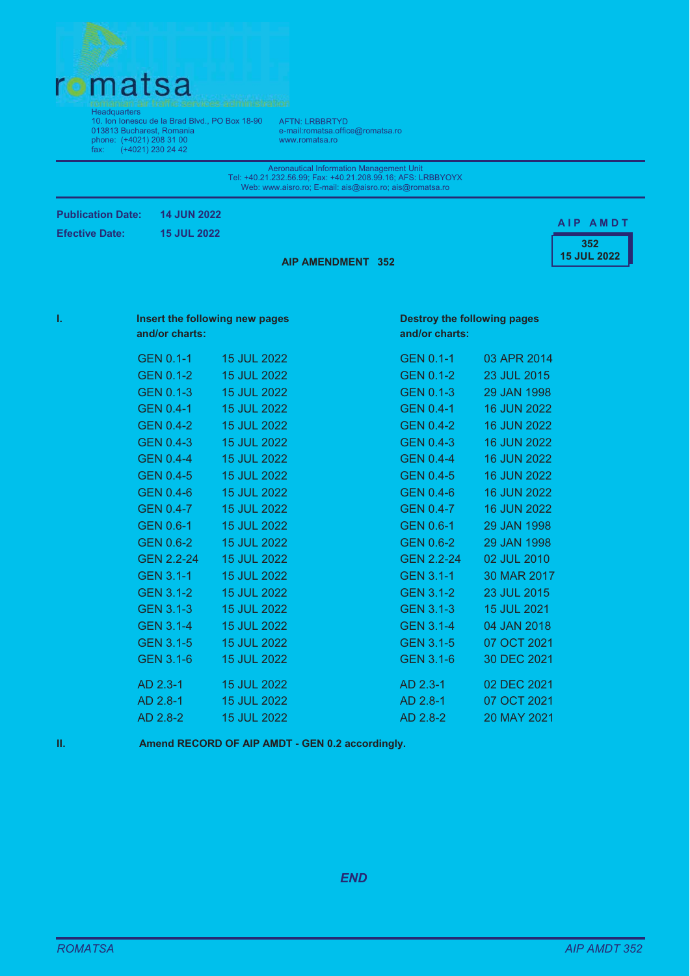

Headquarters 10. Ion Ionescu de la Brad Blyd., PO Box 18-90 013813 Bucharest, Romania phone: (+4021) 208 31 00 .<br>fax: (+4021) 230 24 42

AFTN: LRBBRTYD e-mail:romatsa.offi e-mail:romatsa.office@romatsa.ro<br>www.romatsa.ro www.romatsa.ro

**Aeronautical Information Management Unit** Tel: +40.21.232.56.99; Fax: +40.21.208.99.16; AFS: LRBBYOYX Web: www.aisro.ro: E-mail: ais@aisro.ro: ais@romatsa.ro

**AIP AMENDMENT 352** 

**Publication Date: 14 JUN 2022** 

Efective Date:

**15 JUL 2022** 

**AIP AMDT** 

**- 15 JUL 2022** 

**I. Insert the following new pages**  $and/or$  **charts:** 

| <b>Destroy the following pages</b> |  |
|------------------------------------|--|
| and/or charts:                     |  |

| GEN 0.1-1 15 JUL 2022  |                                                                                                                             | GEN 0.1-1 03 APR 2014 |
|------------------------|-----------------------------------------------------------------------------------------------------------------------------|-----------------------|
| GEN 0.1-2 15 JUL 2022  | $\begin{array}{r} \text{GEN 0.1-1} \\ \text{GEN 0.1-2} \end{array}$                                                         | 23 JUL 2015           |
| GEN 0.1-3 15 JUL 2022  | <b>Contract Contract GEN 0.1-3</b>                                                                                          | 29 JAN 1998           |
| GEN 0.4-1 15 JUL 2022  | Example 1988 GEN 0.4-1<br>CHE COMPANY GEN 0.4-2                                                                             | 16 JUN 2022           |
| GEN 0.4-2 15 JUL 2022  |                                                                                                                             | 16 JUN 2022           |
| GEN 0.4-3 15 JUL 2022  | <b>Contract Contract GEN 0.4-3</b>                                                                                          | 16 JUN 2022           |
| GEN 0.4-4 15 JUL 2022  | Englished GEN 0.4-4<br>GEN 0.4-5                                                                                            | 16 JUN 2022           |
| GEN 0.4-5 15 JUL 2022  |                                                                                                                             | 16 JUN 2022           |
| GEN 0.4-6 15 JUL 2022  | $\sim$ GEN 0.4-6 GEN 0.4-6                                                                                                  | 16 JUN 2022           |
| GEN 0.4-7 15 JUL 2022  | End of GEN 0.4-7<br>GEN 0.6-1                                                                                               | 16 JUN 2022           |
| GEN 0.6-1 15 JUL 2022  |                                                                                                                             | 29 JAN 1998           |
| GEN 0.6-2 15 JUL 2022  | $\sim$ GEN 0.6-2 $\sim$                                                                                                     | 29 JAN 1998           |
| GEN 2.2-24 15 JUL 2022 | England GEN 2.2-24<br>GEN 3.1-1                                                                                             | 02 JUL 2010           |
| GEN 3.1-1 15 JUL 2022  |                                                                                                                             | 30 MAR 2017           |
| GEN 3.1-2 15 JUL 2022  | $\overline{G}$ and $\overline{G}$ and $\overline{G}$ GEN 3.1-2                                                              | 23 JUL 2015           |
| GEN 3.1-3 15 JUL 2022  | Englished GEN 3.1-3<br>Englished GEN 3.1-4                                                                                  | 15 JUL 2021           |
| GEN 3.1-4 15 JUL 2022  |                                                                                                                             | 04 JAN 2018           |
| GEN 3.1-5 15 JUL 2022  | <b>GEN 3.1-5</b>                                                                                                            | 07 OCT 2021           |
| GEN 3.1-6 15 JUL 2022  | and the state of the state of the state of the state of the state of the state of the state of the state of th<br>GEN 3.1-6 | 30 DEC 2021           |
| AD 2.3-1 15 JUL 2022   | $\overline{AD}$ 2.3-1 $\overline{AD}$ 2.3-1                                                                                 | 02 DEC 2021           |
| AD 2.8-1 15 JUL 2022   | $AD 2.8-1$<br>$AD 2.8-2$                                                                                                    | 07 OCT 2021           |
| AD 2.8-2 15 JUL 2022   |                                                                                                                             | 20 MAY 2021           |

**11.** Amend RECORD OF AIP AMDT - GEN 0.2 accordingly.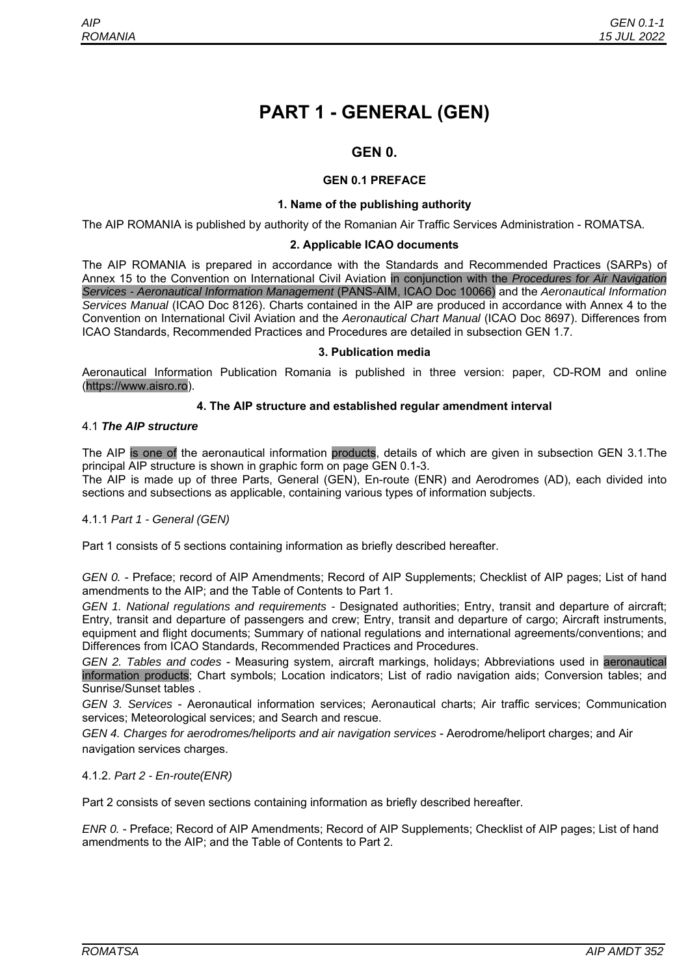## **PART 1 - GENERAL (GEN)**

## **GEN 0.**

## **GEN 0.1 PREFACE**

## **1. Name of the publishing authority**

The AIP ROMANIA is published by authority of the Romanian Air Traffic Services Administration - ROMATSA.

#### **2. Applicable ICAO documents**

The AIP ROMANIA is prepared in accordance with the Standards and Recommended Practices (SARPs) of Annex 15 to the Convention on International Civil Aviation in conjunction with the *Procedures for Air Navigation Services - Aeronautical Information Management* (PANS-AIM, ICAO Doc 10066) and the *Aeronautical Information Services Manual* (ICAO Doc 8126). Charts contained in the AIP are produced in accordance with Annex 4 to the Convention on International Civil Aviation and the *Aeronautical Chart Manual* (ICAO Doc 8697). Differences from ICAO Standards, Recommended Practices and Procedures are detailed in subsection GEN 1.7.

#### **3. Publication media**

Aeronautical Information Publication Romania is published in three version: paper, CD-ROM and online (https://www.aisro.ro).

## **4. The AIP structure and established regular amendment interval**

#### 4.1 *The AIP structure*

The AIP is one of the aeronautical information products, details of which are given in subsection GEN 3.1.The principal AIP structure is shown in graphic form on page GEN 0.1-3.

The AIP is made up of three Parts, General (GEN), En-route (ENR) and Aerodromes (AD), each divided into sections and subsections as applicable, containing various types of information subjects.

## 4.1.1 *Part 1 - General (GEN)*

Part 1 consists of 5 sections containing information as briefly described hereafter.

*GEN 0.* - Preface; record of AIP Amendments; Record of AIP Supplements; Checklist of AIP pages; List of hand amendments to the AIP; and the Table of Contents to Part 1.

*GEN 1. National regulations and requirements -* Designated authorities; Entry, transit and departure of aircraft; Entry, transit and departure of passengers and crew; Entry, transit and departure of cargo; Aircraft instruments, equipment and flight documents; Summary of national regulations and international agreements/conventions; and Differences from ICAO Standards, Recommended Practices and Procedures.

*GEN 2. Tables and codes* - Measuring system, aircraft markings, holidays; Abbreviations used in aeronautical information products; Chart symbols; Location indicators; List of radio navigation aids; Conversion tables; and Sunrise/Sunset tables .

*GEN 3. Services* - Aeronautical information services; Aeronautical charts; Air traffic services; Communication services; Meteorological services; and Search and rescue.

*GEN 4. Charges for aerodromes/heliports and air navigation services* - Aerodrome/heliport charges; and Air navigation services charges.

## 4.1.2. *Part 2 - En-route(ENR)*

Part 2 consists of seven sections containing information as briefly described hereafter.

*ENR 0.* - Preface; Record of AIP Amendments; Record of AIP Supplements; Checklist of AIP pages; List of hand amendments to the AIP; and the Table of Contents to Part 2.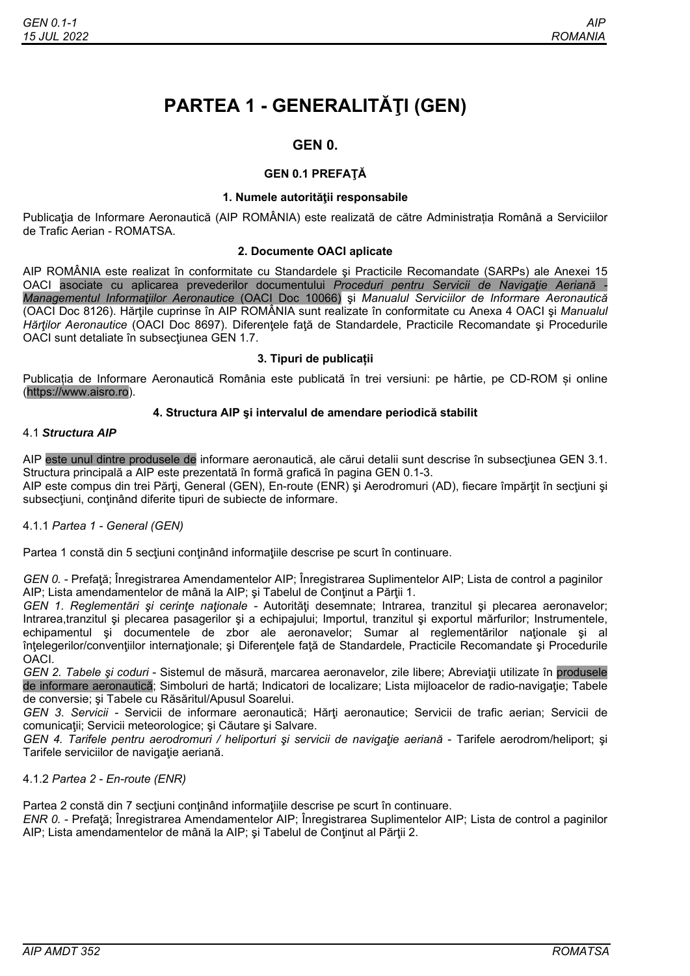# **PARTEA 1 - GENERALITĂŢI (GEN)**

## **GEN 0.**

## **GEN 0.1 PREFAŢĂ**

## **1. Numele autorităţii responsabile**

Publicația de Informare Aeronautică (AIP ROMÂNIA) este realizată de către Administrația Română a Serviciilor de Trafic Aerian - ROMATSA.

## **2. Documente OACI aplicate**

AIP ROMÂNIA este realizat în conformitate cu Standardele şi Practicile Recomandate (SARPs) ale Anexei 15 OACI asociate cu aplicarea prevederilor documentului *Proceduri pentru Servicii de Navigaţie Aeriană - Managementul Informaţiilor Aeronautice* (OACI Doc 10066) şi *Manualul Serviciilor de Informare Aeronautică* (OACI Doc 8126). Hărţile cuprinse în AIP ROMÂNIA sunt realizate în conformitate cu Anexa 4 OACI şi *Manualul Hărtilor Aeronautice* (OACI Doc 8697). Diferentele fată de Standardele, Practicile Recomandate și Procedurile OACI sunt detaliate în subsecțiunea GEN 1.7.

## **3. Tipuri de publicații**

Publicația de Informare Aeronautică România este publicată în trei versiuni: pe hârtie, pe CD-ROM și online (https://www.aisro.ro).

## **4. Structura AIP şi intervalul de amendare periodică stabilit**

## 4.1 *Structura AIP*

AIP este unul dintre produsele de informare aeronautică, ale cărui detalii sunt descrise în subsecțiunea GEN 3.1. Structura principală a AIP este prezentată în formă grafică în pagina GEN 0.1-3. AIP este compus din trei Părţi, General (GEN), En-route (ENR) şi Aerodromuri (AD), fiecare împărţit în secţiuni şi subsecțiuni, conținând diferite tipuri de subiecte de informare.

## 4.1.1 *Partea 1 - General (GEN)*

Partea 1 constă din 5 sectiuni continând informatiile descrise pe scurt în continuare.

*GEN 0.* - Prefată: Înregistrarea Amendamentelor AIP: Înregistrarea Suplimentelor AIP: Lista de control a paginilor AIP; Lista amendamentelor de mână la AIP; şi Tabelul de Conţinut a Părţii 1.

*GEN 1*. *Reglementări şi cerinţe naţionale -* Autorităţi desemnate; Intrarea, tranzitul şi plecarea aeronavelor; Intrarea,tranzitul şi plecarea pasagerilor şi a echipajului; Importul, tranzitul şi exportul mărfurilor; Instrumentele, echipamentul şi documentele de zbor ale aeronavelor; Sumar al reglementărilor naţionale şi al întelegerilor/conventiilor internationale; și Diferentele fată de Standardele, Practicile Recomandate și Procedurile OACI.

*GEN 2. Tabele şi coduri* - Sistemul de măsură, marcarea aeronavelor, zile libere; Abreviaţii utilizate în produsele de informare aeronautică; Simboluri de hartă; Indicatori de localizare; Lista mijloacelor de radio-navigație; Tabele de conversie; şi Tabele cu Răsăritul/Apusul Soarelui.

*GEN 3. Servicii - Servicii de informare aeronautică: Hărti aeronautice: Servicii de trafic aerian: Servicii de* comunicații; Servicii meteorologice; și Căutare și Salvare.

*GEN 4. Tarifele pentru aerodromuri / heliporturi şi servicii de navigaţie aeriană* - Tarifele aerodrom/heliport; şi Tarifele serviciilor de navigaţie aeriană.

## 4.1.2 *Partea 2 - En-route (ENR)*

Partea 2 constă din 7 secțiuni conținând informațiile descrise pe scurt în continuare.

*ENR 0.* - Prefaţă; Înregistrarea Amendamentelor AIP; Înregistrarea Suplimentelor AIP; Lista de control a paginilor AIP; Lista amendamentelor de mână la AIP; şi Tabelul de Conţinut al Părţii 2.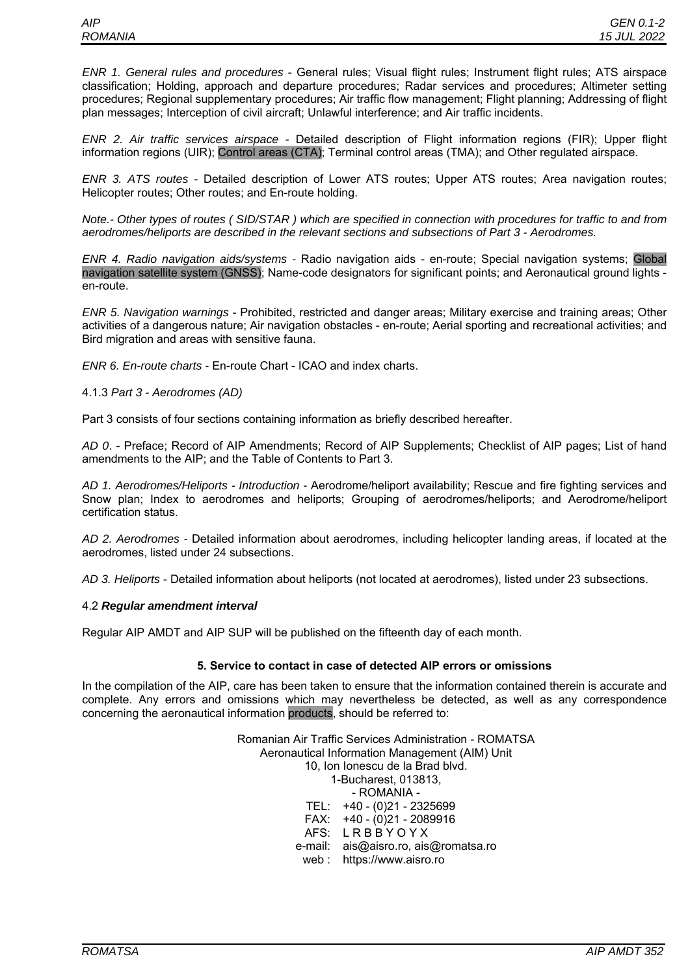*ENR 1. General rules and procedures* - General rules; Visual flight rules; Instrument flight rules; ATS airspace classification; Holding, approach and departure procedures; Radar services and procedures; Altimeter setting procedures; Regional supplementary procedures; Air traffic flow management; Flight planning; Addressing of flight plan messages; Interception of civil aircraft; Unlawful interference; and Air traffic incidents.

*ENR 2. Air traffic services airspace -* Detailed description of Flight information regions (FIR); Upper flight information regions (UIR); Control areas (CTA); Terminal control areas (TMA); and Other regulated airspace.

*ENR 3. ATS routes* - Detailed description of Lower ATS routes; Upper ATS routes; Area navigation routes; Helicopter routes; Other routes; and En-route holding.

*Note.- Other types of routes ( SID/STAR ) which are specified in connection with procedures for traffic to and from aerodromes/heliports are described in the relevant sections and subsections of Part 3 - Aerodromes.* 

*ENR 4. Radio navigation aids/systems -* Radio navigation aids - en-route; Special navigation systems; Global navigation satellite system (GNSS); Name-code designators for significant points; and Aeronautical ground lights en-route.

*ENR 5. Navigation warnings* - Prohibited, restricted and danger areas; Military exercise and training areas; Other activities of a dangerous nature; Air navigation obstacles - en-route; Aerial sporting and recreational activities; and Bird migration and areas with sensitive fauna.

*ENR 6. En-route charts -* En-route Chart - ICAO and index charts.

4.1.3 *Part 3 - Aerodromes (AD)* 

Part 3 consists of four sections containing information as briefly described hereafter.

*AD 0*. - Preface; Record of AIP Amendments; Record of AIP Supplements; Checklist of AIP pages; List of hand amendments to the AIP; and the Table of Contents to Part 3.

*AD 1. Aerodromes/Heliports - Introduction -* Aerodrome/heliport availability; Rescue and fire fighting services and Snow plan; Index to aerodromes and heliports; Grouping of aerodromes/heliports; and Aerodrome/heliport certification status.

*AD 2. Aerodromes -* Detailed information about aerodromes, including helicopter landing areas, if located at the aerodromes, listed under 24 subsections.

*AD 3. Heliports* - Detailed information about heliports (not located at aerodromes), listed under 23 subsections.

#### 4.2 *Regular amendment in***t***erval*

Regular AIP AMDT and AIP SUP will be published on the fifteenth day of each month.

#### **5. Service to contact in case of detected AIP errors or omissions**

In the compilation of the AIP, care has been taken to ensure that the information contained therein is accurate and complete. Any errors and omissions which may nevertheless be detected, as well as any correspondence concerning the aeronautical information products, should be referred to:

> Romanian Air Traffic Services Administration - ROMATSA Aeronautical Information Management (AIM) Unit 10, Ion Ionescu de la Brad blvd. 1-Bucharest, 013813, - ROMANIA - TEL: FAX: AFS: +40 - (0)21 - 2325699 +40 - (0)21 - 2089916 L R B B Y O Y X e-mail: ais@aisro.ro, ais@romatsa.ro web : https://www.aisro.ro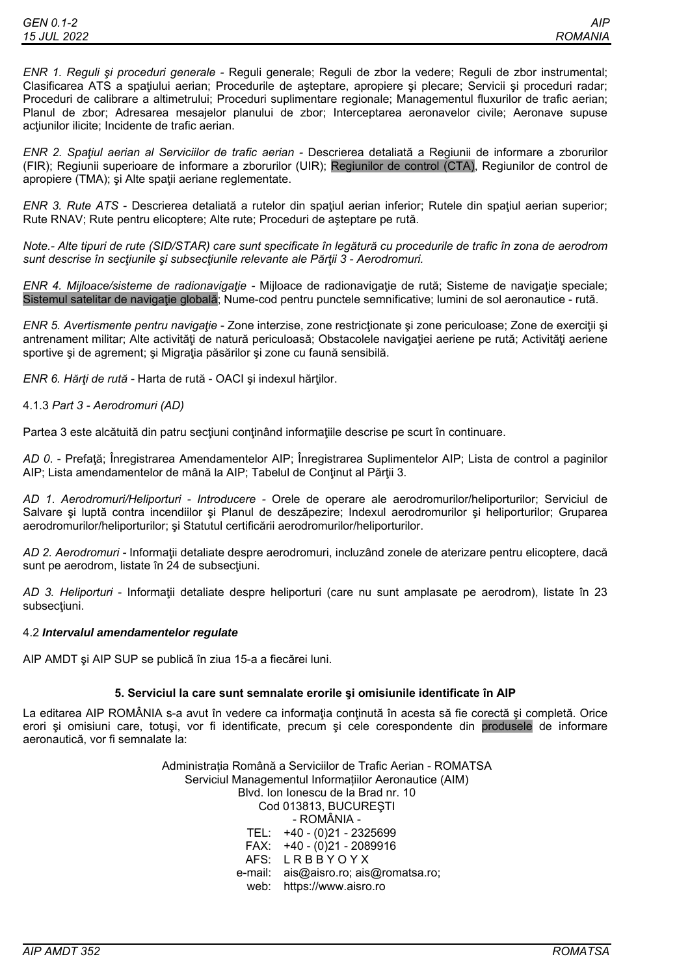*ENR 1. Reguli şi proceduri generale -* Reguli generale; Reguli de zbor la vedere; Reguli de zbor instrumental; Clasificarea ATS a spaţiului aerian; Procedurile de aşteptare, apropiere şi plecare; Servicii şi proceduri radar; Proceduri de calibrare a altimetrului; Proceduri suplimentare regionale; Managementul fluxurilor de trafic aerian; Planul de zbor; Adresarea mesajelor planului de zbor; Interceptarea aeronavelor civile; Aeronave supuse acțiunilor ilicite; Incidente de trafic aerian.

*ENR 2. Spaţiul aerian al Serviciilor de trafic aerian -* Descrierea detaliată a Regiunii de informare a zborurilor (FIR); Regiunii superioare de informare a zborurilor (UIR); Regiunilor de control (CTA), Regiunilor de control de apropiere (TMA); și Alte spații aeriane reglementate.

*ENR 3. Rute ATS* - Descrierea detaliată a rutelor din spaţiul aerian inferior; Rutele din spaţiul aerian superior; Rute RNAV; Rute pentru elicoptere; Alte rute; Proceduri de aşteptare pe rută.

*Note.- Alte tipuri de rute (SID/STAR) care sunt specificate în legătură cu procedurile de trafic în zona de aerodrom sunt descrise în secţiunile şi subsecţiunile relevante ale Părţii 3 - Aerodromuri.* 

*ENR 4. Mijloace/sisteme de radionavigaţie -* Mijloace de radionavigaţie de rută; Sisteme de navigaţie speciale; Sistemul satelitar de navigație globală: Nume-cod pentru punctele semnificative; lumini de sol aeronautice - rută.

*ENR 5. Avertismente pentru navigaţie* - Zone interzise, zone restricţionate şi zone periculoase; Zone de exerciţii şi antrenament militar; Alte activități de natură periculoasă; Obstacolele navigației aeriene pe rută; Activități aeriene sportive și de agrement; și Migrația păsărilor și zone cu faună sensibilă.

*ENR 6. Hărţi de rută -* Harta de rută - OACI şi indexul hărţilor.

#### 4.1.3 *Part 3 - Aerodromuri (AD)*

Partea 3 este alcătuită din patru secțiuni conținând informațiile descrise pe scurt în continuare.

*AD 0*. - Prefaţă; Înregistrarea Amendamentelor AIP; Înregistrarea Suplimentelor AIP; Lista de control a paginilor AIP; Lista amendamentelor de mână la AIP; Tabelul de Continut al Părții 3.

*AD 1*. *Aerodromuri/Heliporturi - Introducere -* Orele de operare ale aerodromurilor/heliporturilor; Serviciul de Salvare şi luptă contra incendiilor şi Planul de deszăpezire; Indexul aerodromurilor şi heliporturilor; Gruparea aerodromurilor/heliporturilor; şi Statutul certificării aerodromurilor/heliporturilor.

*AD 2. Aerodromuri -* Informaţii detaliate despre aerodromuri, incluzând zonele de aterizare pentru elicoptere, dacă sunt pe aerodrom, listate în 24 de subsectiuni.

*AD 3. Heliporturi* - Informatii detaliate despre heliporturi (care nu sunt amplasate pe aerodrom), listate în 23 subsectiuni.

#### 4.2 *Intervalul amendamentelor regulate*

AIP AMDT şi AIP SUP se publică în ziua 15-a a fiecărei luni.

#### **5. Serviciul la care sunt semnalate erorile şi omisiunile identificate în AIP**

La editarea AIP ROMÂNIA s-a avut în vedere ca informaţia conţinută în acesta să fie corectă şi completă. Orice erori şi omisiuni care, totuşi, vor fi identificate, precum şi cele corespondente din produsele de informare aeronautică, vor fi semnalate la:

> Administrația Română a Serviciilor de Trafic Aerian - ROMATSA Serviciul Managementul Informațiilor Aeronautice (AIM) Blvd. Ion Ionescu de la Brad nr. 10 Cod 013813, BUCUREŞTI - ROMÂNIA - TEL: FAX: AFS: L R B B Y O Y X +40 - (0)21 - 2325699 +40 - (0)21 - 2089916 e-mail: ais@aisro.ro; ais@romatsa.ro; web: https://www.aisro.ro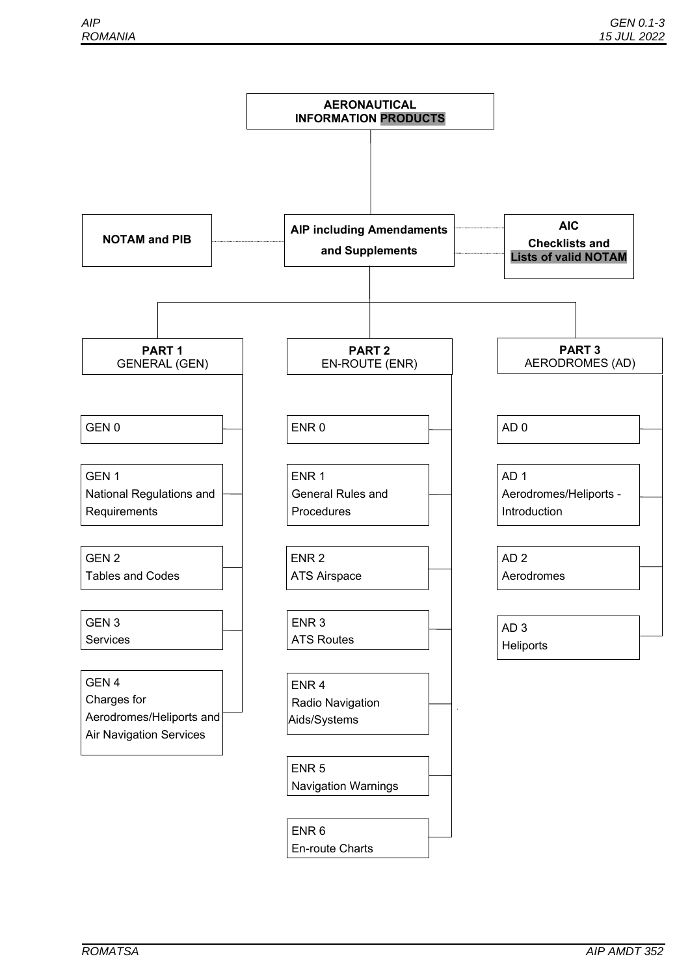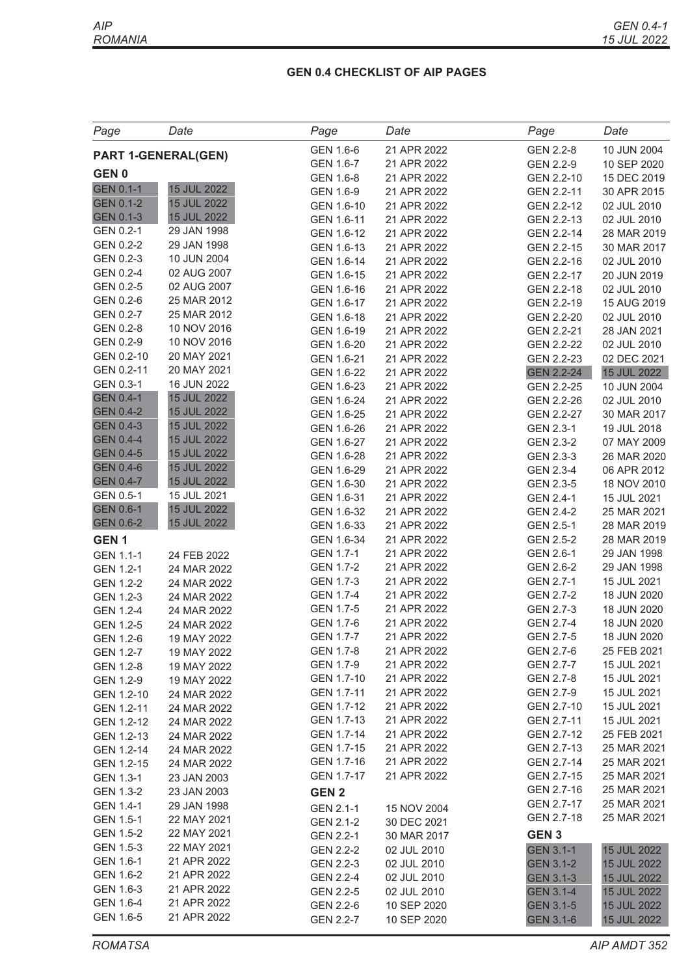## **GEN 0.4 CHECKLIST OF AIP PAGES**

| Page                       | Date        | Page         | Date        | Page              | Date        |
|----------------------------|-------------|--------------|-------------|-------------------|-------------|
| <b>PART 1-GENERAL(GEN)</b> |             | GEN 1.6-6    | 21 APR 2022 | GEN 2.2-8         | 10 JUN 2004 |
|                            |             | GEN 1.6-7    | 21 APR 2022 | GEN 2.2-9         | 10 SEP 2020 |
| <b>GEN0</b>                |             | GEN 1.6-8    | 21 APR 2022 | GEN 2.2-10        | 15 DEC 2019 |
| <b>GEN 0.1-1</b>           | 15 JUL 2022 | GEN 1.6-9    | 21 APR 2022 | GEN 2.2-11        | 30 APR 2015 |
| <b>GEN 0.1-2</b>           | 15 JUL 2022 | GEN 1.6-10   | 21 APR 2022 | GEN 2.2-12        | 02 JUL 2010 |
| <b>GEN 0.1-3</b>           | 15 JUL 2022 | GEN 1.6-11   | 21 APR 2022 | GEN 2.2-13        | 02 JUL 2010 |
| GEN 0.2-1                  | 29 JAN 1998 | GEN 1.6-12   | 21 APR 2022 | GEN 2.2-14        | 28 MAR 2019 |
| GEN 0.2-2                  | 29 JAN 1998 | GEN 1.6-13   | 21 APR 2022 | GEN 2.2-15        | 30 MAR 2017 |
| GEN 0.2-3                  | 10 JUN 2004 | GEN 1.6-14   | 21 APR 2022 | GEN 2.2-16        | 02 JUL 2010 |
| GEN 0.2-4                  | 02 AUG 2007 | GEN 1.6-15   | 21 APR 2022 | GEN 2.2-17        | 20 JUN 2019 |
| GEN 0.2-5                  | 02 AUG 2007 | GEN 1.6-16   | 21 APR 2022 | GEN 2.2-18        | 02 JUL 2010 |
| GEN 0.2-6                  | 25 MAR 2012 | GEN 1.6-17   | 21 APR 2022 | GEN 2.2-19        | 15 AUG 2019 |
| GEN 0.2-7                  | 25 MAR 2012 | GEN 1.6-18   | 21 APR 2022 | GEN 2.2-20        | 02 JUL 2010 |
| GEN 0.2-8                  | 10 NOV 2016 | GEN 1.6-19   | 21 APR 2022 | GEN 2.2-21        | 28 JAN 2021 |
| GEN 0.2-9                  | 10 NOV 2016 | GEN 1.6-20   | 21 APR 2022 | GEN 2.2-22        | 02 JUL 2010 |
| GEN 0.2-10                 | 20 MAY 2021 | GEN 1.6-21   | 21 APR 2022 | GEN 2.2-23        | 02 DEC 2021 |
| GEN 0.2-11                 | 20 MAY 2021 | GEN 1.6-22   | 21 APR 2022 | <b>GEN 2.2-24</b> | 15 JUL 2022 |
| GEN 0.3-1                  | 16 JUN 2022 | GEN 1.6-23   | 21 APR 2022 | GEN 2.2-25        | 10 JUN 2004 |
| <b>GEN 0.4-1</b>           | 15 JUL 2022 | GEN 1.6-24   | 21 APR 2022 | GEN 2.2-26        | 02 JUL 2010 |
| <b>GEN 0.4-2</b>           | 15 JUL 2022 | GEN 1.6-25   | 21 APR 2022 | GEN 2.2-27        | 30 MAR 2017 |
| <b>GEN 0.4-3</b>           | 15 JUL 2022 | GEN 1.6-26   | 21 APR 2022 | GEN 2.3-1         | 19 JUL 2018 |
| <b>GEN 0.4-4</b>           | 15 JUL 2022 | GEN 1.6-27   | 21 APR 2022 | GEN 2.3-2         | 07 MAY 2009 |
| <b>GEN 0.4-5</b>           | 15 JUL 2022 | GEN 1.6-28   | 21 APR 2022 | GEN 2.3-3         | 26 MAR 2020 |
| <b>GEN 0.4-6</b>           | 15 JUL 2022 | GEN 1.6-29   | 21 APR 2022 | GEN 2.3-4         | 06 APR 2012 |
| <b>GEN 0.4-7</b>           | 15 JUL 2022 | GEN 1.6-30   | 21 APR 2022 | GEN 2.3-5         | 18 NOV 2010 |
| GEN 0.5-1                  | 15 JUL 2021 | GEN 1.6-31   | 21 APR 2022 | GEN 2.4-1         | 15 JUL 2021 |
| <b>GEN 0.6-1</b>           | 15 JUL 2022 | GEN 1.6-32   | 21 APR 2022 | GEN 2.4-2         | 25 MAR 2021 |
| <b>GEN 0.6-2</b>           | 15 JUL 2022 | GEN 1.6-33   | 21 APR 2022 | GEN 2.5-1         | 28 MAR 2019 |
| GEN <sub>1</sub>           |             | GEN 1.6-34   | 21 APR 2022 | GEN 2.5-2         | 28 MAR 2019 |
| GEN 1.1-1                  | 24 FEB 2022 | GEN 1.7-1    | 21 APR 2022 | GEN 2.6-1         | 29 JAN 1998 |
| GEN 1.2-1                  | 24 MAR 2022 | GEN 1.7-2    | 21 APR 2022 | GEN 2.6-2         | 29 JAN 1998 |
| GEN 1.2-2                  | 24 MAR 2022 | GEN 1.7-3    | 21 APR 2022 | GEN 2.7-1         | 15 JUL 2021 |
| GEN 1.2-3                  | 24 MAR 2022 | GEN 1.7-4    | 21 APR 2022 | GEN 2.7-2         | 18 JUN 2020 |
| <b>GEN 1.2-4</b>           | 24 MAR 2022 | GEN 1.7-5    | 21 APR 2022 | GEN 2.7-3         | 18 JUN 2020 |
| GEN 1.2-5                  | 24 MAR 2022 | GEN 1.7-6    | 21 APR 2022 | GEN 2.7-4         | 18 JUN 2020 |
| GEN 1.2-6                  | 19 MAY 2022 | GEN 1.7-7    | 21 APR 2022 | GEN 2.7-5         | 18 JUN 2020 |
| GEN 1.2-7                  | 19 MAY 2022 | GEN 1.7-8    | 21 APR 2022 | GEN 2.7-6         | 25 FEB 2021 |
| GEN 1.2-8                  | 19 MAY 2022 | GEN 1.7-9    | 21 APR 2022 | GEN 2.7-7         | 15 JUL 2021 |
| GEN 1.2-9                  | 19 MAY 2022 | GEN 1.7-10   | 21 APR 2022 | GEN 2.7-8         | 15 JUL 2021 |
| GEN 1.2-10                 | 24 MAR 2022 | GEN 1.7-11   | 21 APR 2022 | GEN 2.7-9         | 15 JUL 2021 |
| GEN 1.2-11                 | 24 MAR 2022 | GEN 1.7-12   | 21 APR 2022 | GEN 2.7-10        | 15 JUL 2021 |
| GEN 1.2-12                 | 24 MAR 2022 | GEN 1.7-13   | 21 APR 2022 | GEN 2.7-11        | 15 JUL 2021 |
| GEN 1.2-13                 | 24 MAR 2022 | GEN 1.7-14   | 21 APR 2022 | GEN 2.7-12        | 25 FEB 2021 |
| GEN 1.2-14                 | 24 MAR 2022 | GEN 1.7-15   | 21 APR 2022 | GEN 2.7-13        | 25 MAR 2021 |
| GEN 1.2-15                 | 24 MAR 2022 | GEN 1.7-16   | 21 APR 2022 | GEN 2.7-14        | 25 MAR 2021 |
| GEN 1.3-1                  | 23 JAN 2003 | GEN 1.7-17   | 21 APR 2022 | GEN 2.7-15        | 25 MAR 2021 |
| GEN 1.3-2                  | 23 JAN 2003 | <b>GEN 2</b> |             | GEN 2.7-16        | 25 MAR 2021 |
| GEN 1.4-1                  | 29 JAN 1998 |              |             | GEN 2.7-17        | 25 MAR 2021 |
| GEN 1.5-1                  | 22 MAY 2021 | GEN 2.1-1    | 15 NOV 2004 | GEN 2.7-18        | 25 MAR 2021 |
| GEN 1.5-2                  | 22 MAY 2021 | GEN 2.1-2    | 30 DEC 2021 | <b>GEN 3</b>      |             |
| GEN 1.5-3                  | 22 MAY 2021 | GEN 2.2-1    | 30 MAR 2017 |                   |             |
| GEN 1.6-1                  | 21 APR 2022 | GEN 2.2-2    | 02 JUL 2010 | <b>GEN 3.1-1</b>  | 15 JUL 2022 |
| GEN 1.6-2                  | 21 APR 2022 | GEN 2.2-3    | 02 JUL 2010 | <b>GEN 3.1-2</b>  | 15 JUL 2022 |
| GEN 1.6-3                  | 21 APR 2022 | GEN 2.2-4    | 02 JUL 2010 | <b>GEN 3.1-3</b>  | 15 JUL 2022 |
| GEN 1.6-4                  | 21 APR 2022 | GEN 2.2-5    | 02 JUL 2010 | <b>GEN 3.1-4</b>  | 15 JUL 2022 |
|                            |             | GEN 2.2-6    | 10 SEP 2020 | <b>GEN 3.1-5</b>  | 15 JUL 2022 |
| GEN 1.6-5                  | 21 APR 2022 | GEN 2.2-7    | 10 SEP 2020 | GEN 3.1-6         | 15 JUL 2022 |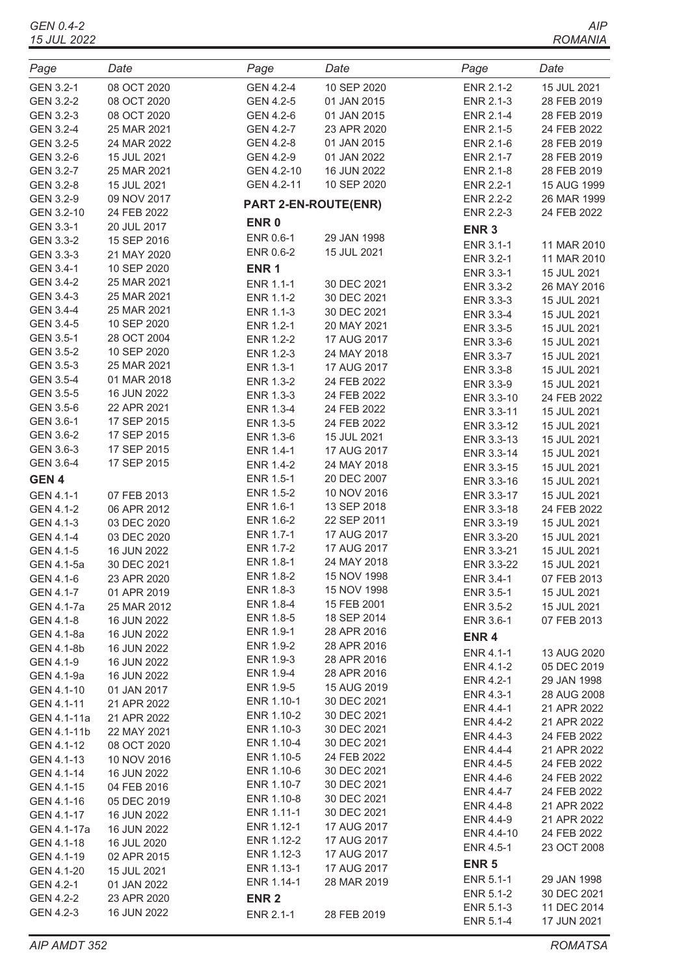GEN 0.4-2 15 JUL 2022

| Page                   | Date                       | Page                        | Date                       | Page                     | Date                       |
|------------------------|----------------------------|-----------------------------|----------------------------|--------------------------|----------------------------|
| GEN 3.2-1              | 08 OCT 2020                | GEN 4.2-4                   | 10 SEP 2020                | ENR 2.1-2                | 15 JUL 2021                |
| GEN 3.2-2              | 08 OCT 2020                | GEN 4.2-5                   | 01 JAN 2015                | ENR 2.1-3                | 28 FEB 2019                |
| GEN 3.2-3              | 08 OCT 2020                | GEN 4.2-6                   | 01 JAN 2015                | ENR 2.1-4                | 28 FEB 2019                |
| GEN 3.2-4              | 25 MAR 2021                | GEN 4.2-7                   | 23 APR 2020                | ENR 2.1-5                | 24 FEB 2022                |
| GEN 3.2-5              | 24 MAR 2022                | GEN 4.2-8                   | 01 JAN 2015                | ENR 2.1-6                | 28 FEB 2019                |
| GEN 3.2-6              | 15 JUL 2021                | GEN 4.2-9                   | 01 JAN 2022                | ENR 2.1-7                | 28 FEB 2019                |
| GEN 3.2-7              | 25 MAR 2021                | GEN 4.2-10                  | 16 JUN 2022                | ENR 2.1-8                | 28 FEB 2019                |
| GEN 3.2-8              | 15 JUL 2021                | GEN 4.2-11                  | 10 SEP 2020                | ENR 2.2-1                | 15 AUG 1999                |
| GEN 3.2-9              | 09 NOV 2017                | <b>PART 2-EN-ROUTE(ENR)</b> |                            | <b>ENR 2.2-2</b>         | 26 MAR 1999                |
| GEN 3.2-10             | 24 FEB 2022                | ENR <sub>0</sub>            |                            | ENR 2.2-3                | 24 FEB 2022                |
| GEN 3.3-1              | 20 JUL 2017                |                             |                            | ENR <sub>3</sub>         |                            |
| GEN 3.3-2              | 15 SEP 2016                | ENR 0.6-1<br>ENR 0.6-2      | 29 JAN 1998<br>15 JUL 2021 | ENR 3.1-1                | 11 MAR 2010                |
| GEN 3.3-3              | 21 MAY 2020                |                             |                            | ENR 3.2-1                | 11 MAR 2010                |
| GEN 3.4-1              | 10 SEP 2020                | ENR <sub>1</sub>            |                            | ENR 3.3-1                | 15 JUL 2021                |
| GEN 3.4-2              | 25 MAR 2021                | ENR 1.1-1                   | 30 DEC 2021                | ENR 3.3-2                | 26 MAY 2016                |
| GEN 3.4-3              | 25 MAR 2021                | ENR 1.1-2                   | 30 DEC 2021                | ENR 3.3-3                | 15 JUL 2021                |
| GEN 3.4-4<br>GEN 3.4-5 | 25 MAR 2021<br>10 SEP 2020 | ENR 1.1-3                   | 30 DEC 2021                | ENR 3.3-4                | 15 JUL 2021                |
| GEN 3.5-1              | 28 OCT 2004                | ENR 1.2-1                   | 20 MAY 2021                | ENR 3.3-5                | 15 JUL 2021                |
| GEN 3.5-2              | 10 SEP 2020                | <b>ENR 1.2-2</b>            | 17 AUG 2017                | ENR 3.3-6                | 15 JUL 2021                |
| GEN 3.5-3              | 25 MAR 2021                | ENR 1.2-3                   | 24 MAY 2018                | ENR 3.3-7                | 15 JUL 2021                |
| GEN 3.5-4              | 01 MAR 2018                | ENR 1.3-1                   | 17 AUG 2017                | ENR 3.3-8                | 15 JUL 2021                |
| GEN 3.5-5              | 16 JUN 2022                | ENR 1.3-2<br>ENR 1.3-3      | 24 FEB 2022<br>24 FEB 2022 | ENR 3.3-9                | 15 JUL 2021                |
| GEN 3.5-6              | 22 APR 2021                | ENR 1.3-4                   | 24 FEB 2022                | ENR 3.3-10               | 24 FEB 2022                |
| GEN 3.6-1              | 17 SEP 2015                | ENR 1.3-5                   | 24 FEB 2022                | ENR 3.3-11               | 15 JUL 2021                |
| GEN 3.6-2              | 17 SEP 2015                | ENR 1.3-6                   | 15 JUL 2021                | ENR 3.3-12               | 15 JUL 2021                |
| GEN 3.6-3              | 17 SEP 2015                | ENR 1.4-1                   | 17 AUG 2017                | ENR 3.3-13               | 15 JUL 2021                |
| GEN 3.6-4              | 17 SEP 2015                | ENR 1.4-2                   | 24 MAY 2018                | ENR 3.3-14               | 15 JUL 2021                |
| GEN <sub>4</sub>       |                            | ENR 1.5-1                   | 20 DEC 2007                | ENR 3.3-15               | 15 JUL 2021<br>15 JUL 2021 |
| GEN 4.1-1              | 07 FEB 2013                | ENR 1.5-2                   | 10 NOV 2016                | ENR 3.3-16<br>ENR 3.3-17 | 15 JUL 2021                |
| GEN 4.1-2              | 06 APR 2012                | ENR 1.6-1                   | 13 SEP 2018                | ENR 3.3-18               | 24 FEB 2022                |
| GEN 4.1-3              | 03 DEC 2020                | ENR 1.6-2                   | 22 SEP 2011                | ENR 3.3-19               | 15 JUL 2021                |
| GEN 4.1-4              | 03 DEC 2020                | ENR 1.7-1                   | 17 AUG 2017                | ENR 3.3-20               | 15 JUL 2021                |
| GEN 4.1-5              | 16 JUN 2022                | ENR 1.7-2                   | 17 AUG 2017                | ENR 3.3-21               | 15 JUL 2021                |
| GEN 4.1-5a             | 30 DEC 2021                | ENR 1.8-1                   | 24 MAY 2018                | ENR 3.3-22               | 15 JUL 2021                |
| GEN 4.1-6              | 23 APR 2020                | <b>ENR 1.8-2</b>            | 15 NOV 1998                | ENR 3.4-1                | 07 FEB 2013                |
| GEN 4.1-7              | 01 APR 2019                | ENR 1.8-3                   | 15 NOV 1998                | ENR 3.5-1                | 15 JUL 2021                |
| GEN 4.1-7a             | 25 MAR 2012                | ENR 1.8-4                   | 15 FEB 2001                | ENR 3.5-2                | 15 JUL 2021                |
| GEN 4.1-8              | 16 JUN 2022                | ENR 1.8-5                   | 18 SEP 2014                | ENR 3.6-1                | 07 FEB 2013                |
| GEN 4.1-8a             | 16 JUN 2022                | ENR 1.9-1                   | 28 APR 2016                | ENR <sub>4</sub>         |                            |
| GEN 4.1-8b             | 16 JUN 2022                | ENR 1.9-2                   | 28 APR 2016                | ENR 4.1-1                | 13 AUG 2020                |
| GEN 4.1-9              | 16 JUN 2022                | ENR 1.9-3                   | 28 APR 2016                | ENR 4.1-2                | 05 DEC 2019                |
| GEN 4.1-9a             | 16 JUN 2022                | ENR 1.9-4                   | 28 APR 2016                | ENR 4.2-1                | 29 JAN 1998                |
| GEN 4.1-10             | 01 JAN 2017                | ENR 1.9-5                   | 15 AUG 2019                | ENR 4.3-1                | 28 AUG 2008                |
| GEN 4.1-11             | 21 APR 2022                | ENR 1.10-1                  | 30 DEC 2021                | ENR 4.4-1                | 21 APR 2022                |
| GEN 4.1-11a            | 21 APR 2022                | ENR 1.10-2                  | 30 DEC 2021                | ENR 4.4-2                | 21 APR 2022                |
| GEN 4.1-11b            | 22 MAY 2021                | ENR 1.10-3                  | 30 DEC 2021                | ENR 4.4-3                | 24 FEB 2022                |
| GEN 4.1-12             | 08 OCT 2020                | ENR 1.10-4                  | 30 DEC 2021                | ENR 4.4-4                | 21 APR 2022                |
| GEN 4.1-13             | 10 NOV 2016                | ENR 1.10-5                  | 24 FEB 2022                | ENR 4.4-5                | 24 FEB 2022                |
| GEN 4.1-14             | 16 JUN 2022                | ENR 1.10-6                  | 30 DEC 2021                | ENR 4.4-6                | 24 FEB 2022                |
| GEN 4.1-15             | 04 FEB 2016                | ENR 1.10-7                  | 30 DEC 2021                | ENR 4.4-7                | 24 FEB 2022                |
| GEN 4.1-16             | 05 DEC 2019                | ENR 1.10-8<br>ENR 1.11-1    | 30 DEC 2021<br>30 DEC 2021 | ENR 4.4-8                | 21 APR 2022                |
| GEN 4.1-17             | 16 JUN 2022                | ENR 1.12-1                  | 17 AUG 2017                | ENR 4.4-9                | 21 APR 2022                |
| GEN 4.1-17a            | 16 JUN 2022                | ENR 1.12-2                  | 17 AUG 2017                | ENR 4.4-10               | 24 FEB 2022                |
| GEN 4.1-18             | 16 JUL 2020                | ENR 1.12-3                  | 17 AUG 2017                | ENR 4.5-1                | 23 OCT 2008                |
| GEN 4.1-19             | 02 APR 2015                | ENR 1.13-1                  | 17 AUG 2017                | <b>ENR 5</b>             |                            |
| GEN 4.1-20             | 15 JUL 2021                | ENR 1.14-1                  | 28 MAR 2019                | ENR 5.1-1                | 29 JAN 1998                |
| GEN 4.2-1<br>GEN 4.2-2 | 01 JAN 2022<br>23 APR 2020 | ENR <sub>2</sub>            |                            | ENR 5.1-2                | 30 DEC 2021                |
| GEN 4.2-3              | 16 JUN 2022                |                             |                            | ENR 5.1-3                | 11 DEC 2014                |
|                        |                            | ENR 2.1-1                   | 28 FEB 2019                | ENR 5.1-4                | 17 JUN 2021                |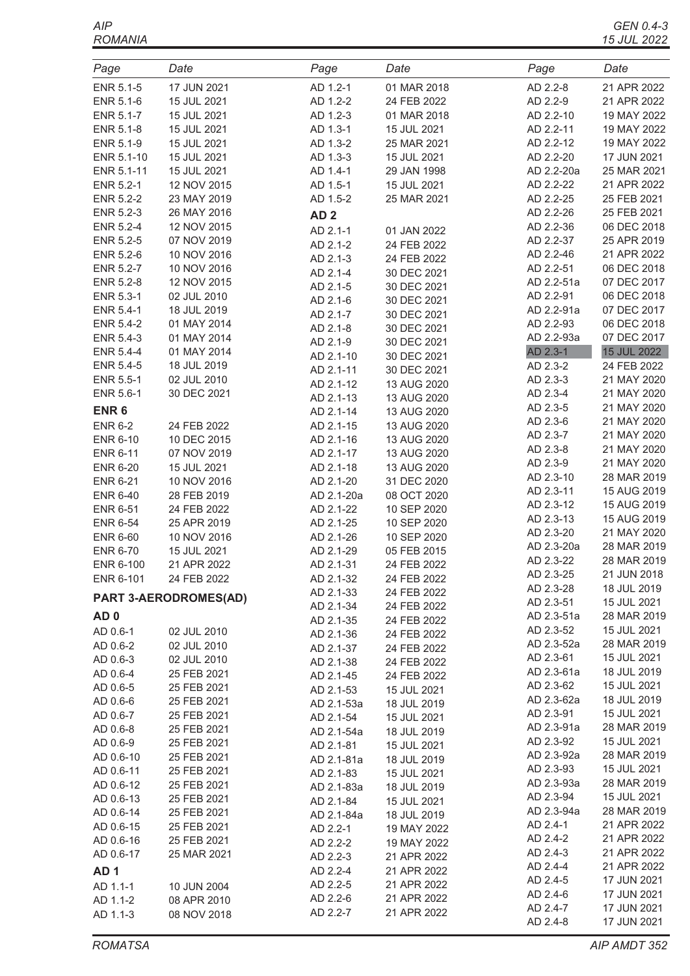$AIP$ ROMANIA

| Page                               | Date                         | Page                   | Date                       | Page                    | Date                       |
|------------------------------------|------------------------------|------------------------|----------------------------|-------------------------|----------------------------|
| ENR 5.1-5                          | 17 JUN 2021                  | AD 1.2-1               | 01 MAR 2018                | AD 2.2-8                | 21 APR 2022                |
| ENR 5.1-6                          | 15 JUL 2021                  | AD 1.2-2               | 24 FEB 2022                | AD 2.2-9                | 21 APR 2022                |
| ENR 5.1-7                          | 15 JUL 2021                  | AD 1.2-3               | 01 MAR 2018                | AD 2.2-10               | 19 MAY 2022                |
| ENR 5.1-8                          | 15 JUL 2021                  | AD 1.3-1               | 15 JUL 2021                | AD 2.2-11               | 19 MAY 2022                |
| ENR 5.1-9                          | 15 JUL 2021                  | AD 1.3-2               | 25 MAR 2021                | AD 2.2-12               | 19 MAY 2022                |
| ENR 5.1-10                         | 15 JUL 2021                  | AD 1.3-3               | 15 JUL 2021                | AD 2.2-20               | 17 JUN 2021                |
| ENR 5.1-11                         | 15 JUL 2021                  | AD 1.4-1               | 29 JAN 1998                | AD 2.2-20a              | 25 MAR 2021                |
| <b>ENR 5.2-1</b>                   | 12 NOV 2015                  | AD 1.5-1               | 15 JUL 2021                | AD 2.2-22               | 21 APR 2022                |
| <b>ENR 5.2-2</b>                   | 23 MAY 2019                  | AD 1.5-2               | 25 MAR 2021                | AD 2.2-25               | 25 FEB 2021                |
| ENR 5.2-3                          | 26 MAY 2016                  | AD <sub>2</sub>        |                            | AD 2.2-26               | 25 FEB 2021                |
| <b>ENR 5.2-4</b>                   | 12 NOV 2015                  | AD 2.1-1               | 01 JAN 2022                | AD 2.2-36               | 06 DEC 2018                |
| ENR 5.2-5                          | 07 NOV 2019                  | AD 2.1-2               | 24 FEB 2022                | AD 2.2-37               | 25 APR 2019                |
| ENR 5.2-6                          | 10 NOV 2016                  | AD 2.1-3               | 24 FEB 2022                | AD 2.2-46               | 21 APR 2022                |
| ENR 5.2-7                          | 10 NOV 2016                  | AD 2.1-4               | 30 DEC 2021                | AD 2.2-51               | 06 DEC 2018                |
| ENR 5.2-8<br>ENR 5.3-1             | 12 NOV 2015<br>02 JUL 2010   | AD 2.1-5               | 30 DEC 2021                | AD 2.2-51a<br>AD 2.2-91 | 07 DEC 2017<br>06 DEC 2018 |
| ENR 5.4-1                          | 18 JUL 2019                  | AD 2.1-6               | 30 DEC 2021                | AD 2.2-91a              | 07 DEC 2017                |
| ENR 5.4-2                          | 01 MAY 2014                  | AD 2.1-7               | 30 DEC 2021                | AD 2.2-93               | 06 DEC 2018                |
| ENR 5.4-3                          | 01 MAY 2014                  | AD 2.1-8               | 30 DEC 2021                | AD 2.2-93a              | 07 DEC 2017                |
| ENR 5.4-4                          | 01 MAY 2014                  | AD 2.1-9               | 30 DEC 2021                | AD 2.3-1                | 15 JUL 2022                |
| ENR 5.4-5                          | 18 JUL 2019                  | AD 2.1-10              | 30 DEC 2021                | AD 2.3-2                | 24 FEB 2022                |
| ENR 5.5-1                          | 02 JUL 2010                  | AD 2.1-11              | 30 DEC 2021                | AD 2.3-3                | 21 MAY 2020                |
| ENR 5.6-1                          | 30 DEC 2021                  | AD 2.1-12              | 13 AUG 2020                | AD 2.3-4                | 21 MAY 2020                |
|                                    |                              | AD 2.1-13              | 13 AUG 2020                | AD 2.3-5                | 21 MAY 2020                |
| ENR <sub>6</sub>                   |                              | AD 2.1-14              | 13 AUG 2020                | AD 2.3-6                | 21 MAY 2020                |
| <b>ENR 6-2</b>                     | 24 FEB 2022                  | AD 2.1-15              | 13 AUG 2020                | AD 2.3-7                | 21 MAY 2020                |
| <b>ENR 6-10</b>                    | 10 DEC 2015                  | AD 2.1-16              | 13 AUG 2020                | AD 2.3-8                | 21 MAY 2020                |
| <b>ENR 6-11</b>                    | 07 NOV 2019                  | AD 2.1-17              | 13 AUG 2020                | AD 2.3-9                | 21 MAY 2020                |
| <b>ENR 6-20</b>                    | 15 JUL 2021                  | AD 2.1-18<br>AD 2.1-20 | 13 AUG 2020<br>31 DEC 2020 | AD 2.3-10               | 28 MAR 2019                |
| <b>ENR 6-21</b><br><b>ENR 6-40</b> | 10 NOV 2016<br>28 FEB 2019   | AD 2.1-20a             | 08 OCT 2020                | AD 2.3-11               | 15 AUG 2019                |
| <b>ENR 6-51</b>                    | 24 FEB 2022                  | AD 2.1-22              | 10 SEP 2020                | AD 2.3-12               | 15 AUG 2019                |
| <b>ENR 6-54</b>                    | 25 APR 2019                  | AD 2.1-25              | 10 SEP 2020                | AD 2.3-13               | 15 AUG 2019                |
| <b>ENR 6-60</b>                    | 10 NOV 2016                  | AD 2.1-26              | 10 SEP 2020                | AD 2.3-20               | 21 MAY 2020                |
| <b>ENR 6-70</b>                    | 15 JUL 2021                  | AD 2.1-29              | 05 FEB 2015                | AD 2.3-20a              | 28 MAR 2019                |
| <b>ENR 6-100</b>                   | 21 APR 2022                  | AD 2.1-31              | 24 FEB 2022                | AD 2.3-22               | 28 MAR 2019                |
| ENR 6-101                          | 24 FEB 2022                  | AD 2.1-32              | 24 FEB 2022                | AD 2.3-25               | 21 JUN 2018                |
|                                    |                              | AD 2.1-33              | 24 FEB 2022                | AD 2.3-28               | 18 JUL 2019                |
|                                    | <b>PART 3-AERODROMES(AD)</b> | AD 2.1-34              | 24 FEB 2022                | AD 2.3-51               | 15 JUL 2021                |
| AD <sub>0</sub>                    |                              | AD 2.1-35              | 24 FEB 2022                | AD 2.3-51a              | 28 MAR 2019                |
| AD 0.6-1                           | 02 JUL 2010                  | AD 2.1-36              | 24 FEB 2022                | AD 2.3-52               | 15 JUL 2021                |
| AD 0.6-2                           | 02 JUL 2010                  | AD 2.1-37              | 24 FEB 2022                | AD 2.3-52a              | 28 MAR 2019                |
| AD 0.6-3                           | 02 JUL 2010                  | AD 2.1-38              | 24 FEB 2022                | AD 2.3-61               | 15 JUL 2021                |
| AD 0.6-4                           | 25 FEB 2021                  | AD 2.1-45              | 24 FEB 2022                | AD 2.3-61a              | 18 JUL 2019                |
| AD 0.6-5                           | 25 FEB 2021                  | AD 2.1-53              | 15 JUL 2021                | AD 2.3-62               | 15 JUL 2021                |
| AD 0.6-6                           | 25 FEB 2021                  | AD 2.1-53a             | 18 JUL 2019                | AD 2.3-62a              | 18 JUL 2019                |
| AD 0.6-7                           | 25 FEB 2021                  | AD 2.1-54              | 15 JUL 2021                | AD 2.3-91               | 15 JUL 2021                |
| AD 0.6-8                           | 25 FEB 2021                  | AD 2.1-54a             | 18 JUL 2019                | AD 2.3-91a              | 28 MAR 2019                |
| AD 0.6-9                           | 25 FEB 2021                  | AD 2.1-81              | 15 JUL 2021                | AD 2.3-92<br>AD 2.3-92a | 15 JUL 2021<br>28 MAR 2019 |
| AD 0.6-10                          | 25 FEB 2021                  | AD 2.1-81a             | 18 JUL 2019                | AD 2.3-93               | 15 JUL 2021                |
| AD 0.6-11                          | 25 FEB 2021                  | AD 2.1-83              | 15 JUL 2021                | AD 2.3-93a              | 28 MAR 2019                |
| AD 0.6-12                          | 25 FEB 2021                  | AD 2.1-83a             | 18 JUL 2019                | AD 2.3-94               | 15 JUL 2021                |
| AD 0.6-13<br>AD 0.6-14             | 25 FEB 2021<br>25 FEB 2021   | AD 2.1-84              | 15 JUL 2021                | AD 2.3-94a              | 28 MAR 2019                |
| AD 0.6-15                          | 25 FEB 2021                  | AD 2.1-84a             | 18 JUL 2019                | AD 2.4-1                | 21 APR 2022                |
| AD 0.6-16                          | 25 FEB 2021                  | AD 2.2-1               | 19 MAY 2022                | AD 2.4-2                | 21 APR 2022                |
| AD 0.6-17                          | 25 MAR 2021                  | AD 2.2-2               | 19 MAY 2022                | AD 2.4-3                | 21 APR 2022                |
|                                    |                              | AD 2.2-3               | 21 APR 2022                | AD 2.4-4                | 21 APR 2022                |
| AD <sub>1</sub>                    |                              | AD 2.2-4               | 21 APR 2022                | AD 2.4-5                | 17 JUN 2021                |
| AD 1.1-1                           | 10 JUN 2004                  | AD 2.2-5<br>AD 2.2-6   | 21 APR 2022<br>21 APR 2022 | AD 2.4-6                | 17 JUN 2021                |
| AD 1.1-2                           | 08 APR 2010                  | AD 2.2-7               | 21 APR 2022                | AD 2.4-7                | 17 JUN 2021                |
| AD 1.1-3                           | 08 NOV 2018                  |                        |                            | AD 2.4-8                | 17 JUN 2021                |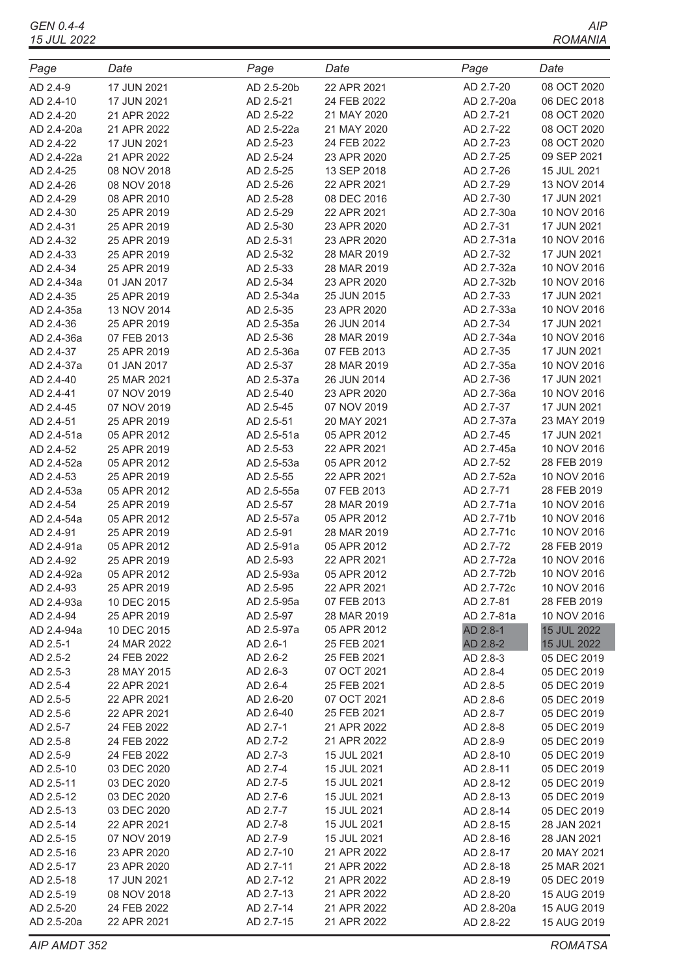GEN 0.4-4 15 JUL 2022

| Page       | Date        | Page       | Date        | Page       | Date        |
|------------|-------------|------------|-------------|------------|-------------|
| AD 2.4-9   | 17 JUN 2021 | AD 2.5-20b | 22 APR 2021 | AD 2.7-20  | 08 OCT 2020 |
| AD 2.4-10  | 17 JUN 2021 | AD 2.5-21  | 24 FEB 2022 | AD 2.7-20a | 06 DEC 2018 |
| AD 2.4-20  | 21 APR 2022 | AD 2.5-22  | 21 MAY 2020 | AD 2.7-21  | 08 OCT 2020 |
| AD 2.4-20a | 21 APR 2022 | AD 2.5-22a | 21 MAY 2020 | AD 2.7-22  | 08 OCT 2020 |
| AD 2.4-22  | 17 JUN 2021 | AD 2.5-23  | 24 FEB 2022 | AD 2.7-23  | 08 OCT 2020 |
| AD 2.4-22a | 21 APR 2022 | AD 2.5-24  | 23 APR 2020 | AD 2.7-25  | 09 SEP 2021 |
| AD 2.4-25  | 08 NOV 2018 | AD 2.5-25  | 13 SEP 2018 | AD 2.7-26  | 15 JUL 2021 |
| AD 2.4-26  | 08 NOV 2018 | AD 2.5-26  | 22 APR 2021 | AD 2.7-29  | 13 NOV 2014 |
| AD 2.4-29  | 08 APR 2010 | AD 2.5-28  | 08 DEC 2016 | AD 2.7-30  | 17 JUN 2021 |
| AD 2.4-30  | 25 APR 2019 | AD 2.5-29  | 22 APR 2021 | AD 2.7-30a | 10 NOV 2016 |
| AD 2.4-31  | 25 APR 2019 | AD 2.5-30  | 23 APR 2020 | AD 2.7-31  | 17 JUN 2021 |
| AD 2.4-32  | 25 APR 2019 | AD 2.5-31  | 23 APR 2020 | AD 2.7-31a | 10 NOV 2016 |
| AD 2.4-33  | 25 APR 2019 | AD 2.5-32  | 28 MAR 2019 | AD 2.7-32  | 17 JUN 2021 |
| AD 2.4-34  | 25 APR 2019 | AD 2.5-33  | 28 MAR 2019 | AD 2.7-32a | 10 NOV 2016 |
| AD 2.4-34a | 01 JAN 2017 | AD 2.5-34  | 23 APR 2020 | AD 2.7-32b | 10 NOV 2016 |
| AD 2.4-35  | 25 APR 2019 | AD 2.5-34a | 25 JUN 2015 | AD 2.7-33  | 17 JUN 2021 |
| AD 2.4-35a | 13 NOV 2014 | AD 2.5-35  | 23 APR 2020 | AD 2.7-33a | 10 NOV 2016 |
| AD 2.4-36  | 25 APR 2019 | AD 2.5-35a | 26 JUN 2014 | AD 2.7-34  | 17 JUN 2021 |
| AD 2.4-36a | 07 FEB 2013 | AD 2.5-36  | 28 MAR 2019 | AD 2.7-34a | 10 NOV 2016 |
| AD 2.4-37  | 25 APR 2019 | AD 2.5-36a | 07 FEB 2013 | AD 2.7-35  | 17 JUN 2021 |
| AD 2.4-37a | 01 JAN 2017 | AD 2.5-37  | 28 MAR 2019 | AD 2.7-35a | 10 NOV 2016 |
| AD 2.4-40  | 25 MAR 2021 | AD 2.5-37a | 26 JUN 2014 | AD 2.7-36  | 17 JUN 2021 |
| AD 2.4-41  | 07 NOV 2019 | AD 2.5-40  | 23 APR 2020 | AD 2.7-36a | 10 NOV 2016 |
| AD 2.4-45  | 07 NOV 2019 | AD 2.5-45  | 07 NOV 2019 | AD 2.7-37  | 17 JUN 2021 |
| AD 2.4-51  | 25 APR 2019 | AD 2.5-51  | 20 MAY 2021 | AD 2.7-37a | 23 MAY 2019 |
| AD 2.4-51a | 05 APR 2012 | AD 2.5-51a | 05 APR 2012 | AD 2.7-45  | 17 JUN 2021 |
| AD 2.4-52  | 25 APR 2019 | AD 2.5-53  | 22 APR 2021 | AD 2.7-45a | 10 NOV 2016 |
| AD 2.4-52a | 05 APR 2012 | AD 2.5-53a | 05 APR 2012 | AD 2.7-52  | 28 FEB 2019 |
| AD 2.4-53  | 25 APR 2019 | AD 2.5-55  | 22 APR 2021 | AD 2.7-52a | 10 NOV 2016 |
| AD 2.4-53a | 05 APR 2012 | AD 2.5-55a | 07 FEB 2013 | AD 2.7-71  | 28 FEB 2019 |
| AD 2.4-54  | 25 APR 2019 | AD 2.5-57  | 28 MAR 2019 | AD 2.7-71a | 10 NOV 2016 |
| AD 2.4-54a | 05 APR 2012 | AD 2.5-57a | 05 APR 2012 | AD 2.7-71b | 10 NOV 2016 |
| AD 2.4-91  | 25 APR 2019 | AD 2.5-91  | 28 MAR 2019 | AD 2.7-71c | 10 NOV 2016 |
| AD 2.4-91a | 05 APR 2012 | AD 2.5-91a | 05 APR 2012 | AD 2.7-72  | 28 FEB 2019 |
| AD 2.4-92  | 25 APR 2019 | AD 2.5-93  | 22 APR 2021 | AD 2.7-72a | 10 NOV 2016 |
| AD 2.4-92a | 05 APR 2012 | AD 2.5-93a | 05 APR 2012 | AD 2.7-72b | 10 NOV 2016 |
| AD 2.4-93  | 25 APR 2019 | AD 2.5-95  | 22 APR 2021 | AD 2.7-72c | 10 NOV 2016 |
| AD 2.4-93a | 10 DEC 2015 | AD 2.5-95a | 07 FEB 2013 | AD 2.7-81  | 28 FEB 2019 |
| AD 2.4-94  | 25 APR 2019 | AD 2.5-97  | 28 MAR 2019 | AD 2.7-81a | 10 NOV 2016 |
| AD 2.4-94a | 10 DEC 2015 | AD 2.5-97a | 05 APR 2012 | AD 2.8-1   | 15 JUL 2022 |
| AD 2.5-1   | 24 MAR 2022 | AD 2.6-1   | 25 FEB 2021 | AD 2.8-2   | 15 JUL 2022 |
| AD 2.5-2   | 24 FEB 2022 | AD 2.6-2   | 25 FEB 2021 | AD 2.8-3   | 05 DEC 2019 |
| AD 2.5-3   | 28 MAY 2015 | AD 2.6-3   | 07 OCT 2021 | AD 2.8-4   | 05 DEC 2019 |
| AD 2.5-4   | 22 APR 2021 | AD 2.6-4   | 25 FEB 2021 | AD 2.8-5   | 05 DEC 2019 |
| AD 2.5-5   | 22 APR 2021 | AD 2.6-20  | 07 OCT 2021 | AD 2.8-6   | 05 DEC 2019 |
| AD 2.5-6   | 22 APR 2021 | AD 2.6-40  | 25 FEB 2021 | AD 2.8-7   | 05 DEC 2019 |
| AD 2.5-7   | 24 FEB 2022 | AD 2.7-1   | 21 APR 2022 | AD 2.8-8   | 05 DEC 2019 |
| AD 2.5-8   | 24 FEB 2022 | AD 2.7-2   | 21 APR 2022 | AD 2.8-9   | 05 DEC 2019 |
| AD 2.5-9   | 24 FEB 2022 | AD 2.7-3   | 15 JUL 2021 | AD 2.8-10  | 05 DEC 2019 |
| AD 2.5-10  | 03 DEC 2020 | AD 2.7-4   | 15 JUL 2021 | AD 2.8-11  | 05 DEC 2019 |
| AD 2.5-11  | 03 DEC 2020 | AD 2.7-5   | 15 JUL 2021 | AD 2.8-12  | 05 DEC 2019 |
| AD 2.5-12  | 03 DEC 2020 | AD 2.7-6   | 15 JUL 2021 | AD 2.8-13  | 05 DEC 2019 |
| AD 2.5-13  | 03 DEC 2020 | AD 2.7-7   | 15 JUL 2021 | AD 2.8-14  | 05 DEC 2019 |
| AD 2.5-14  | 22 APR 2021 | AD 2.7-8   | 15 JUL 2021 | AD 2.8-15  | 28 JAN 2021 |
| AD 2.5-15  | 07 NOV 2019 | AD 2.7-9   | 15 JUL 2021 | AD 2.8-16  | 28 JAN 2021 |
| AD 2.5-16  | 23 APR 2020 | AD 2.7-10  | 21 APR 2022 | AD 2.8-17  | 20 MAY 2021 |
| AD 2.5-17  | 23 APR 2020 | AD 2.7-11  | 21 APR 2022 | AD 2.8-18  | 25 MAR 2021 |
| AD 2.5-18  | 17 JUN 2021 | AD 2.7-12  | 21 APR 2022 | AD 2.8-19  | 05 DEC 2019 |
| AD 2.5-19  | 08 NOV 2018 | AD 2.7-13  | 21 APR 2022 | AD 2.8-20  | 15 AUG 2019 |
| AD 2.5-20  | 24 FEB 2022 | AD 2.7-14  | 21 APR 2022 | AD 2.8-20a | 15 AUG 2019 |
| AD 2.5-20a | 22 APR 2021 | AD 2.7-15  | 21 APR 2022 | AD 2.8-22  | 15 AUG 2019 |

AIP AMDT 352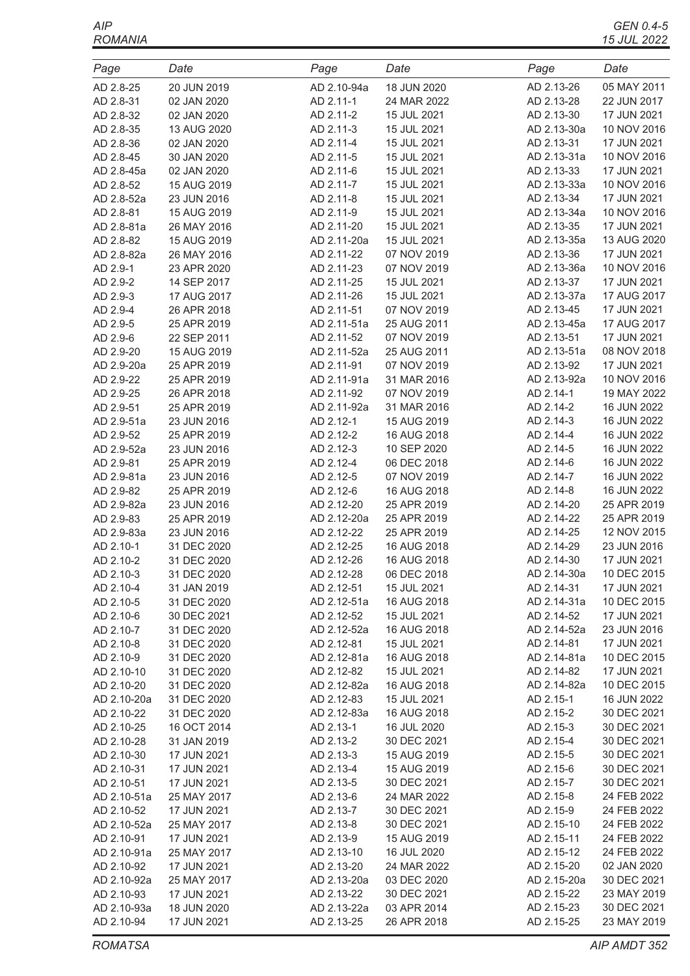$AIP$ ROMANIA

| Page        | Date        | Page        | Date        | Page        | Date        |
|-------------|-------------|-------------|-------------|-------------|-------------|
| AD 2.8-25   | 20 JUN 2019 | AD 2.10-94a | 18 JUN 2020 | AD 2.13-26  | 05 MAY 2011 |
| AD 2.8-31   | 02 JAN 2020 | AD 2.11-1   | 24 MAR 2022 | AD 2.13-28  | 22 JUN 2017 |
| AD 2.8-32   | 02 JAN 2020 | AD 2.11-2   | 15 JUL 2021 | AD 2.13-30  | 17 JUN 2021 |
| AD 2.8-35   | 13 AUG 2020 | AD 2.11-3   | 15 JUL 2021 | AD 2.13-30a | 10 NOV 2016 |
| AD 2.8-36   | 02 JAN 2020 | AD 2.11-4   | 15 JUL 2021 | AD 2.13-31  | 17 JUN 2021 |
| AD 2.8-45   | 30 JAN 2020 | AD 2.11-5   | 15 JUL 2021 | AD 2.13-31a | 10 NOV 2016 |
| AD 2.8-45a  | 02 JAN 2020 | AD 2.11-6   | 15 JUL 2021 | AD 2.13-33  | 17 JUN 2021 |
| AD 2.8-52   | 15 AUG 2019 | AD 2.11-7   | 15 JUL 2021 | AD 2.13-33a | 10 NOV 2016 |
| AD 2.8-52a  | 23 JUN 2016 | AD 2.11-8   | 15 JUL 2021 | AD 2.13-34  | 17 JUN 2021 |
| AD 2.8-81   | 15 AUG 2019 | AD 2.11-9   | 15 JUL 2021 | AD 2.13-34a | 10 NOV 2016 |
| AD 2.8-81a  | 26 MAY 2016 | AD 2.11-20  | 15 JUL 2021 | AD 2.13-35  | 17 JUN 2021 |
| AD 2.8-82   | 15 AUG 2019 | AD 2.11-20a | 15 JUL 2021 | AD 2.13-35a | 13 AUG 2020 |
| AD 2.8-82a  | 26 MAY 2016 | AD 2.11-22  | 07 NOV 2019 | AD 2.13-36  | 17 JUN 2021 |
| AD 2.9-1    | 23 APR 2020 | AD 2.11-23  | 07 NOV 2019 | AD 2.13-36a | 10 NOV 2016 |
| AD 2.9-2    | 14 SEP 2017 | AD 2.11-25  | 15 JUL 2021 | AD 2.13-37  | 17 JUN 2021 |
| AD 2.9-3    | 17 AUG 2017 | AD 2.11-26  | 15 JUL 2021 | AD 2.13-37a | 17 AUG 2017 |
| AD 2.9-4    | 26 APR 2018 | AD 2.11-51  | 07 NOV 2019 | AD 2.13-45  | 17 JUN 2021 |
| AD 2.9-5    | 25 APR 2019 | AD 2.11-51a | 25 AUG 2011 | AD 2.13-45a | 17 AUG 2017 |
| AD 2.9-6    | 22 SEP 2011 | AD 2.11-52  | 07 NOV 2019 | AD 2.13-51  | 17 JUN 2021 |
| AD 2.9-20   | 15 AUG 2019 | AD 2.11-52a | 25 AUG 2011 | AD 2.13-51a | 08 NOV 2018 |
| AD 2.9-20a  | 25 APR 2019 | AD 2.11-91  | 07 NOV 2019 | AD 2.13-92  | 17 JUN 2021 |
| AD 2.9-22   | 25 APR 2019 | AD 2.11-91a | 31 MAR 2016 | AD 2.13-92a | 10 NOV 2016 |
| AD 2.9-25   | 26 APR 2018 | AD 2.11-92  | 07 NOV 2019 | AD 2.14-1   | 19 MAY 2022 |
| AD 2.9-51   | 25 APR 2019 | AD 2.11-92a | 31 MAR 2016 | AD 2.14-2   | 16 JUN 2022 |
| AD 2.9-51a  | 23 JUN 2016 | AD 2.12-1   | 15 AUG 2019 | AD 2.14-3   | 16 JUN 2022 |
| AD 2.9-52   | 25 APR 2019 | AD 2.12-2   | 16 AUG 2018 | AD 2.14-4   | 16 JUN 2022 |
| AD 2.9-52a  | 23 JUN 2016 | AD 2.12-3   | 10 SEP 2020 | AD 2.14-5   | 16 JUN 2022 |
| AD 2.9-81   | 25 APR 2019 | AD 2.12-4   | 06 DEC 2018 | AD 2.14-6   | 16 JUN 2022 |
| AD 2.9-81a  | 23 JUN 2016 | AD 2.12-5   | 07 NOV 2019 | AD 2.14-7   | 16 JUN 2022 |
| AD 2.9-82   | 25 APR 2019 | AD 2.12-6   | 16 AUG 2018 | AD 2.14-8   | 16 JUN 2022 |
| AD 2.9-82a  | 23 JUN 2016 | AD 2.12-20  | 25 APR 2019 | AD 2.14-20  | 25 APR 2019 |
| AD 2.9-83   | 25 APR 2019 | AD 2.12-20a | 25 APR 2019 | AD 2.14-22  | 25 APR 2019 |
| AD 2.9-83a  | 23 JUN 2016 | AD 2.12-22  | 25 APR 2019 | AD 2.14-25  | 12 NOV 2015 |
| AD 2.10-1   | 31 DEC 2020 | AD 2.12-25  | 16 AUG 2018 | AD 2.14-29  | 23 JUN 2016 |
| AD 2.10-2   | 31 DEC 2020 | AD 2.12-26  | 16 AUG 2018 | AD 2.14-30  | 17 JUN 2021 |
| AD 2.10-3   | 31 DEC 2020 | AD 2.12-28  | 06 DEC 2018 | AD 2.14-30a | 10 DEC 2015 |
| AD 2.10-4   | 31 JAN 2019 | AD 2.12-51  | 15 JUL 2021 | AD 2.14-31  | 17 JUN 2021 |
| AD 2.10-5   | 31 DEC 2020 | AD 2.12-51a | 16 AUG 2018 | AD 2.14-31a | 10 DEC 2015 |
| AD 2.10-6   | 30 DEC 2021 | AD 2.12-52  | 15 JUL 2021 | AD 2.14-52  | 17 JUN 2021 |
| AD 2.10-7   | 31 DEC 2020 | AD 2.12-52a | 16 AUG 2018 | AD 2.14-52a | 23 JUN 2016 |
| AD 2.10-8   | 31 DEC 2020 | AD 2.12-81  | 15 JUL 2021 | AD 2.14-81  | 17 JUN 2021 |
| AD 2.10-9   | 31 DEC 2020 | AD 2.12-81a | 16 AUG 2018 | AD 2.14-81a | 10 DEC 2015 |
| AD 2.10-10  | 31 DEC 2020 | AD 2.12-82  | 15 JUL 2021 | AD 2.14-82  | 17 JUN 2021 |
| AD 2.10-20  | 31 DEC 2020 | AD 2.12-82a | 16 AUG 2018 | AD 2.14-82a | 10 DEC 2015 |
| AD 2.10-20a | 31 DEC 2020 | AD 2.12-83  | 15 JUL 2021 | AD 2.15-1   | 16 JUN 2022 |
| AD 2.10-22  | 31 DEC 2020 | AD 2.12-83a | 16 AUG 2018 | AD 2.15-2   | 30 DEC 2021 |
| AD 2.10-25  | 16 OCT 2014 | AD 2.13-1   | 16 JUL 2020 | AD 2.15-3   | 30 DEC 2021 |
| AD 2.10-28  | 31 JAN 2019 | AD 2.13-2   | 30 DEC 2021 | AD 2.15-4   | 30 DEC 2021 |
| AD 2.10-30  | 17 JUN 2021 | AD 2.13-3   | 15 AUG 2019 | AD 2.15-5   | 30 DEC 2021 |
| AD 2.10-31  | 17 JUN 2021 | AD 2.13-4   | 15 AUG 2019 | AD 2.15-6   | 30 DEC 2021 |
| AD 2.10-51  | 17 JUN 2021 | AD 2.13-5   | 30 DEC 2021 | AD 2.15-7   | 30 DEC 2021 |
| AD 2.10-51a | 25 MAY 2017 | AD 2.13-6   | 24 MAR 2022 | AD 2.15-8   | 24 FEB 2022 |
| AD 2.10-52  | 17 JUN 2021 | AD 2.13-7   | 30 DEC 2021 | AD 2.15-9   | 24 FEB 2022 |
| AD 2.10-52a | 25 MAY 2017 | AD 2.13-8   | 30 DEC 2021 | AD 2.15-10  | 24 FEB 2022 |
| AD 2.10-91  | 17 JUN 2021 | AD 2.13-9   | 15 AUG 2019 | AD 2.15-11  | 24 FEB 2022 |
| AD 2.10-91a | 25 MAY 2017 | AD 2.13-10  | 16 JUL 2020 | AD 2.15-12  | 24 FEB 2022 |
| AD 2.10-92  | 17 JUN 2021 | AD 2.13-20  | 24 MAR 2022 | AD 2.15-20  | 02 JAN 2020 |
| AD 2.10-92a | 25 MAY 2017 | AD 2.13-20a | 03 DEC 2020 | AD 2.15-20a | 30 DEC 2021 |
| AD 2.10-93  | 17 JUN 2021 | AD 2.13-22  | 30 DEC 2021 | AD 2.15-22  | 23 MAY 2019 |
| AD 2.10-93a | 18 JUN 2020 | AD 2.13-22a | 03 APR 2014 | AD 2.15-23  | 30 DEC 2021 |
| AD 2.10-94  | 17 JUN 2021 | AD 2.13-25  | 26 APR 2018 | AD 2.15-25  | 23 MAY 2019 |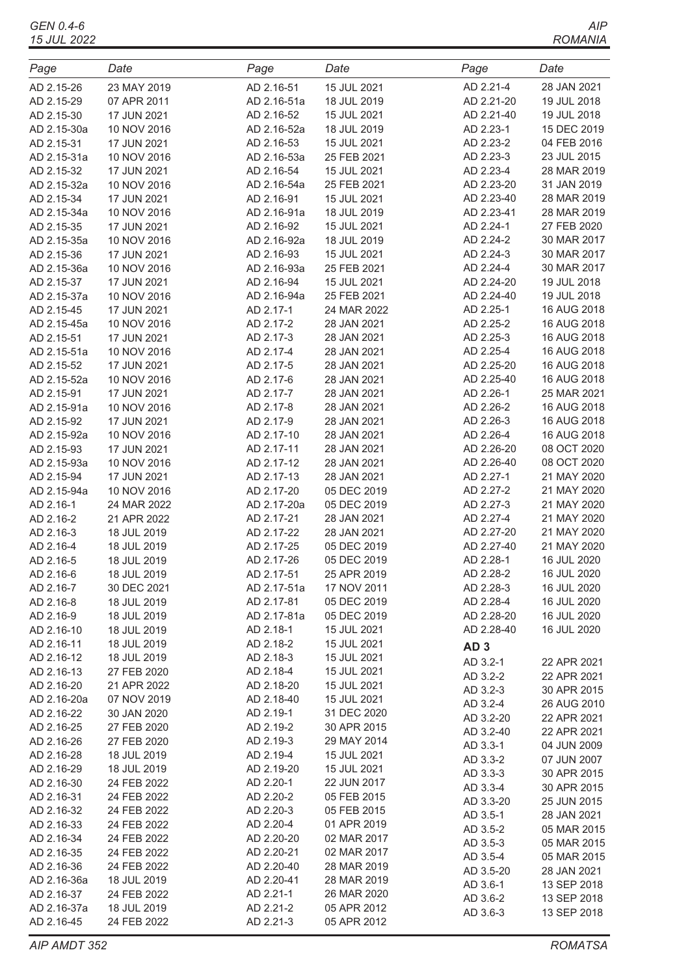GEN 0.4-6 15 JUL 2022

| Page                   | Date                       | Page                      | Date                       | Page                   | Date                       |
|------------------------|----------------------------|---------------------------|----------------------------|------------------------|----------------------------|
| AD 2.15-26             | 23 MAY 2019                | AD 2.16-51                | 15 JUL 2021                | AD 2.21-4              | 28 JAN 2021                |
| AD 2.15-29             | 07 APR 2011                | AD 2.16-51a               | 18 JUL 2019                | AD 2.21-20             | 19 JUL 2018                |
| AD 2.15-30             | 17 JUN 2021                | AD 2.16-52                | 15 JUL 2021                | AD 2.21-40             | 19 JUL 2018                |
| AD 2.15-30a            | 10 NOV 2016                | AD 2.16-52a               | 18 JUL 2019                | AD 2.23-1              | 15 DEC 2019                |
| AD 2.15-31             | 17 JUN 2021                | AD 2.16-53                | 15 JUL 2021                | AD 2.23-2              | 04 FEB 2016                |
| AD 2.15-31a            | 10 NOV 2016                | AD 2.16-53a               | 25 FEB 2021                | AD 2.23-3              | 23 JUL 2015                |
| AD 2.15-32             | 17 JUN 2021                | AD 2.16-54                | 15 JUL 2021                | AD 2.23-4              | 28 MAR 2019                |
| AD 2.15-32a            | 10 NOV 2016                | AD 2.16-54a               | 25 FEB 2021                | AD 2.23-20             | 31 JAN 2019                |
| AD 2.15-34             | 17 JUN 2021                | AD 2.16-91                | 15 JUL 2021                | AD 2.23-40             | 28 MAR 2019                |
| AD 2.15-34a            | 10 NOV 2016                | AD 2.16-91a               | 18 JUL 2019                | AD 2.23-41             | 28 MAR 2019                |
| AD 2.15-35             | 17 JUN 2021                | AD 2.16-92                | 15 JUL 2021                | AD 2.24-1              | 27 FEB 2020                |
| AD 2.15-35a            | 10 NOV 2016                | AD 2.16-92a               | 18 JUL 2019                | AD 2.24-2              | 30 MAR 2017                |
| AD 2.15-36             | 17 JUN 2021                | AD 2.16-93                | 15 JUL 2021                | AD 2.24-3              | 30 MAR 2017                |
| AD 2.15-36a            | 10 NOV 2016                | AD 2.16-93a               | 25 FEB 2021                | AD 2.24-4              | 30 MAR 2017                |
| AD 2.15-37             | 17 JUN 2021                | AD 2.16-94                | 15 JUL 2021                | AD 2.24-20             | 19 JUL 2018                |
| AD 2.15-37a            | 10 NOV 2016                | AD 2.16-94a               | 25 FEB 2021                | AD 2.24-40             | 19 JUL 2018                |
| AD 2.15-45             | 17 JUN 2021                | AD 2.17-1                 | 24 MAR 2022                | AD 2.25-1              | 16 AUG 2018                |
| AD 2.15-45a            | 10 NOV 2016                | AD 2.17-2                 | 28 JAN 2021                | AD 2.25-2              | 16 AUG 2018                |
| AD 2.15-51             | 17 JUN 2021                | AD 2.17-3                 | 28 JAN 2021                | AD 2.25-3              | 16 AUG 2018                |
| AD 2.15-51a            | 10 NOV 2016                | AD 2.17-4                 | 28 JAN 2021                | AD 2.25-4              | 16 AUG 2018                |
| AD 2.15-52             | 17 JUN 2021                | AD 2.17-5                 | 28 JAN 2021                | AD 2.25-20             | 16 AUG 2018                |
| AD 2.15-52a            | 10 NOV 2016                | AD 2.17-6                 | 28 JAN 2021                | AD 2.25-40             | 16 AUG 2018                |
| AD 2.15-91             | 17 JUN 2021                | AD 2.17-7                 | 28 JAN 2021                | AD 2.26-1              | 25 MAR 2021                |
| AD 2.15-91a            | 10 NOV 2016                | AD 2.17-8                 | 28 JAN 2021                | AD 2.26-2              | 16 AUG 2018                |
| AD 2.15-92             | 17 JUN 2021                | AD 2.17-9                 | 28 JAN 2021                | AD 2.26-3              | 16 AUG 2018                |
| AD 2.15-92a            | 10 NOV 2016                | AD 2.17-10                | 28 JAN 2021                | AD 2.26-4              | 16 AUG 2018                |
| AD 2.15-93             | 17 JUN 2021                | AD 2.17-11                | 28 JAN 2021                | AD 2.26-20             | 08 OCT 2020                |
| AD 2.15-93a            | 10 NOV 2016                | AD 2.17-12                | 28 JAN 2021                | AD 2.26-40             | 08 OCT 2020                |
| AD 2.15-94             | 17 JUN 2021                | AD 2.17-13                | 28 JAN 2021                | AD 2.27-1              | 21 MAY 2020                |
| AD 2.15-94a            | 10 NOV 2016                | AD 2.17-20                | 05 DEC 2019<br>05 DEC 2019 | AD 2.27-2<br>AD 2.27-3 | 21 MAY 2020<br>21 MAY 2020 |
| AD 2.16-1<br>AD 2.16-2 | 24 MAR 2022<br>21 APR 2022 | AD 2.17-20a<br>AD 2.17-21 | 28 JAN 2021                | AD 2.27-4              | 21 MAY 2020                |
| AD 2.16-3              | 18 JUL 2019                | AD 2.17-22                | 28 JAN 2021                | AD 2.27-20             | 21 MAY 2020                |
| AD 2.16-4              | 18 JUL 2019                | AD 2.17-25                | 05 DEC 2019                | AD 2.27-40             | 21 MAY 2020                |
| AD 2.16-5              | 18 JUL 2019                | AD 2.17-26                | 05 DEC 2019                | AD 2.28-1              | 16 JUL 2020                |
| AD 2.16-6              | 18 JUL 2019                | AD 2.17-51                | 25 APR 2019                | AD 2.28-2              | 16 JUL 2020                |
| AD 2.16-7              | 30 DEC 2021                | AD 2.17-51a               | 17 NOV 2011                | AD 2.28-3              | 16 JUL 2020                |
| AD 2.16-8              | 18 JUL 2019                | AD 2.17-81                | 05 DEC 2019                | AD 2.28-4              | 16 JUL 2020                |
| AD 2.16-9              | 18 JUL 2019                | AD 2.17-81a               | 05 DEC 2019                | AD 2.28-20             | 16 JUL 2020                |
| AD 2.16-10             | 18 JUL 2019                | AD 2.18-1                 | 15 JUL 2021                | AD 2.28-40             | 16 JUL 2020                |
| AD 2.16-11             | 18 JUL 2019                | AD 2.18-2                 | 15 JUL 2021                | AD <sub>3</sub>        |                            |
| AD 2.16-12             | 18 JUL 2019                | AD 2.18-3                 | 15 JUL 2021                |                        |                            |
| AD 2.16-13             | 27 FEB 2020                | AD 2.18-4                 | 15 JUL 2021                | AD 3.2-1<br>AD 3.2-2   | 22 APR 2021                |
| AD 2.16-20             | 21 APR 2022                | AD 2.18-20                | 15 JUL 2021                | AD 3.2-3               | 22 APR 2021<br>30 APR 2015 |
| AD 2.16-20a            | 07 NOV 2019                | AD 2.18-40                | 15 JUL 2021                | AD 3.2-4               | 26 AUG 2010                |
| AD 2.16-22             | 30 JAN 2020                | AD 2.19-1                 | 31 DEC 2020                | AD 3.2-20              | 22 APR 2021                |
| AD 2.16-25             | 27 FEB 2020                | AD 2.19-2                 | 30 APR 2015                | AD 3.2-40              | 22 APR 2021                |
| AD 2.16-26             | 27 FEB 2020                | AD 2.19-3                 | 29 MAY 2014                | AD 3.3-1               | 04 JUN 2009                |
| AD 2.16-28             | 18 JUL 2019                | AD 2.19-4                 | 15 JUL 2021                | AD 3.3-2               | 07 JUN 2007                |
| AD 2.16-29             | 18 JUL 2019                | AD 2.19-20                | 15 JUL 2021                | AD 3.3-3               | 30 APR 2015                |
| AD 2.16-30             | 24 FEB 2022                | AD 2.20-1                 | 22 JUN 2017                | AD 3.3-4               | 30 APR 2015                |
| AD 2.16-31             | 24 FEB 2022                | AD 2.20-2                 | 05 FEB 2015                | AD 3.3-20              | 25 JUN 2015                |
| AD 2.16-32             | 24 FEB 2022                | AD 2.20-3                 | 05 FEB 2015                | AD 3.5-1               | 28 JAN 2021                |
| AD 2.16-33             | 24 FEB 2022                | AD 2.20-4                 | 01 APR 2019                | AD 3.5-2               | 05 MAR 2015                |
| AD 2.16-34             | 24 FEB 2022                | AD 2.20-20                | 02 MAR 2017                | AD 3.5-3               | 05 MAR 2015                |
| AD 2.16-35             | 24 FEB 2022                | AD 2.20-21                | 02 MAR 2017                | AD 3.5-4               | 05 MAR 2015                |
| AD 2.16-36             | 24 FEB 2022                | AD 2.20-40                | 28 MAR 2019                | AD 3.5-20              | 28 JAN 2021                |
| AD 2.16-36a            | 18 JUL 2019                | AD 2.20-41                | 28 MAR 2019                | AD 3.6-1               | 13 SEP 2018                |
| AD 2.16-37             | 24 FEB 2022                | AD 2.21-1                 | 26 MAR 2020                | AD 3.6-2               | 13 SEP 2018                |
| AD 2.16-37a            | 18 JUL 2019                | AD 2.21-2                 | 05 APR 2012                | AD 3.6-3               | 13 SEP 2018                |
| AD 2.16-45             | 24 FEB 2022                | AD 2.21-3                 | 05 APR 2012                |                        |                            |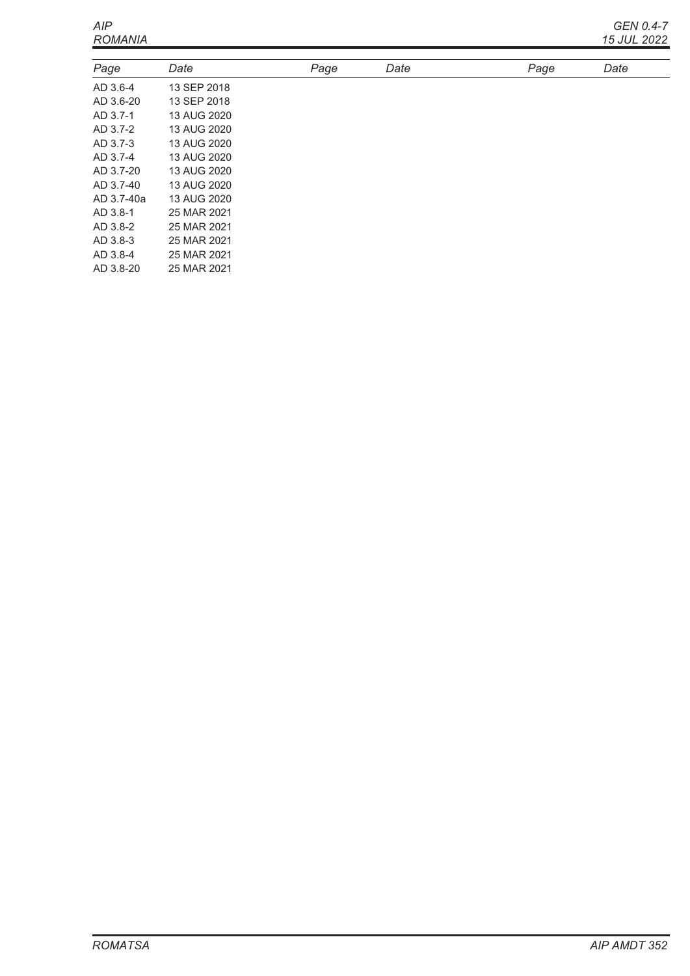$AIP$ **ROMANIA** 

| Page       | Date        | Page | Date | Page | Date |
|------------|-------------|------|------|------|------|
| AD 3.6-4   | 13 SEP 2018 |      |      |      |      |
| AD 3.6-20  | 13 SEP 2018 |      |      |      |      |
| AD 3.7-1   | 13 AUG 2020 |      |      |      |      |
| AD 3.7-2   | 13 AUG 2020 |      |      |      |      |
| AD 3.7-3   | 13 AUG 2020 |      |      |      |      |
| AD 3.7-4   | 13 AUG 2020 |      |      |      |      |
| AD 3.7-20  | 13 AUG 2020 |      |      |      |      |
| AD 3.7-40  | 13 AUG 2020 |      |      |      |      |
| AD 3.7-40a | 13 AUG 2020 |      |      |      |      |
| AD 3.8-1   | 25 MAR 2021 |      |      |      |      |
| AD 3.8-2   | 25 MAR 2021 |      |      |      |      |
| AD 3.8-3   | 25 MAR 2021 |      |      |      |      |
| AD 3.8-4   | 25 MAR 2021 |      |      |      |      |
| AD 3.8-20  | 25 MAR 2021 |      |      |      |      |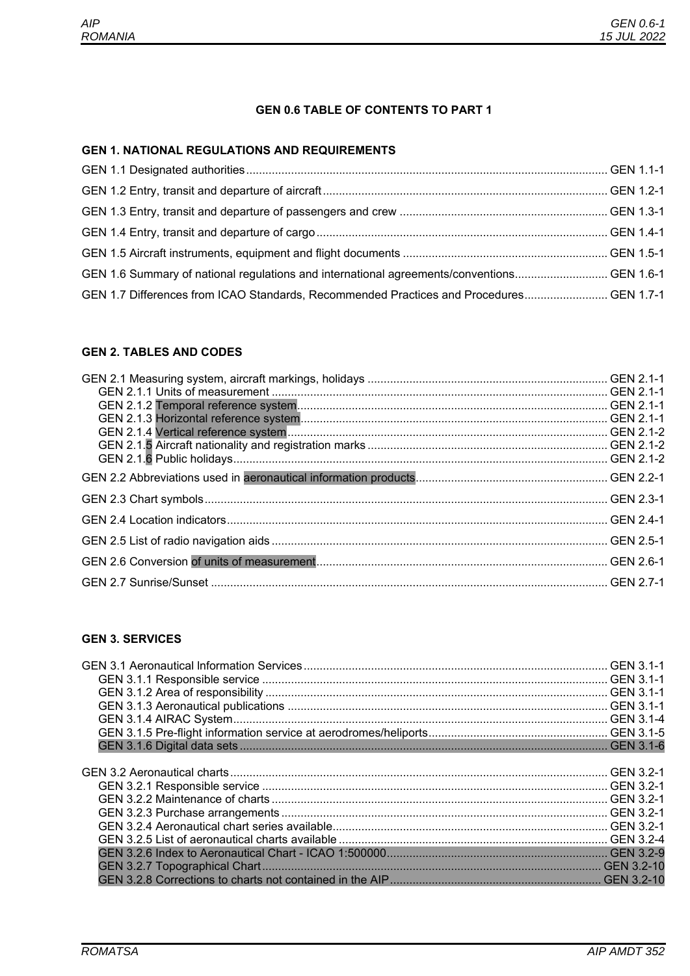## **GEN 0.6 TABLE OF CONTENTS TO PART 1**

## **GEN 1. NATIONAL REGULATIONS AND REQUIREMENTS**

| GEN 1.6 Summary of national regulations and international agreements/conventions GEN 1.6-1 |  |
|--------------------------------------------------------------------------------------------|--|
| GEN 1.7 Differences from ICAO Standards, Recommended Practices and Procedures GEN 1.7-1    |  |

## **GEN 2. TABLES AND CODES**

## **GEN 3. SERVICES**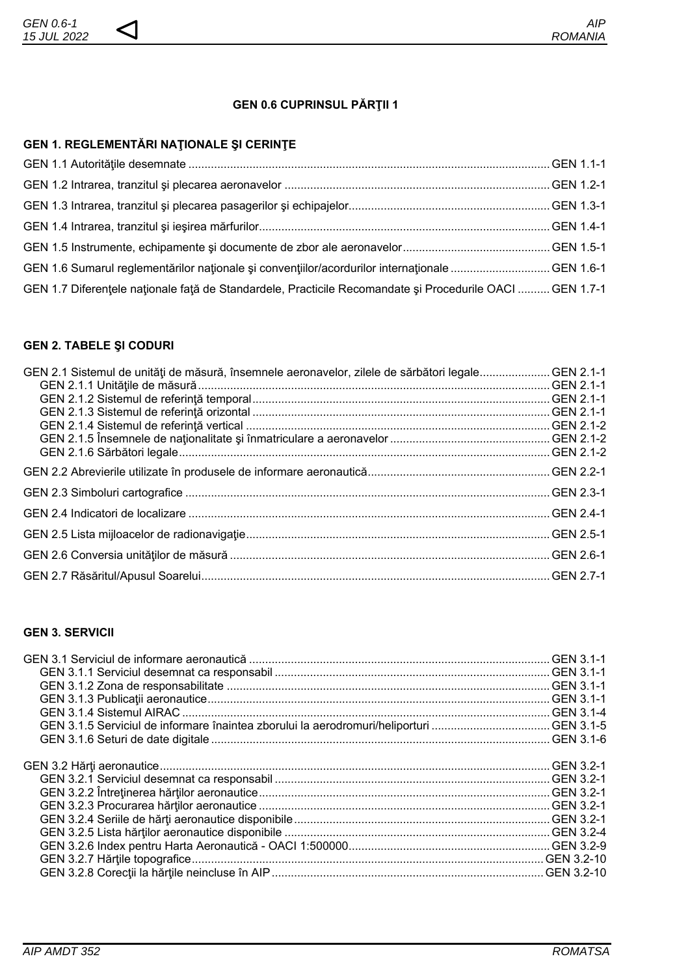## **GEN 0.6 CUPRINSUL PĂRŢII 1**

## **GEN 1. REGLEMENTĂRI NAŢIONALE ŞI CERINŢE**

| GEN 1.7 Diferențele naționale față de Standardele, Practicile Recomandate și Procedurile OACI  GEN 1.7-1 |  |
|----------------------------------------------------------------------------------------------------------|--|

## **GEN 2. TABELE ŞI CODURI**

| GEN 2.1 Sistemul de unități de măsură, însemnele aeronavelor, zilele de sărbători legaleGEN 2.1-1 |
|---------------------------------------------------------------------------------------------------|
|                                                                                                   |
|                                                                                                   |
|                                                                                                   |
|                                                                                                   |
|                                                                                                   |
|                                                                                                   |
|                                                                                                   |
|                                                                                                   |
|                                                                                                   |
|                                                                                                   |
|                                                                                                   |
|                                                                                                   |
|                                                                                                   |

## **GEN 3. SERVICII**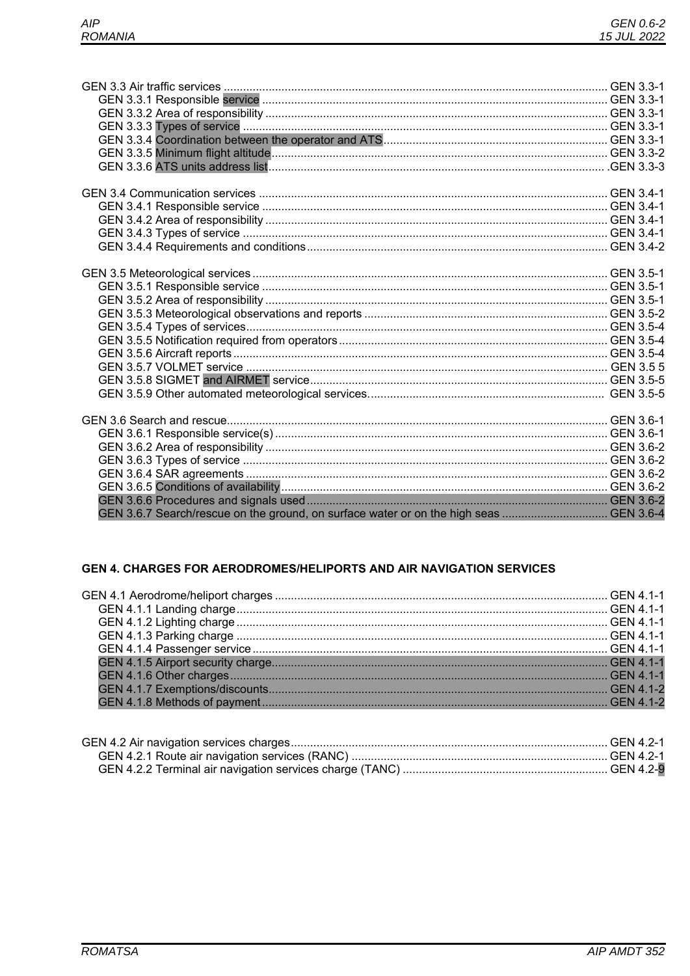## **GEN 4. CHARGES FOR AERODROMES/HELIPORTS AND AIR NAVIGATION SERVICES**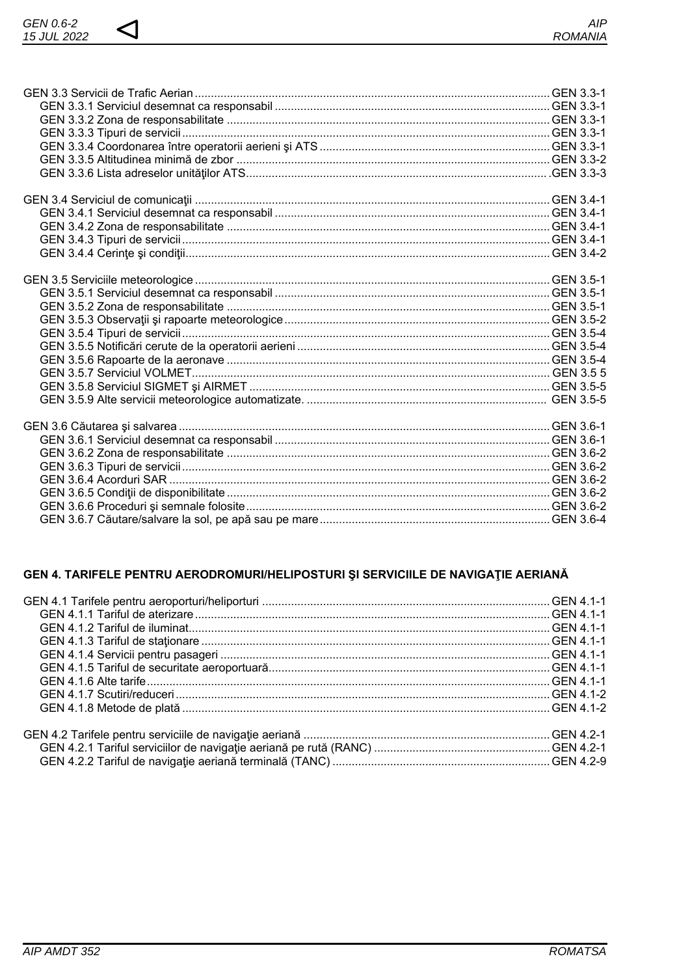## GEN 4. TARIFELE PENTRU AERODROMURI/HELIPOSTURI ȘI SERVICIILE DE NAVIGAȚIE AERIANĂ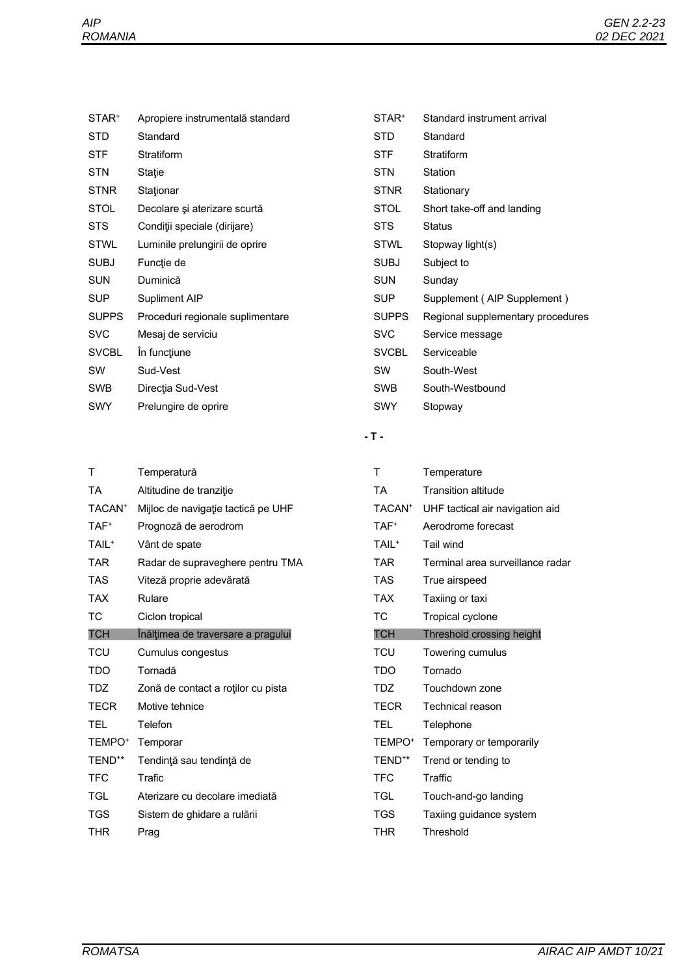| Apropiere instrumentală standard |
|----------------------------------|
| Standard                         |
| Stratiform                       |
| Statie                           |
| Stationar                        |
| Decolare și aterizare scurtă     |
| Condiții speciale (dirijare)     |
| Luminile prelungirii de oprire   |
| Funcție de                       |
| Duminică                         |
| Supliment AIP                    |
| Proceduri regionale suplimentare |
| Mesaj de serviciu                |
| In functiune                     |
| Sud-Vest                         |
| Direcția Sud-Vest                |
| Prelungire de oprire             |
|                                  |

| T                  | Temperatură                        |
|--------------------|------------------------------------|
| TA                 | Altitudine de tranziție            |
| TACAN <sup>+</sup> | Mijloc de navigație tactică pe UHF |
| TAF <sup>+</sup>   | Prognoză de aerodrom               |
| TAIL <sup>+</sup>  | Vânt de spate                      |
| <b>TAR</b>         | Radar de supraveghere pentru TMA   |
| <b>TAS</b>         | Viteză proprie adevărată           |
| <b>TAX</b>         | Rulare                             |
| ТC                 | Ciclon tropical                    |
| <b>TCH</b>         | Înălțimea de traversare a pragului |
| <b>TCU</b>         | Cumulus congestus                  |
| <b>TDO</b>         | Tornadă                            |
|                    |                                    |
| <b>TDZ</b>         | Zonă de contact a roților cu pista |
| <b>TECR</b>        | Motive tehnice                     |
| <b>TEL</b>         | Telefon                            |
| TEMPO <sup>+</sup> | Temporar                           |
| TEND <sup>+*</sup> | Tendință sau tendință de           |
| <b>TFC</b>         | Trafic                             |
| <b>TGL</b>         | Aterizare cu decolare imediată     |
| TGS.               | Sistem de ghidare a rulării        |

| STAR <sup>+</sup> | Standard instrument arrival       |
|-------------------|-----------------------------------|
| STD               | Standard                          |
| <b>STF</b>        | Stratiform                        |
| STN               | Station                           |
| <b>STNR</b>       | Stationary                        |
| STOL              | Short take-off and landing        |
| <b>STS</b>        | Status                            |
| STWI              | Stopway light(s)                  |
| <b>SUBJ</b>       | Subject to                        |
| <b>SUN</b>        | Sunday                            |
| SUP               | Supplement (AIP Supplement)       |
| <b>SUPPS</b>      | Regional supplementary procedures |
| SVC               | Service message                   |
| <b>SVCBL</b>      | Serviceable                       |
| SW                | South-West                        |
| <b>SWB</b>        | South-Westbound                   |
| SWY               | Stopway                           |
|                   |                                   |

## **- T -**

| т                  | Temperature                      |
|--------------------|----------------------------------|
| <b>TA</b>          | <b>Transition altitude</b>       |
| TACAN <sup>+</sup> | UHF tactical air navigation aid  |
| TAF <sup>+</sup>   | Aerodrome forecast               |
| TAIL <sup>+</sup>  | Tail wind                        |
| TAR                | Terminal area surveillance radar |
| <b>TAS</b>         | True airspeed                    |
| <b>TAX</b>         | Taxiing or taxi                  |
| ТC                 | Tropical cyclone                 |
| <b>TCH</b>         | Threshold crossing height        |
| TCU                | Towering cumulus                 |
| TDO.               | Tornado                          |
| <b>TDZ</b>         | Touchdown zone                   |
| <b>TECR</b>        | Technical reason                 |
| <b>TEL</b>         | Telephone                        |
| TEMPO <sup>+</sup> | Temporary or temporarily         |
| TEND <sup>+*</sup> | Trend or tending to              |
| <b>TFC</b>         | Traffic                          |
|                    |                                  |
| TGL                | Touch-and-go landing             |
| TGS.               | Taxiing guidance system          |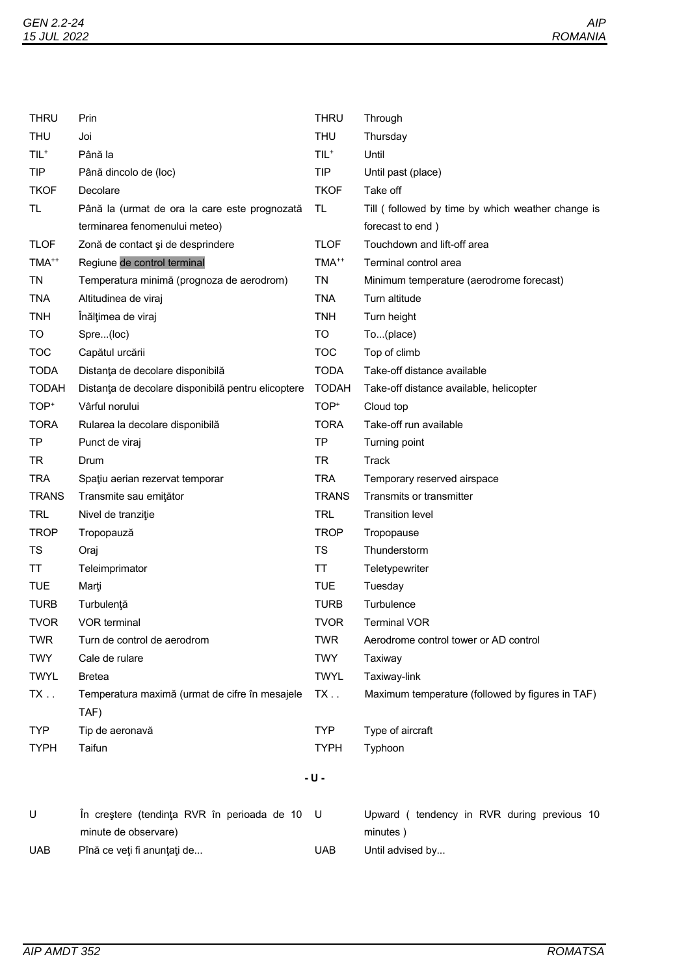| <b>THRU</b>       | Prin                                                                | <b>THRU</b>        | Through                                                 |
|-------------------|---------------------------------------------------------------------|--------------------|---------------------------------------------------------|
| <b>THU</b>        | Joi                                                                 | <b>THU</b>         | Thursday                                                |
| TIL <sup>+</sup>  | Până la                                                             | $TIL$ <sup>+</sup> | Until                                                   |
| TIP               | Până dincolo de (loc)                                               | TIP                | Until past (place)                                      |
| <b>TKOF</b>       | Decolare                                                            | <b>TKOF</b>        | Take off                                                |
| TL                | Până la (urmat de ora la care este prognozată                       | <b>TL</b>          | Till (followed by time by which weather change is       |
|                   | terminarea fenomenului meteo)                                       |                    | forecast to end)                                        |
| <b>TLOF</b>       | Zonă de contact și de desprindere                                   | <b>TLOF</b>        | Touchdown and lift-off area                             |
| TMA <sup>++</sup> | Regiune de control terminal                                         | TMA <sup>++</sup>  | Terminal control area                                   |
| ΤN                | Temperatura minimă (prognoza de aerodrom)                           | ΤN                 | Minimum temperature (aerodrome forecast)                |
| <b>TNA</b>        | Altitudinea de viraj                                                | <b>TNA</b>         | Turn altitude                                           |
| <b>TNH</b>        | Înălțimea de viraj                                                  | <b>TNH</b>         | Turn height                                             |
| TO                | Spre(loc)                                                           | TO                 | To(place)                                               |
| <b>TOC</b>        | Capătul urcării                                                     | <b>TOC</b>         | Top of climb                                            |
| <b>TODA</b>       | Distanța de decolare disponibilă                                    | <b>TODA</b>        | Take-off distance available                             |
| <b>TODAH</b>      | Distanța de decolare disponibilă pentru elicoptere                  | <b>TODAH</b>       | Take-off distance available, helicopter                 |
| TOP <sup>+</sup>  | Vârful norului                                                      | TOP <sup>+</sup>   | Cloud top                                               |
| <b>TORA</b>       | Rularea la decolare disponibilă                                     | <b>TORA</b>        | Take-off run available                                  |
| ТP                | Punct de viraj                                                      | TP                 | Turning point                                           |
| TR                | Drum                                                                | <b>TR</b>          | Track                                                   |
| <b>TRA</b>        | Spațiu aerian rezervat temporar                                     | <b>TRA</b>         | Temporary reserved airspace                             |
| <b>TRANS</b>      | Transmite sau emițător                                              | <b>TRANS</b>       | Transmits or transmitter                                |
| <b>TRL</b>        | Nivel de tranziție                                                  | <b>TRL</b>         | <b>Transition level</b>                                 |
| <b>TROP</b>       | Tropopauză                                                          | <b>TROP</b>        | Tropopause                                              |
| TS                | Oraj                                                                | <b>TS</b>          | Thunderstorm                                            |
| ΤT                | Teleimprimator                                                      | TT                 | Teletypewriter                                          |
| <b>TUE</b>        | Marţi                                                               | <b>TUE</b>         | Tuesday                                                 |
| <b>TURB</b>       | Turbulență                                                          | <b>TURB</b>        | Turbulence                                              |
| <b>TVOR</b>       | <b>VOR</b> terminal                                                 | <b>TVOR</b>        | <b>Terminal VOR</b>                                     |
| <b>TWR</b>        | Turn de control de aerodrom                                         | <b>TWR</b>         | Aerodrome control tower or AD control                   |
| <b>TWY</b>        | Cale de rulare                                                      | <b>TWY</b>         | Taxiway                                                 |
| <b>TWYL</b>       | <b>Bretea</b>                                                       | <b>TWYL</b>        | Taxiway-link                                            |
| $TX$              | Temperatura maximă (urmat de cifre în mesajele                      | $TX_{++}$          | Maximum temperature (followed by figures in TAF)        |
|                   | TAF)                                                                |                    |                                                         |
| <b>TYP</b>        | Tip de aeronavă                                                     | <b>TYP</b>         | Type of aircraft                                        |
| <b>TYPH</b>       | Taifun                                                              | <b>TYPH</b>        | Typhoon                                                 |
|                   |                                                                     | - U -              |                                                         |
| U                 | În creștere (tendința RVR în perioada de 10<br>minute de observare) | U                  | Upward ( tendency in RVR during previous 10<br>minutes) |
| <b>UAB</b>        | Pînă ce veți fi anunțați de                                         | <b>UAB</b>         | Until advised by                                        |
|                   |                                                                     |                    |                                                         |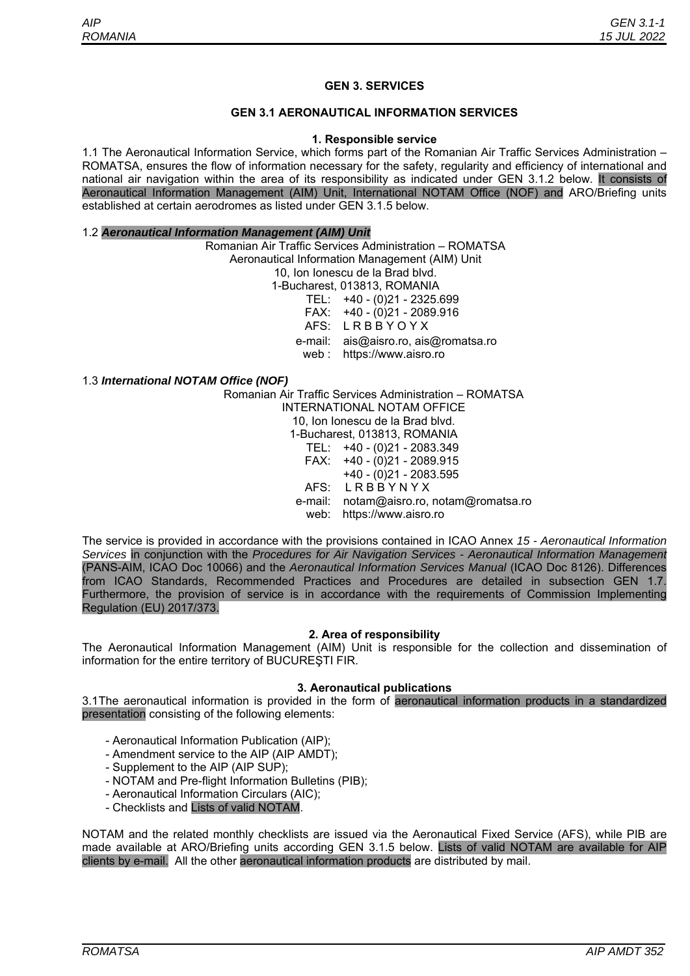## **GEN 3. SERVICES**

## **GEN 3.1 AERONAUTICAL INFORMATION SERVICES**

#### **1. Responsible service**

1.1 The Aeronautical Information Service, which forms part of the Romanian Air Traffic Services Administration – ROMATSA, ensures the flow of information necessary for the safety, regularity and efficiency of international and national air navigation within the area of its responsibility as indicated under GEN 3.1.2 below. It consists of Aeronautical Information Management (AIM) Unit, International NOTAM Office (NOF) and ARO/Briefing units established at certain aerodromes as listed under GEN 3.1.5 below.

#### 1.2 *Aeronautical Information Management (AIM) Unit*

Romanian Air Traffic Services Administration – ROMATSA Aeronautical Information Management (AIM) Unit 10, Ion Ionescu de la Brad blvd. 1-Bucharest, 013813, ROMANIA TEL: FAX: AFS: L R B B Y O Y X +40 - (0)21 - 2325.699 +40 - (0)21 - 2089.916 e-mail: ais@aisro.ro, ais@romatsa.ro web : https://www.aisro.ro 1.3 *International NOTAM Office (NOF)*  Romanian Air Traffic Services Administration – ROMATSA

INTERNATIONAL NOTAM OFFICE 10, Ion Ionescu de la Brad blvd. 1-Bucharest, 013813, ROMANIA TEL: +40 - (0)21 - 2083.349 FAX: +40 - (0)21 - 2089.915 AFS: L R B B Y N Y X +40 - (0)21 - 2083.595 e-mail: notam@aisro.ro, notam@romatsa.ro web: https://www.aisro.ro

The service is provided in accordance with the provisions contained in ICAO Annex *15 - Aeronautical Information Services* in conjunction with the *Procedures for Air Navigation Services - Aeronautical Information Management* (PANS-AIM, ICAO Doc 10066) and the *Aeronautical Information Services Manual* (ICAO Doc 8126). Differences from ICAO Standards, Recommended Practices and Procedures are detailed in subsection GEN 1.7. Furthermore, the provision of service is in accordance with the requirements of Commission Implementing Regulation (EU) 2017/373.

## **2. Area of responsibility**

The Aeronautical Information Management (AIM) Unit is responsible for the collection and dissemination of information for the entire territory of BUCUREŞTI FIR.

## **3. Aeronautical publications**

3.1 The aeronautical information is provided in the form of aeronautical information products in a standardized presentation consisting of the following elements:

- Aeronautical Information Publication (AIP);
- Amendment service to the AIP (AIP AMDT);
- Supplement to the AIP (AIP SUP);
- NOTAM and Pre-flight Information Bulletins (PIB);
- Aeronautical Information Circulars (AIC);
- Checklists and Lists of valid NOTAM.

NOTAM and the related monthly checklists are issued via the Aeronautical Fixed Service (AFS), while PIB are made available at ARO/Briefing units according GEN 3.1.5 below. Lists of valid NOTAM are available for AIP clients by e-mail. All the other aeronautical information products are distributed by mail.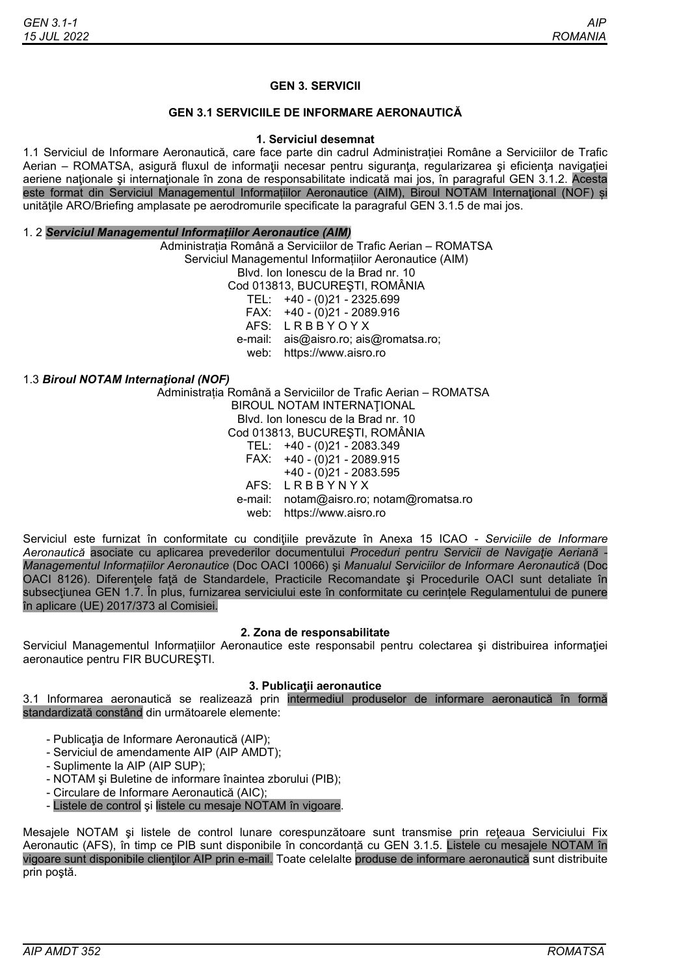## **GEN 3. SERVICII**

## **GEN 3.1 SERVICIILE DE INFORMARE AERONAUTICĂ**

#### **1. Serviciul desemnat**

1.1 Serviciul de Informare Aeronautică, care face parte din cadrul Administrației Române a Serviciilor de Trafic Aerian – ROMATSA, asigură fluxul de informații necesar pentru siguranța, regularizarea și eficiența navigației aeriene nationale și internaționale în zona de responsabilitate indicată mai jos, în paragraful GEN 3.1.2. Acesta este format din Serviciul Managementul Informațiilor Aeronautice (AIM), Biroul NOTAM Internaţional (NOF) și unităţile ARO/Briefing amplasate pe aerodromurile specificate la paragraful GEN 3.1.5 de mai jos.

#### 1. 2 *Serviciul Managementul Informațiilor Aeronautice (AIM)*

Administrația Română a Serviciilor de Trafic Aerian – ROMATSA

Serviciul Managementul Informațiilor Aeronautice (AIM)

Blvd. Ion Ionescu de la Brad nr. 10

Cod 013813, BUCUREŞTI, ROMÂNIA

TEL: +40 - (0)21 - 2325.699

FAX: +40 - (0)21 - 2089.916

AFS: L R B B Y O Y X

e-mail: ais@aisro.ro; ais@romatsa.ro;

web: https://www.aisro.ro

#### 1.3 *Biroul NOTAM Internaţional (NOF)*

Administrația Română a Serviciilor de Trafic Aerian – ROMATSA

BIROUL NOTAM INTERNATIONAL

Blvd. Ion Ionescu de la Brad nr. 10 Cod 013813, BUCUREŞTI, ROMÂNIA

TEL: +40 - (0)21 - 2083.349 FAX: +40 - (0)21 - 2089.915 AFS: L R B B Y N Y X +40 - (0)21 - 2083.595 e-mail: notam@aisro.ro; notam@romatsa.ro web: https://www.aisro.ro

Serviciul este furnizat în conformitate cu condiţiile prevăzute în Anexa 15 ICAO *- Serviciile de Informare Aeronautică* asociate cu aplicarea prevederilor documentului *Proceduri pentru Servicii de Navigaţie Aeriană - Managementul Informațiilor Aeronautice* (Doc OACI 10066) şi *Manualul Serviciilor de Informare Aeronautică* (Doc OACI 8126). Diferenţele faţă de Standardele, Practicile Recomandate şi Procedurile OACI sunt detaliate în subsecțiunea GEN 1.7. În plus, furnizarea serviciului este în conformitate cu cerințele Regulamentului de punere în aplicare (UE) 2017/373 al Comisiei.

#### **2. Zona de responsabilitate**

Serviciul Managementul Informațiilor Aeronautice este responsabil pentru colectarea şi distribuirea informaţiei aeronautice pentru FIR BUCUREŞTI.

#### **3. Publicaţii aeronautice**

3.1 Informarea aeronautică se realizează prin intermediul produselor de informare aeronautică în formă standardizată constând din următoarele elemente:

- Publicatia de Informare Aeronautică (AIP);
- Serviciul de amendamente AIP (AIP AMDT);
- Suplimente la AIP (AIP SUP);
- NOTAM şi Buletine de informare înaintea zborului (PIB);
- Circulare de Informare Aeronautică (AIC);
- Listele de control şi listele cu mesaje NOTAM în vigoare.

Mesajele NOTAM și listele de control lunare corespunzătoare sunt transmise prin reteaua Serviciului Fix Aeronautic (AFS), în timp ce PIB sunt disponibile în concordanță cu GEN 3.1.5. Listele cu mesajele NOTAM în vigoare sunt disponibile clientilor AIP prin e-mail. Toate celelalte produse de informare aeronautică sunt distribuite prin poştă.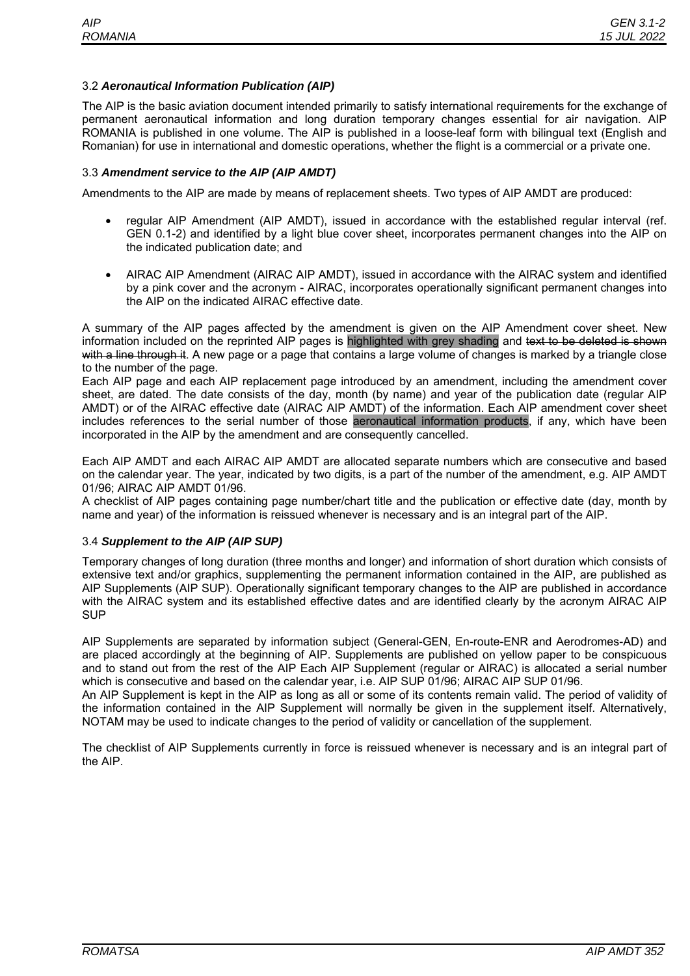## 3.2 *Aeronautical Information Publication (AIP)*

The AIP is the basic aviation document intended primarily to satisfy international requirements for the exchange of permanent aeronautical information and long duration temporary changes essential for air navigation. AIP ROMANIA is published in one volume. The AIP is published in a loose-leaf form with bilingual text (English and Romanian) for use in international and domestic operations, whether the flight is a commercial or a private one.

## 3.3 *Amendment service to the AIP (AIP AMDT)*

Amendments to the AIP are made by means of replacement sheets. Two types of AIP AMDT are produced:

- regular AIP Amendment (AIP AMDT), issued in accordance with the established regular interval (ref. GEN 0.1-2) and identified by a light blue cover sheet, incorporates permanent changes into the AIP on the indicated publication date; and
- AIRAC AIP Amendment (AIRAC AIP AMDT), issued in accordance with the AIRAC system and identified by a pink cover and the acronym - AIRAC, incorporates operationally significant permanent changes into the AIP on the indicated AIRAC effective date.

A summary of the AIP pages affected by the amendment is given on the AIP Amendment cover sheet. New information included on the reprinted AIP pages is highlighted with grey shading and text to be deleted is shown with a line through it. A new page or a page that contains a large volume of changes is marked by a triangle close to the number of the page.

Each AIP page and each AIP replacement page introduced by an amendment, including the amendment cover sheet, are dated. The date consists of the day, month (by name) and year of the publication date (regular AIP AMDT) or of the AIRAC effective date (AIRAC AIP AMDT) of the information. Each AIP amendment cover sheet includes references to the serial number of those aeronautical information products, if any, which have been incorporated in the AIP by the amendment and are consequently cancelled.

Each AIP AMDT and each AIRAC AIP AMDT are allocated separate numbers which are consecutive and based on the calendar year. The year, indicated by two digits, is a part of the number of the amendment, e.g. AIP AMDT 01/96; AIRAC AIP AMDT 01/96.

A checklist of AIP pages containing page number/chart title and the publication or effective date (day, month by name and year) of the information is reissued whenever is necessary and is an integral part of the AIP.

## 3.4 *Supplement to the AIP (AIP SUP)*

Temporary changes of long duration (three months and longer) and information of short duration which consists of extensive text and/or graphics, supplementing the permanent information contained in the AIP, are published as AIP Supplements (AIP SUP). Operationally significant temporary changes to the AIP are published in accordance with the AIRAC system and its established effective dates and are identified clearly by the acronym AIRAC AIP **SUP** 

AIP Supplements are separated by information subject (General-GEN, En-route-ENR and Aerodromes-AD) and are placed accordingly at the beginning of AIP. Supplements are published on yellow paper to be conspicuous and to stand out from the rest of the AIP Each AIP Supplement (regular or AIRAC) is allocated a serial number which is consecutive and based on the calendar year, i.e. AIP SUP 01/96; AIRAC AIP SUP 01/96.

An AIP Supplement is kept in the AIP as long as all or some of its contents remain valid. The period of validity of the information contained in the AIP Supplement will normally be given in the supplement itself. Alternatively, NOTAM may be used to indicate changes to the period of validity or cancellation of the supplement.

The checklist of AIP Supplements currently in force is reissued whenever is necessary and is an integral part of the AIP.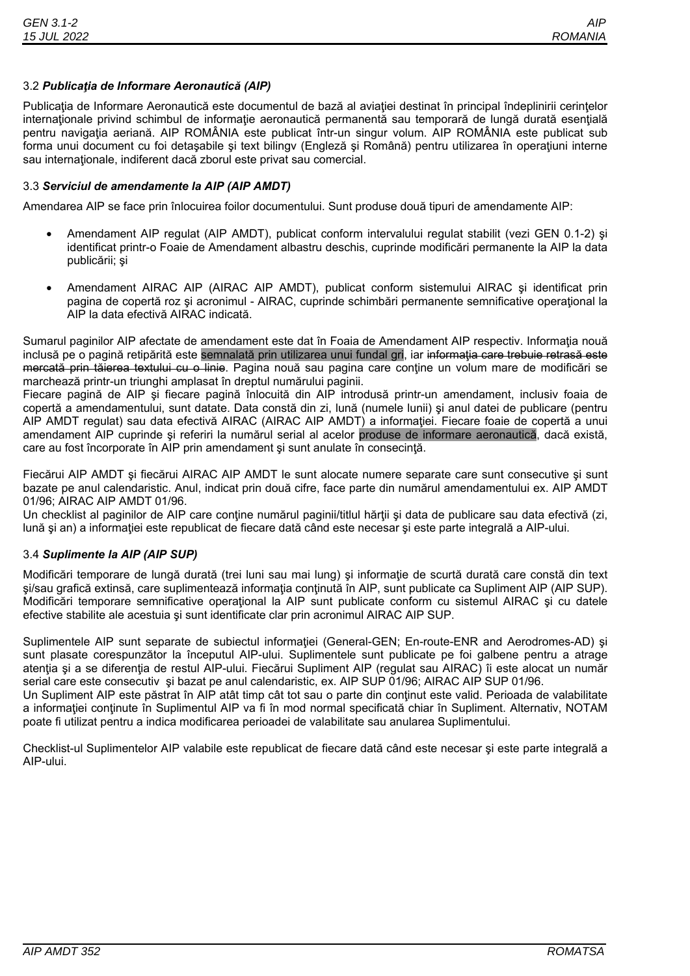## 3.2 *Publicaţia de Informare Aeronautică (AIP)*

Publicația de Informare Aeronautică este documentul de bază al aviației destinat în principal îndeplinirii cerințelor internaționale privind schimbul de informație aeronautică permanentă sau temporară de lungă durată esențială pentru navigaţia aeriană. AIP ROMÂNIA este publicat într-un singur volum. AIP ROMÂNIA este publicat sub forma unui document cu foi detaşabile şi text bilingv (Engleză şi Română) pentru utilizarea în operaţiuni interne sau internationale, indiferent dacă zborul este privat sau comercial.

## 3.3 *Serviciul de amendamente la AIP (AIP AMDT)*

Amendarea AIP se face prin înlocuirea foilor documentului. Sunt produse două tipuri de amendamente AIP:

- Amendament AIP regulat (AIP AMDT), publicat conform intervalului regulat stabilit (vezi GEN 0.1-2) şi identificat printr-o Foaie de Amendament albastru deschis, cuprinde modificări permanente la AIP la data publicării; şi
- Amendament AIRAC AIP (AIRAC AIP AMDT), publicat conform sistemului AIRAC şi identificat prin pagina de copertă roz și acronimul - AIRAC, cuprinde schimbări permanente semnificative operational la AIP la data efectivă AIRAC indicată.

Sumarul paginilor AIP afectate de amendament este dat în Foaia de Amendament AIP respectiv. Informatia nouă inclusă pe o pagină retipărită este semnalată prin utilizarea unui fundal gri, iar <del>informația care trebuie retrasă este</del> mercată prin tăierea textului cu o linie. Pagina nouă sau pagina care contine un volum mare de modificări se marchează printr-un triunghi amplasat în dreptul numărului paginii.

Fiecare pagină de AIP şi fiecare pagină înlocuită din AIP introdusă printr-un amendament, inclusiv foaia de copertă a amendamentului, sunt datate. Data constă din zi, lună (numele lunii) şi anul datei de publicare (pentru AIP AMDT regulat) sau data efectivă AIRAC (AIRAC AIP AMDT) a informației. Fiecare foaie de copertă a unui amendament AIP cuprinde şi referiri la numărul serial al acelor produse de informare aeronautică, dacă există, care au fost încorporate în AIP prin amendament şi sunt anulate în consecinţă.

Fiecărui AIP AMDT şi fiecărui AIRAC AIP AMDT le sunt alocate numere separate care sunt consecutive şi sunt bazate pe anul calendaristic. Anul, indicat prin două cifre, face parte din numărul amendamentului ex. AIP AMDT 01/96; AIRAC AIP AMDT 01/96.

Un checklist al paginilor de AIP care contine numărul paginii/titlul hărții și data de publicare sau data efectivă (zi, lună și an) a informației este republicat de fiecare dată când este necesar și este parte integrală a AIP-ului.

## 3.4 *Suplimente la AIP (AIP SUP)*

Modificări temporare de lungă durată (trei luni sau mai lung) şi informaţie de scurtă durată care constă din text şi/sau grafică extinsă, care suplimentează informaţia conţinută în AIP, sunt publicate ca Supliment AIP (AIP SUP). Modificări temporare semnificative operațional la AIP sunt publicate conform cu sistemul AIRAC și cu datele efective stabilite ale acestuia şi sunt identificate clar prin acronimul AIRAC AIP SUP.

Suplimentele AIP sunt separate de subiectul informatiei (General-GEN; En-route-ENR and Aerodromes-AD) si sunt plasate corespunzător la începutul AIP-ului. Suplimentele sunt publicate pe foi galbene pentru a atrage atenția și a se diferenția de restul AIP-ului. Fiecărui Supliment AIP (regulat sau AIRAC) îi este alocat un număr serial care este consecutiv si bazat pe anul calendaristic, ex. AIP SUP 01/96; AIRAC AIP SUP 01/96.

Un Supliment AIP este păstrat în AIP atât timp cât tot sau o parte din conţinut este valid. Perioada de valabilitate a informaţiei conţinute în Suplimentul AIP va fi în mod normal specificată chiar în Supliment. Alternativ, NOTAM poate fi utilizat pentru a indica modificarea perioadei de valabilitate sau anularea Suplimentului.

Checklist-ul Suplimentelor AIP valabile este republicat de fiecare dată când este necesar şi este parte integrală a AIP-ului.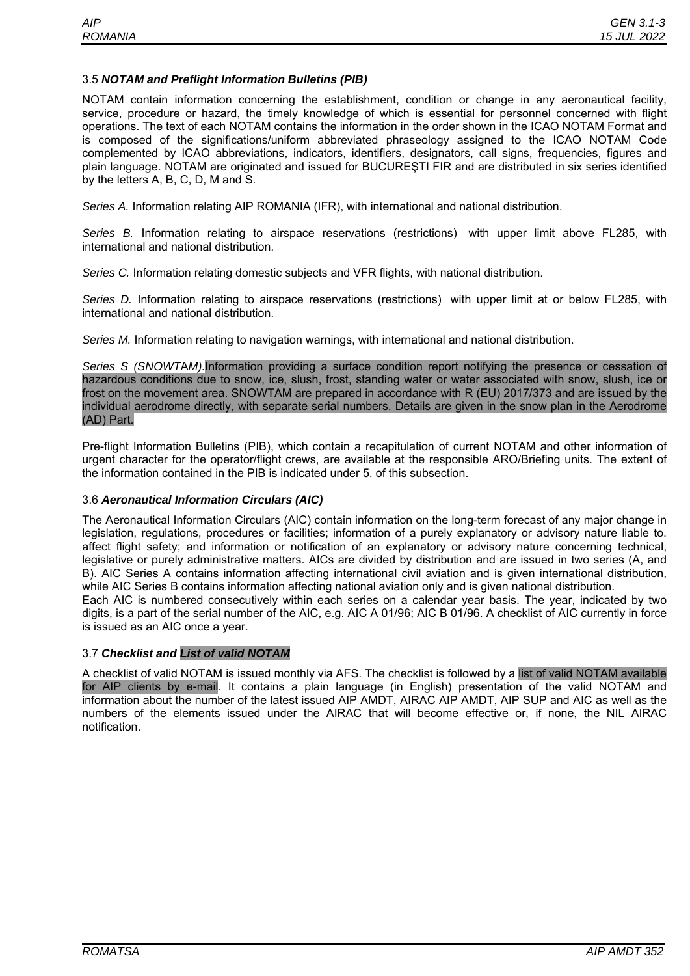## 3.5 *NOTAM and Preflight Information Bulletins (PIB)*

NOTAM contain information concerning the establishment, condition or change in any aeronautical facility, service, procedure or hazard, the timely knowledge of which is essential for personnel concerned with flight operations. The text of each NOTAM contains the information in the order shown in the ICAO NOTAM Format and is composed of the significations/uniform abbreviated phraseology assigned to the ICAO NOTAM Code complemented by ICAO abbreviations, indicators, identifiers, designators, call signs, frequencies, figures and plain language. NOTAM are originated and issued for BUCUREŞTI FIR and are distributed in six series identified by the letters A, B, C, D, M and S.

*Series A.* Information relating AIP ROMANIA (IFR), with international and national distribution.

*Series B.* Information relating to airspace reservations (restrictions) with upper limit above FL285, with international and national distribution.

*Series C.* Information relating domestic subjects and VFR flights, with national distribution.

*Series D.* Information relating to airspace reservations (restrictions) with upper limit at or below FL285, with international and national distribution.

*Series M.* Information relating to navigation warnings, with international and national distribution.

*Series S (SNOWT*A*M).*Information providing a surface condition report notifying the presence or cessation of hazardous conditions due to snow, ice, slush, frost, standing water or water associated with snow, slush, ice or frost on the movement area. SNOWTAM are prepared in accordance with R (EU) 2017/373 and are issued by the individual aerodrome directly, with separate serial numbers. Details are given in the snow plan in the Aerodrome (AD) Part.

Pre-flight Information Bulletins (PIB), which contain a recapitulation of current NOTAM and other information of urgent character for the operator/flight crews, are available at the responsible ARO/Briefing units. The extent of the information contained in the PIB is indicated under 5. of this subsection.

## 3.6 *Aeronautical Information Circulars (AIC)*

The Aeronautical Information Circulars (AIC) contain information on the long-term forecast of any major change in legislation, regulations, procedures or facilities; information of a purely explanatory or advisory nature liable to. affect flight safety; and information or notification of an explanatory or advisory nature concerning technical, legislative or purely administrative matters. AICs are divided by distribution and are issued in two series (A, and B). AIC Series A contains information affecting international civil aviation and is given international distribution, while AIC Series B contains information affecting national aviation only and is given national distribution.

Each AIC is numbered consecutively within each series on a calendar year basis. The year, indicated by two digits, is a part of the serial number of the AIC, e.g. AIC A 01/96; AIC B 01/96. A checklist of AIC currently in force is issued as an AIC once a year.

## 3.7 *Checklist and List of valid NOTAM*

A checklist of valid NOTAM is issued monthly via AFS. The checklist is followed by a list of valid NOTAM available for AIP clients by e-mail. It contains a plain language (in English) presentation of the valid NOTAM and information about the number of the latest issued AIP AMDT, AIRAC AIP AMDT, AIP SUP and AIC as well as the numbers of the elements issued under the AIRAC that will become effective or, if none, the NIL AIRAC notification.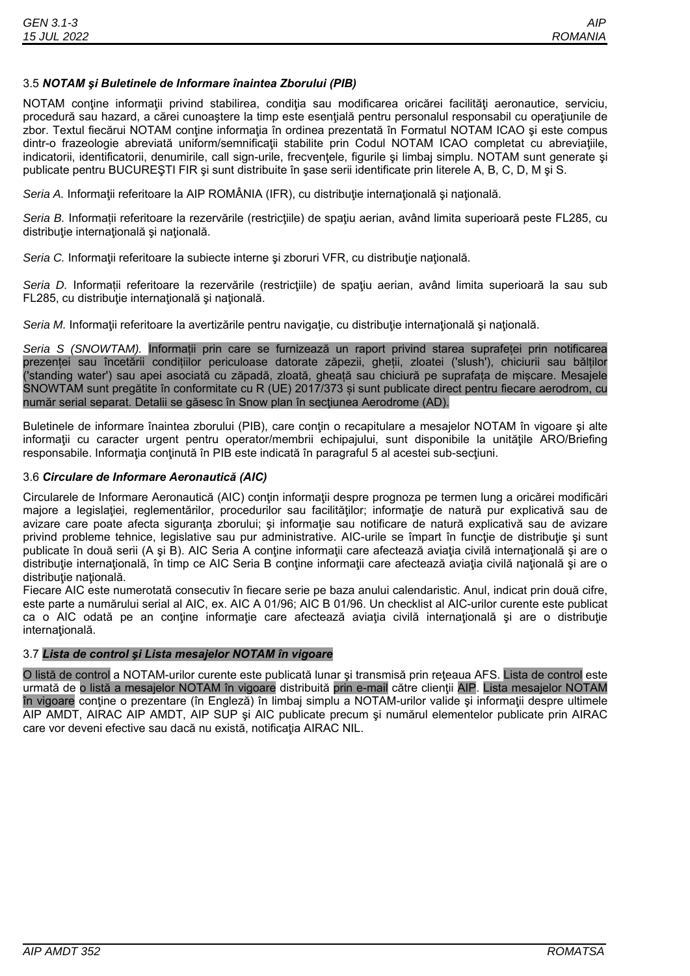## 3.5 *NOTAM şi Buletinele de Informare înaintea Zborului (PIB)*

NOTAM contine informații privind stabilirea, condiția sau modificarea oricărei facilități aeronautice, serviciu, procedură sau hazard, a cărei cunoaștere la timp este esențială pentru personalul responsabil cu operațiunile de zbor. Textul fiecărui NOTAM contine informatia în ordinea prezentată în Formatul NOTAM ICAO și este compus dintr-o frazeologie abreviată uniform/semnificaţii stabilite prin Codul NOTAM ICAO completat cu abreviaţiile, indicatorii, identificatorii, denumirile, call sign-urile, frecventele, figurile și limbaj simplu. NOTAM sunt generate și publicate pentru BUCUREŞTI FIR şi sunt distribuite în şase serii identificate prin literele A, B, C, D, M şi S.

Seria A. Informații referitoare la AIP ROMÂNIA (IFR), cu distribuție internațională și națională.

*Seria B.* Informații referitoare la rezervările (restricţiile) de spaţiu aerian, având limita superioară peste FL285, cu distribuție internațională și națională.

*Seria C.* Informaţii referitoare la subiecte interne şi zboruri VFR, cu distribuţie naţională.

Seria D. Informații referitoare la rezervările (restricțiile) de spațiu aerian, având limita superioară la sau sub FL285, cu distribuție internațională și națională.

Seria M. Informatii referitoare la avertizările pentru navigație, cu distribuție internațională și națională.

*Seria S (SNOWT*A*M).* Informații prin care se furnizează un raport privind starea suprafeței prin notificarea prezenței sau încetării condițiilor periculoase datorate zăpezii, gheții, zloatei ('slush'), chiciurii sau bălților ('standing water') sau apei asociată cu zăpadă, zloată, gheață sau chiciură pe suprafața de mișcare. Mesajele SNOWTAM sunt pregătite în conformitate cu R (UE) 2017/373 și sunt publicate direct pentru fiecare aerodrom, cu număr serial separat. Detalii se găsesc în Snow plan în sectiunea Aerodrome (AD).

Buletinele de informare înaintea zborului (PIB), care contin o recapitulare a mesajelor NOTAM în vigoare și alte informații cu caracter urgent pentru operator/membrii echipajului, sunt disponibile la unitățile ARO/Briefing responsabile. Informatia continută în PIB este indicată în paragraful 5 al acestei sub-secțiuni.

## 3.6 *Circulare de Informare Aeronautică (AIC)*

Circularele de Informare Aeronautică (AIC) conţin informaţii despre prognoza pe termen lung a oricărei modificări majore a legislaţiei, reglementărilor, procedurilor sau facilităţilor; informaţie de natură pur explicativă sau de avizare care poate afecta siguranța zborului; și informație sau notificare de natură explicativă sau de avizare privind probleme tehnice, legislative sau pur administrative. AIC-urile se împart în funcție de distribuție și sunt publicate în două serii (A și B). AIC Seria A contine informații care afectează aviația civilă internațională și are o distribuție internațională, în timp ce AIC Seria B conține informații care afectează aviația civilă națională și are o distribuţie naţională.

Fiecare AIC este numerotată consecutiv în fiecare serie pe baza anului calendaristic. Anul, indicat prin două cifre, este parte a numărului serial al AIC, ex. AIC A 01/96; AIC B 01/96. Un checklist al AIC-urilor curente este publicat ca o AIC odată pe an conține informație care afectează aviația civilă internațională și are o distribuție internatională.

## 3.7 *Lista de control şi Lista mesajelor NOTAM în vigoare*

O listă de control a NOTAM-urilor curente este publicată lunar şi transmisă prin reţeaua AFS. Lista de control este urmată de o listă a mesajelor NOTAM în vigoare distribuită prin e-mail către clienţii AIP. Lista mesajelor NOTAM în vigoare conţine o prezentare (în Engleză) în limbaj simplu a NOTAM-urilor valide şi informaţii despre ultimele AIP AMDT, AIRAC AIP AMDT, AIP SUP şi AIC publicate precum şi numărul elementelor publicate prin AIRAC care vor deveni efective sau dacă nu există, notificaţia AIRAC NIL.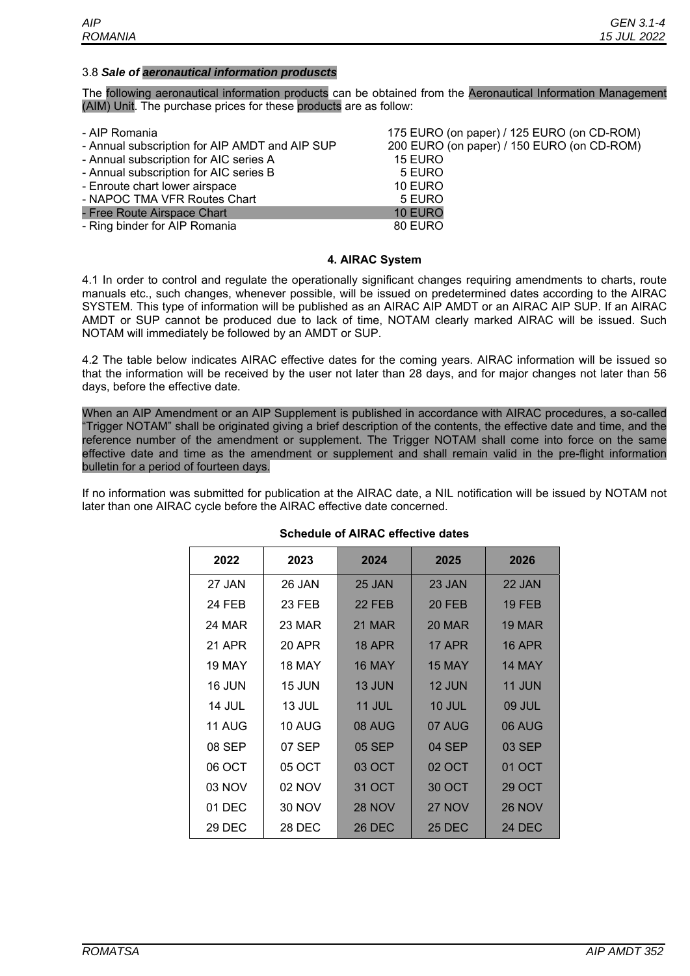#### 3.8 *Sale of aeronautical information produscts*

The following aeronautical information products can be obtained from the Aeronautical Information Management (AIM) Unit. The purchase prices for these products are as follow:

| - AIP Romania                                  | 175 EURO (on paper) / 125 EURO (on CD-ROM) |
|------------------------------------------------|--------------------------------------------|
| - Annual subscription for AIP AMDT and AIP SUP | 200 EURO (on paper) / 150 EURO (on CD-ROM) |
| - Annual subscription for AIC series A         | 15 EURO                                    |
| - Annual subscription for AIC series B         | 5 EURO                                     |
| - Enroute chart lower airspace                 | 10 EURO                                    |
| - NAPOC TMA VFR Routes Chart                   | 5 EURO                                     |
| - Free Route Airspace Chart                    | 10 EURO                                    |
| - Ring binder for AIP Romania                  | 80 EURO                                    |
|                                                |                                            |

#### **4. AIRAC System**

4.1 In order to control and regulate the operationally significant changes requiring amendments to charts, route manuals etc., such changes, whenever possible, will be issued on predetermined dates according to the AIRAC SYSTEM. This type of information will be published as an AIRAC AIP AMDT or an AIRAC AIP SUP. If an AIRAC AMDT or SUP cannot be produced due to lack of time, NOTAM clearly marked AIRAC will be issued. Such NOTAM will immediately be followed by an AMDT or SUP.

4.2 The table below indicates AIRAC effective dates for the coming years. AIRAC information will be issued so that the information will be received by the user not later than 28 days, and for major changes not later than 56 days, before the effective date.

When an AIP Amendment or an AIP Supplement is published in accordance with AIRAC procedures, a so-called "Trigger NOTAM" shall be originated giving a brief description of the contents, the effective date and time, and the reference number of the amendment or supplement. The Trigger NOTAM shall come into force on the same effective date and time as the amendment or supplement and shall remain valid in the pre-flight information bulletin for a period of fourteen days.

If no information was submitted for publication at the AIRAC date, a NIL notification will be issued by NOTAM not later than one AIRAC cycle before the AIRAC effective date concerned.

| 2022          | 2023          | 2024          | 2025          | 2026          |
|---------------|---------------|---------------|---------------|---------------|
| 27 JAN        | 26 JAN        | 25 JAN        | 23 JAN        | 22 JAN        |
| <b>24 FEB</b> | <b>23 FEB</b> | <b>22 FEB</b> | <b>20 FEB</b> | <b>19 FEB</b> |
| 24 MAR        | 23 MAR        | <b>21 MAR</b> | <b>20 MAR</b> | <b>19 MAR</b> |
| 21 APR        | 20 APR        | <b>18 APR</b> | <b>17 APR</b> | <b>16 APR</b> |
| <b>19 MAY</b> | <b>18 MAY</b> | <b>16 MAY</b> | 15 MAY        | <b>14 MAY</b> |
| <b>16 JUN</b> | 15 JUN        | 13 JUN        | 12 JUN        | <b>11 JUN</b> |
| <b>14 JUL</b> | 13 JUL        | <b>11 JUL</b> | <b>10 JUL</b> | <b>09 JUL</b> |
| <b>11 AUG</b> | 10 AUG        | 08 AUG        | 07 AUG        | 06 AUG        |
| 08 SEP        | 07 SEP        | 05 SEP        | 04 SEP        | 03 SEP        |
| 06 OCT        | 05 OCT        | 03 OCT        | 02 OCT        | 01 OCT        |
| 03 NOV        | 02 NOV        | <b>31 OCT</b> | 30 OCT        | <b>29 OCT</b> |
| 01 DEC        | 30 NOV        | <b>28 NOV</b> | 27 NOV        | <b>26 NOV</b> |
| 29 DEC        | <b>28 DEC</b> | <b>26 DEC</b> | <b>25 DEC</b> | <b>24 DEC</b> |

#### **Schedule of AIRAC effective dates**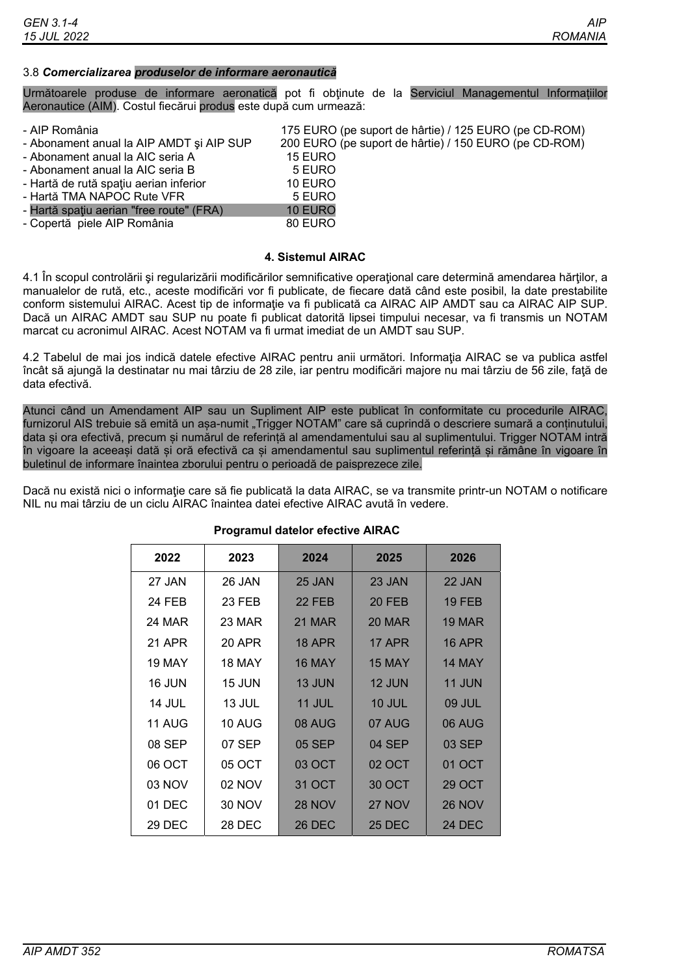#### 3.8 *Comercializarea produselor de informare aeronautică*

Următoarele produse de informare aeronatică pot fi obţinute de la Serviciul Managementul Informațiilor Aeronautice (AIM). Costul fiecărui produs este după cum urmează:

| - AIP România                            | 175 EURO (pe suport de hârtie) / 125 EURO (pe CD-ROM) |
|------------------------------------------|-------------------------------------------------------|
| - Abonament anual la AIP AMDT și AIP SUP | 200 EURO (pe suport de hârtie) / 150 EURO (pe CD-ROM) |
| - Abonament anual la AIC seria A         | 15 EURO                                               |
| - Abonament anual la AIC seria B         | 5 EURO                                                |
| - Hartă de rută spațiu aerian inferior   | 10 EURO                                               |
| - Hartă TMA NAPOC Rute VFR               | 5 EURO                                                |
| - Hartă spațiu aerian "free route" (FRA) | 10 EURO                                               |
| - Copertă piele AIP România              | 80 EURO                                               |
|                                          |                                                       |

#### **4. Sistemul AIRAC**

4.1 În scopul controlării şi regularizării modificărilor semnificative operaţional care determină amendarea hărţilor, a manualelor de rută, etc., aceste modificări vor fi publicate, de fiecare dată când este posibil, la date prestabilite conform sistemului AIRAC. Acest tip de informație va fi publicată ca AIRAC AIP AMDT sau ca AIRAC AIP SUP. Dacă un AIRAC AMDT sau SUP nu poate fi publicat datorită lipsei timpului necesar, va fi transmis un NOTAM marcat cu acronimul AIRAC. Acest NOTAM va fi urmat imediat de un AMDT sau SUP.

4.2 Tabelul de mai jos indică datele efective AIRAC pentru anii următori. Informaţia AIRAC se va publica astfel încât să ajungă la destinatar nu mai târziu de 28 zile, iar pentru modificări majore nu mai târziu de 56 zile, faţă de data efectivă.

Atunci când un Amendament AIP sau un Supliment AIP este publicat în conformitate cu procedurile AIRAC, furnizorul AIS trebuie să emită un așa-numit "Trigger NOTAM" care să cuprindă o descriere sumară a conținutului, data și ora efectivă, precum și numărul de referință al amendamentului sau al suplimentului. Trigger NOTAM intră în vigoare la aceeași dată și oră efectivă ca și amendamentul sau suplimentul referință și rămâne în vigoare în buletinul de informare înaintea zborului pentru o perioadă de paisprezece zile.

Dacă nu există nici o informaţie care să fie publicată la data AIRAC, se va transmite printr-un NOTAM o notificare NIL nu mai târziu de un ciclu AIRAC înaintea datei efective AIRAC avută în vedere.

| <b>I</b> Togramal datelor electric AlitAO |               |               |               |               |
|-------------------------------------------|---------------|---------------|---------------|---------------|
| 2022                                      | 2023          | 2024          | 2025          | 2026          |
| 27 JAN                                    | 26 JAN        | 25 JAN        | 23 JAN        | 22 JAN        |
| 24 FEB                                    | 23 FEB        | 22 FEB        | 20 FEB        | <b>19 FEB</b> |
| <b>24 MAR</b>                             | 23 MAR        | <b>21 MAR</b> | <b>20 MAR</b> | <b>19 MAR</b> |
| <b>21 APR</b>                             | <b>20 APR</b> | <b>18 APR</b> | <b>17 APR</b> | <b>16 APR</b> |
| 19 MAY                                    | <b>18 MAY</b> | <b>16 MAY</b> | <b>15 MAY</b> | 14 MAY        |
| 16 JUN                                    | 15 JUN        | 13 JUN        | 12 JUN        | 11 JUN        |
| <b>14 JUL</b>                             | 13 JUL        | 11 JUL        | <b>10 JUL</b> | 09 JUL        |
| 11 AUG                                    | <b>10 AUG</b> | 08 AUG        | 07 AUG        | 06 AUG        |
| 08 SEP                                    | 07 SEP        | 05 SEP        | 04 SEP        | 03 SEP        |
| 06 OCT                                    | 05 OCT        | 03 OCT        | 02 OCT        | 01 OCT        |
| 03 NOV                                    | <b>02 NOV</b> | 31 OCT        | <b>30 OCT</b> | <b>29 OCT</b> |
| 01 DEC                                    | <b>30 NOV</b> | <b>28 NOV</b> | <b>27 NOV</b> | <b>26 NOV</b> |
| <b>29 DEC</b>                             | <b>28 DEC</b> | <b>26 DEC</b> | <b>25 DEC</b> | <b>24 DEC</b> |

## **Programul datelor efective AIRAC**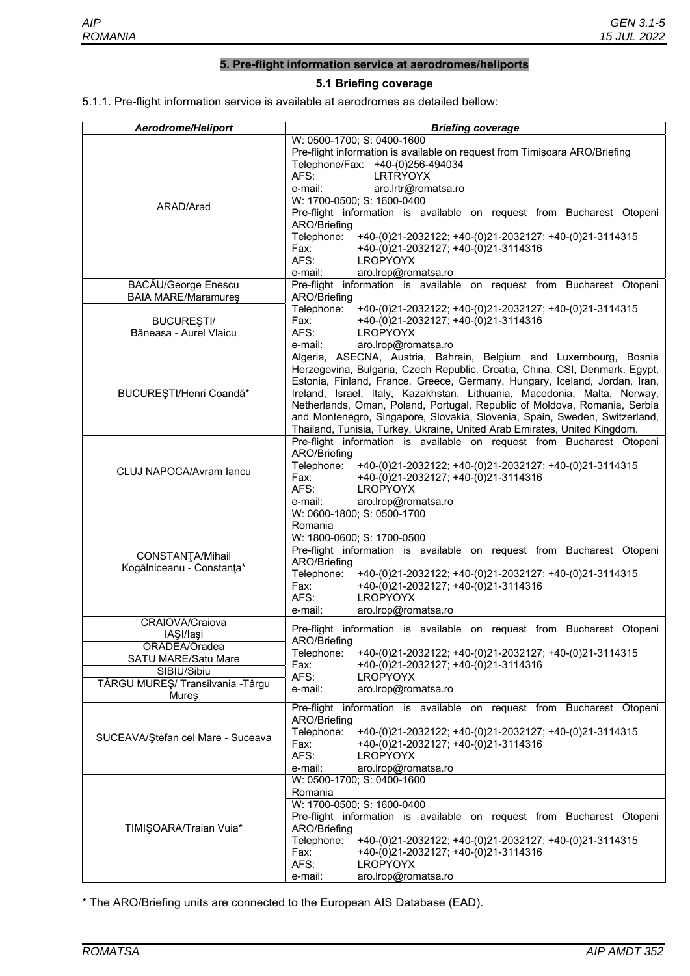## **5. Pre-flight information service at aerodromes/heliports**

## **5.1 Briefing coverage**

## 5.1.1. Pre-flight information service is available at aerodromes as detailed bellow:

| Aerodrome/Heliport                                                        | <b>Briefing coverage</b>                                                                                                                                                                                                                                                                                                                                                                                                                                                                                                                           |
|---------------------------------------------------------------------------|----------------------------------------------------------------------------------------------------------------------------------------------------------------------------------------------------------------------------------------------------------------------------------------------------------------------------------------------------------------------------------------------------------------------------------------------------------------------------------------------------------------------------------------------------|
| ARAD/Arad                                                                 | W: 0500-1700; S: 0400-1600<br>Pre-flight information is available on request from Timișoara ARO/Briefing<br>Telephone/Fax: +40-(0)256-494034<br>AFS:<br><b>LRTRYOYX</b><br>e-mail:<br>aro.lrtr@romatsa.ro<br>W: 1700-0500; S: 1600-0400<br>Pre-flight information is available on request from Bucharest Otopeni<br>ARO/Briefing<br>Telephone:<br>+40-(0)21-2032122; +40-(0)21-2032127; +40-(0)21-3114315<br>Fax:<br>+40-(0)21-2032127; +40-(0)21-3114316<br>AFS:<br><b>LROPYOYX</b>                                                               |
|                                                                           | e-mail:<br>aro.lrop@romatsa.ro                                                                                                                                                                                                                                                                                                                                                                                                                                                                                                                     |
| BACĂU/George Enescu                                                       | Pre-flight information is available on request from Bucharest Otopeni<br>ARO/Briefing                                                                                                                                                                                                                                                                                                                                                                                                                                                              |
| <b>BAIA MARE/Maramures</b><br><b>BUCUREŞTI/</b><br>Băneasa - Aurel Vlaicu | Telephone:<br>+40-(0)21-2032122; +40-(0)21-2032127; +40-(0)21-3114315<br>Fax:<br>+40-(0)21-2032127; +40-(0)21-3114316<br><b>LROPYOYX</b><br>AFS:<br>aro.lrop@romatsa.ro<br>e-mail:                                                                                                                                                                                                                                                                                                                                                                 |
| BUCUREȘTI/Henri Coandă*                                                   | Algeria, ASECNA, Austria, Bahrain, Belgium and Luxembourg, Bosnia<br>Herzegovina, Bulgaria, Czech Republic, Croatia, China, CSI, Denmark, Egypt,<br>Estonia, Finland, France, Greece, Germany, Hungary, Iceland, Jordan, Iran,<br>Ireland, Israel, Italy, Kazakhstan, Lithuania, Macedonia, Malta, Norway,<br>Netherlands, Oman, Poland, Portugal, Republic of Moldova, Romania, Serbia<br>and Montenegro, Singapore, Slovakia, Slovenia, Spain, Sweden, Switzerland,<br>Thailand, Tunisia, Turkey, Ukraine, United Arab Emirates, United Kingdom. |
| <b>CLUJ NAPOCA/Avram lancu</b>                                            | Pre-flight information is available on request from Bucharest Otopeni<br>ARO/Briefing<br>Telephone:<br>+40-(0)21-2032122; +40-(0)21-2032127; +40-(0)21-3114315<br>+40-(0)21-2032127; +40-(0)21-3114316<br>Fax:<br>AFS:<br><b>LROPYOYX</b><br>aro.lrop@romatsa.ro<br>e-mail:                                                                                                                                                                                                                                                                        |
| CONSTANTA/Mihail<br>Kogălniceanu - Constanța*                             | W: 0600-1800; S: 0500-1700<br>Romania<br>W: 1800-0600; S: 1700-0500<br>Pre-flight information is available on request from Bucharest Otopeni<br>ARO/Briefing<br>Telephone:<br>+40-(0)21-2032122; +40-(0)21-2032127; +40-(0)21-3114315<br>Fax:<br>+40-(0)21-2032127; +40-(0)21-3114316<br>AFS:<br><b>LROPYOYX</b><br>aro.lrop@romatsa.ro<br>e-mail:                                                                                                                                                                                                 |
| CRAIOVA/Craiova                                                           |                                                                                                                                                                                                                                                                                                                                                                                                                                                                                                                                                    |
| IAŞI/laşi                                                                 | Pre-flight information is available on request from Bucharest Otopeni                                                                                                                                                                                                                                                                                                                                                                                                                                                                              |
| ORADEA/Oradea                                                             | ARO/Briefing<br>+40-(0)21-2032122; +40-(0)21-2032127; +40-(0)21-3114315<br>Telephone:                                                                                                                                                                                                                                                                                                                                                                                                                                                              |
| <b>SATU MARE/Satu Mare</b>                                                | +40-(0)21-2032127; +40-(0)21-3114316<br>Fax:                                                                                                                                                                                                                                                                                                                                                                                                                                                                                                       |
| SIBIU/Sibiu                                                               | AFS:<br><b>LROPYOYX</b>                                                                                                                                                                                                                                                                                                                                                                                                                                                                                                                            |
| TÂRGU MUREȘ/ Transilvania - Târgu<br>Mureş                                | e-mail:<br>aro.lrop@romatsa.ro                                                                                                                                                                                                                                                                                                                                                                                                                                                                                                                     |
| SUCEAVA/Ştefan cel Mare - Suceava                                         | Pre-flight information is available on request from Bucharest Otopeni<br>ARO/Briefing<br>Telephone:<br>+40-(0)21-2032122; +40-(0)21-2032127; +40-(0)21-3114315<br>Fax:<br>+40-(0)21-2032127; +40-(0)21-3114316<br>AFS:<br><b>LROPYOYX</b><br>e-mail:<br>aro.lrop@romatsa.ro                                                                                                                                                                                                                                                                        |
| TIMIŞOARA/Traian Vuia*                                                    | W: 0500-1700; S: 0400-1600<br>Romania<br>W: 1700-0500; S: 1600-0400<br>Pre-flight information is available on request from Bucharest Otopeni<br>ARO/Briefing<br>+40-(0)21-2032122; +40-(0)21-2032127; +40-(0)21-3114315<br>Telephone:<br>Fax:<br>+40-(0)21-2032127; +40-(0)21-3114316<br>AFS:<br><b>LROPYOYX</b><br>aro.lrop@romatsa.ro<br>e-mail:                                                                                                                                                                                                 |

\* The ARO/Briefing units are connected to the European AIS Database (EAD).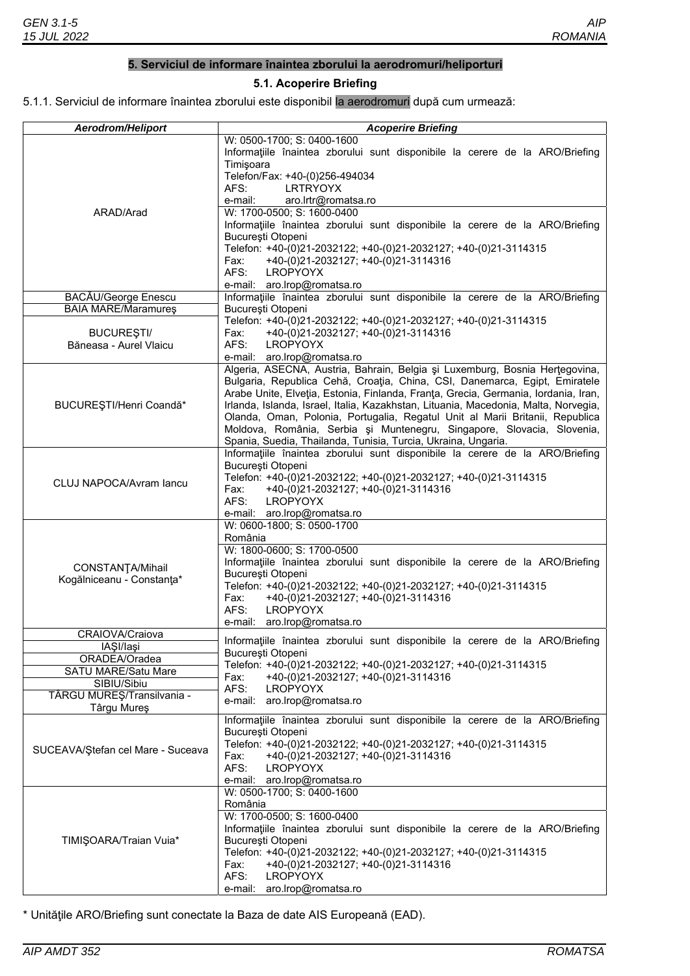## **5. Serviciul de informare înaintea zborului la aerodromuri/heliporturi**

**5.1. Acoperire Briefing** 

5.1.1. Serviciul de informare înaintea zborului este disponibil la aerodromuri după cum urmează:

| <b>Aerodrom/Heliport</b>                                                                                             | <b>Acoperire Briefing</b>                                                                                                                                                                                                                                                                                                                                                                                                                                                                                                                                         |
|----------------------------------------------------------------------------------------------------------------------|-------------------------------------------------------------------------------------------------------------------------------------------------------------------------------------------------------------------------------------------------------------------------------------------------------------------------------------------------------------------------------------------------------------------------------------------------------------------------------------------------------------------------------------------------------------------|
|                                                                                                                      | W: 0500-1700; S: 0400-1600<br>Informațiile înaintea zborului sunt disponibile la cerere de la ARO/Briefing<br>Timişoara<br>Telefon/Fax: +40-(0)256-494034<br>AFS:<br><b>LRTRYOYX</b><br>aro.lrtr@romatsa.ro<br>e-mail:                                                                                                                                                                                                                                                                                                                                            |
| ARAD/Arad                                                                                                            | W: 1700-0500; S: 1600-0400<br>Informațiile înaintea zborului sunt disponibile la cerere de la ARO/Briefing<br>București Otopeni<br>Telefon: +40-(0)21-2032122; +40-(0)21-2032127; +40-(0)21-3114315<br>+40-(0)21-2032127; +40-(0)21-3114316<br>Fax:<br>AFS:<br><b>LROPYOYX</b><br>e-mail: aro.lrop@romatsa.ro                                                                                                                                                                                                                                                     |
| BACĂU/George Enescu                                                                                                  | Informațiile înaintea zborului sunt disponibile la cerere de la ARO/Briefing                                                                                                                                                                                                                                                                                                                                                                                                                                                                                      |
| <b>BAIA MARE/Maramures</b><br><b>BUCUREŞTI/</b>                                                                      | București Otopeni<br>Telefon: +40-(0)21-2032122; +40-(0)21-2032127; +40-(0)21-3114315<br>+40-(0)21-2032127; +40-(0)21-3114316<br>Fax:                                                                                                                                                                                                                                                                                                                                                                                                                             |
| Băneasa - Aurel Vlaicu                                                                                               | AFS:<br><b>LROPYOYX</b><br>e-mail: aro.lrop@romatsa.ro                                                                                                                                                                                                                                                                                                                                                                                                                                                                                                            |
| BUCUREȘTI/Henri Coandă*                                                                                              | Algeria, ASECNA, Austria, Bahrain, Belgia și Luxemburg, Bosnia Herțegovina,<br>Bulgaria, Republica Cehă, Croația, China, CSI, Danemarca, Egipt, Emiratele<br>Arabe Unite, Elveția, Estonia, Finlanda, Franța, Grecia, Germania, Iordania, Iran,<br>Irlanda, Islanda, Israel, Italia, Kazakhstan, Lituania, Macedonia, Malta, Norvegia,<br>Olanda, Oman, Polonia, Portugalia, Regatul Unit al Marii Britanii, Republica<br>Moldova, România, Serbia și Muntenegru, Singapore, Slovacia, Slovenia,<br>Spania, Suedia, Thailanda, Tunisia, Turcia, Ukraina, Ungaria. |
| CLUJ NAPOCA/Avram lancu                                                                                              | Informațiile înaintea zborului sunt disponibile la cerere de la ARO/Briefing<br>București Otopeni<br>Telefon: +40-(0)21-2032122; +40-(0)21-2032127; +40-(0)21-3114315<br>+40-(0)21-2032127; +40-(0)21-3114316<br>Fax:<br>AFS:<br><b>LROPYOYX</b><br>e-mail: aro.lrop@romatsa.ro                                                                                                                                                                                                                                                                                   |
| CONSTANTA/Mihail<br>Kogălniceanu - Constanța*                                                                        | W: 0600-1800; S: 0500-1700<br>România<br>W: 1800-0600; S: 1700-0500<br>Informațiile înaintea zborului sunt disponibile la cerere de la ARO/Briefing<br>București Otopeni<br>Telefon: +40-(0)21-2032122; +40-(0)21-2032127; +40-(0)21-3114315<br>+40-(0)21-2032127; +40-(0)21-3114316<br>Fax:<br>AFS:<br><b>LROPYOYX</b><br>e-mail: aro.lrop@romatsa.ro                                                                                                                                                                                                            |
| CRAIOVA/Craiova                                                                                                      | Informatiile înaintea zborului sunt disponibile la cerere de la ARO/Briefing                                                                                                                                                                                                                                                                                                                                                                                                                                                                                      |
| IAŞI/laşi<br>ORADEA/Oradea<br><b>SATU MARE/Satu Mare</b><br>SIBIU/Sibiu<br>TÂRGU MUREȘ/Transilvania -<br>Târgu Mureş | București Otopeni<br>Telefon: +40-(0)21-2032122; +40-(0)21-2032127; +40-(0)21-3114315<br>+40-(0)21-2032127; +40-(0)21-3114316<br>Fax:<br>AFS:<br><b>LROPYOYX</b><br>e-mail: aro.lrop@romatsa.ro                                                                                                                                                                                                                                                                                                                                                                   |
| SUCEAVA/Ștefan cel Mare - Suceava                                                                                    | Informațiile înaintea zborului sunt disponibile la cerere de la ARO/Briefing<br>București Otopeni<br>Telefon: +40-(0)21-2032122; +40-(0)21-2032127; +40-(0)21-3114315<br>Fax:<br>+40-(0)21-2032127; +40-(0)21-3114316<br>LROPYOYX<br>AFS:<br>e-mail: aro.lrop@romatsa.ro                                                                                                                                                                                                                                                                                          |
| TIMIŞOARA/Traian Vuia*                                                                                               | W: 0500-1700; S: 0400-1600<br>România<br>W: 1700-0500; S: 1600-0400<br>Informațiile înaintea zborului sunt disponibile la cerere de la ARO/Briefing<br>București Otopeni<br>Telefon: +40-(0)21-2032122; +40-(0)21-2032127; +40-(0)21-3114315<br>Fax:<br>+40-(0)21-2032127; +40-(0)21-3114316<br>AFS:<br><b>LROPYOYX</b><br>e-mail:<br>aro.lrop@romatsa.ro                                                                                                                                                                                                         |

\* Unităţile ARO/Briefing sunt conectate la Baza de date AIS Europeană (EAD).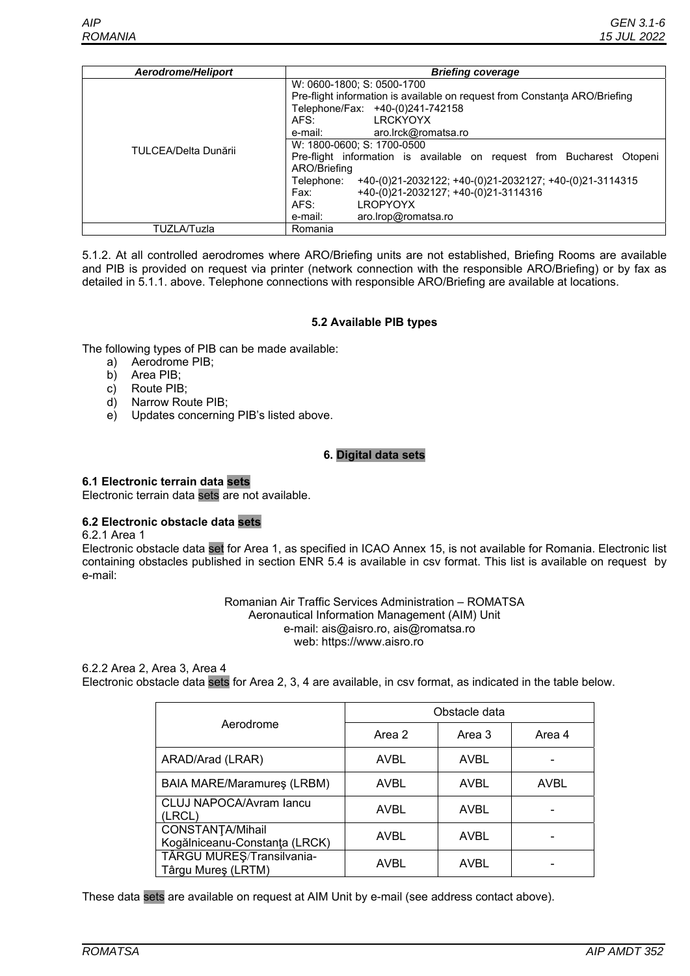| Aerodrome/Heliport   | <b>Briefing coverage</b>                                                                                                                                                                                                                                                                                                                                                                                                                                                                                             |  |  |
|----------------------|----------------------------------------------------------------------------------------------------------------------------------------------------------------------------------------------------------------------------------------------------------------------------------------------------------------------------------------------------------------------------------------------------------------------------------------------------------------------------------------------------------------------|--|--|
| TULCEA/Delta Dunării | W: 0600-1800; S: 0500-1700<br>Pre-flight information is available on request from Constanta ARO/Briefing<br>Telephone/Fax: +40-(0)241-742158<br>AFS:<br><b>LRCKYOYX</b><br>aro.lrck@romatsa.ro<br>e-mail:<br>W: 1800-0600: S: 1700-0500<br>Pre-flight information is available on request from Bucharest Otopeni<br>ARO/Briefing<br>Telephone:<br>+40-(0)21-2032122; +40-(0)21-2032127; +40-(0)21-3114315<br>+40-(0)21-2032127; +40-(0)21-3114316<br>Fax: Fax:<br>AFS:<br>LROPYOYX<br>e-mail:<br>aro.lrop@romatsa.ro |  |  |
| TUZLA/Tuzla          | Romania                                                                                                                                                                                                                                                                                                                                                                                                                                                                                                              |  |  |

5.1.2. At all controlled aerodromes where ARO/Briefing units are not established, Briefing Rooms are available and PIB is provided on request via printer (network connection with the responsible ARO/Briefing) or by fax as detailed in 5.1.1. above. Telephone connections with responsible ARO/Briefing are available at locations.

## **5.2 Available PIB types**

The following types of PIB can be made available:

- a) Aerodrome PIB;
- b) Area PIB;
- c) Route PIB;
- d) Narrow Route PIB;
- e) Updates concerning PIB's listed above.

## **6. Digital data sets**

#### **6.1 Electronic terrain data sets**

Electronic terrain data sets are not available.

## **6.2 Electronic obstacle data sets**

6.2.1 Area 1

Electronic obstacle data set for Area 1, as specified in ICAO Annex 15, is not available for Romania. Electronic list containing obstacles published in section ENR 5.4 is available in csv format. This list is available on request by e-mail:

> Romanian Air Traffic Services Administration – ROMATSA Aeronautical Information Management (AIM) Unit e-mail: ais@aisro.ro, ais@romatsa.ro web: https://www.aisro.ro

6.2.2 Area 2, Area 3, Area 4

Electronic obstacle data sets for Area 2, 3, 4 are available, in csv format, as indicated in the table below.

|                                                   | Obstacle data |             |             |
|---------------------------------------------------|---------------|-------------|-------------|
| Aerodrome                                         | Area 2        | Area 3      | Area 4      |
| ARAD/Arad (LRAR)                                  | AVBL          | AVBL        |             |
| BAIA MARE/Maramures (LRBM)                        | <b>AVBL</b>   | <b>AVBL</b> | <b>AVBL</b> |
| <b>CLUJ NAPOCA/Avram lancu</b><br>(LRCL)          | AVBL          | <b>AVBL</b> |             |
| CONSTANTA/Mihail<br>Kogălniceanu-Constanța (LRCK) | <b>AVBL</b>   | <b>AVBL</b> |             |
| TÂRGU MUREȘ/Transilvania-<br>Târgu Mureș (LRTM)   | AVBL          | AVBL        |             |

These data sets are available on request at AIM Unit by e-mail (see address contact above).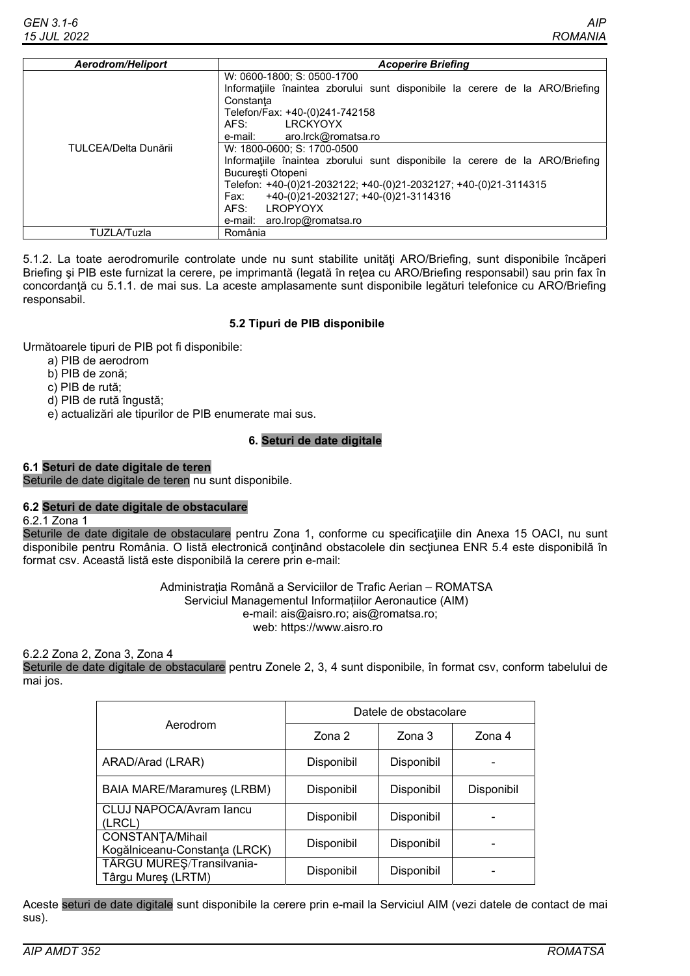| <b>Aerodrom/Heliport</b> | <b>Acoperire Briefing</b>                                                                                                                                                                                                                                                                           |
|--------------------------|-----------------------------------------------------------------------------------------------------------------------------------------------------------------------------------------------------------------------------------------------------------------------------------------------------|
|                          | W: 0600-1800; S: 0500-1700<br>Informațiile înaintea zborului sunt disponibile la cerere de la ARO/Briefing<br>Constanta<br>Telefon/Fax: +40-(0)241-742158<br>AFS: LRCKYOYX                                                                                                                          |
|                          | e-mail: aro.lrck@romatsa.ro                                                                                                                                                                                                                                                                         |
| TULCEA/Delta Dunării     | W: 1800-0600: S: 1700-0500<br>Informatiile înaintea zborului sunt disponibile la cerere de la ARO/Briefing<br>București Otopeni<br>Telefon: +40-(0)21-2032122; +40-(0)21-2032127; +40-(0)21-3114315<br>+40-(0)21-2032127; +40-(0)21-3114316<br>Fax:<br>AFS: LROPYOYX<br>e-mail: aro.lrop@romatsa.ro |
| TUZLA/Tuzla              | România                                                                                                                                                                                                                                                                                             |

5.1.2. La toate aerodromurile controlate unde nu sunt stabilite unităţi ARO/Briefing, sunt disponibile încăperi Briefing şi PIB este furnizat la cerere, pe imprimantă (legată în reţea cu ARO/Briefing responsabil) sau prin fax în concordanţă cu 5.1.1. de mai sus. La aceste amplasamente sunt disponibile legături telefonice cu ARO/Briefing responsabil.

## **5.2 Tipuri de PIB disponibile**

Următoarele tipuri de PIB pot fi disponibile:

a) PIB de aerodrom

b) PIB de zonă;

c) PIB de rută;

d) PIB de rută îngustă;

e) actualizări ale tipurilor de PIB enumerate mai sus.

#### **6. Seturi de date digitale**

#### **6.1 Seturi de date digitale de teren**

Seturile de date digitale de teren nu sunt disponibile.

#### **6.2 Seturi de date digitale de obstaculare**

#### 6.2.1 Zona 1

Seturile de date digitale de obstaculare pentru Zona 1, conforme cu specificaţiile din Anexa 15 OACI, nu sunt disponibile pentru România. O listă electronică conținând obstacolele din secțiunea ENR 5.4 este disponibilă în format csv. Această listă este disponibilă la cerere prin e-mail:

> Administrația Română a Serviciilor de Trafic Aerian – ROMATSA Serviciul Managementul Informațiilor Aeronautice (AIM) e-mail: ais@aisro.ro; ais@romatsa.ro; web: https://www.aisro.ro

#### 6.2.2 Zona 2, Zona 3, Zona 4

Seturile de date digitale de obstaculare pentru Zonele 2, 3, 4 sunt disponibile, în format csv, conform tabelului de mai jos.

|                                                   | Datele de obstacolare |            |            |  |
|---------------------------------------------------|-----------------------|------------|------------|--|
| Aerodrom                                          | Zona 2                | Zona 3     | Zona 4     |  |
| ARAD/Arad (LRAR)                                  | Disponibil            | Disponibil |            |  |
| BAIA MARE/Maramureş (LRBM)                        | Disponibil            | Disponibil | Disponibil |  |
| CLUJ NAPOCA/Avram lancu<br>(LRCL)                 | Disponibil            | Disponibil |            |  |
| CONSTANTA/Mihail<br>Kogălniceanu-Constanța (LRCK) | Disponibil            | Disponibil |            |  |
| TÂRGU MUREȘ/Transilvania-<br>Târgu Mureş (LRTM)   | Disponibil            | Disponibil |            |  |

Aceste seturi de date digitale sunt disponibile la cerere prin e-mail la Serviciul AIM (vezi datele de contact de mai sus).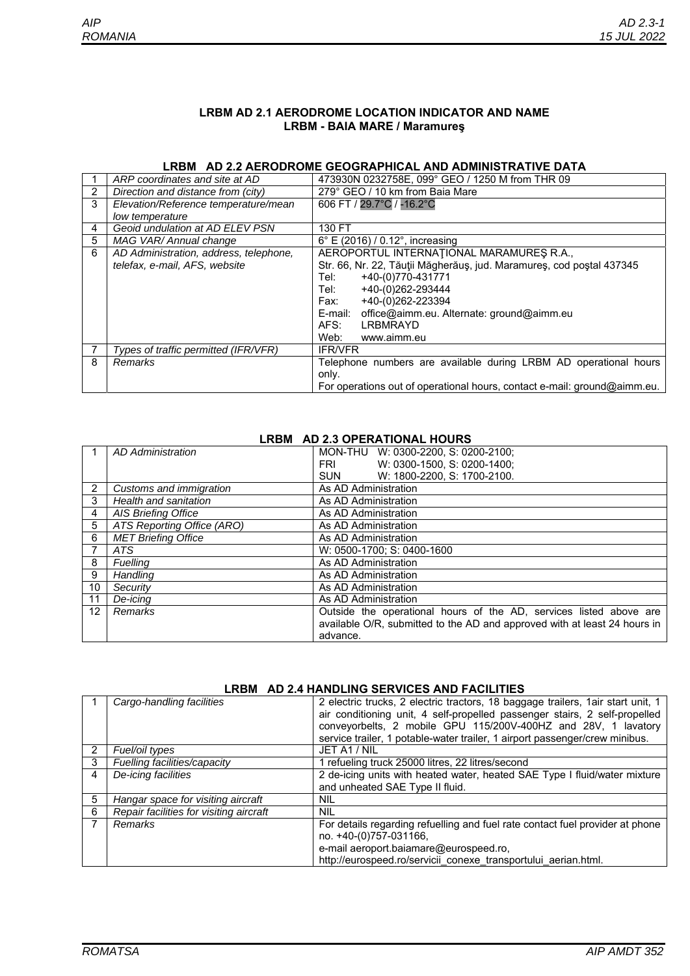# *ROMANIA*

*AIP* 

## **LRBM AD 2.1 AERODROME LOCATION INDICATOR AND NAME LRBM - BAIA MARE / Maramureş**

|   | ARP coordinates and site at AD         | 473930N 0232758E, 099° GEO / 1250 M from THR 09                          |  |
|---|----------------------------------------|--------------------------------------------------------------------------|--|
| 2 | Direction and distance from (city)     | 279° GEO / 10 km from Baia Mare                                          |  |
| 3 | Elevation/Reference temperature/mean   | 606 FT / 29.7°C / -16.2°C                                                |  |
|   | low temperature                        |                                                                          |  |
| 4 | Geoid undulation at AD ELEV PSN        | 130 FT                                                                   |  |
| 5 | MAG VAR/Annual change                  | 6° E (2016) / 0.12°, increasing                                          |  |
| 6 | AD Administration, address, telephone, | AEROPORTUL INTERNATIONAL MARAMURES R.A.,                                 |  |
|   | telefax, e-mail, AFS, website          | Str. 66, Nr. 22, Tăuții Măgherăuș, jud. Maramureș, cod poștal 437345     |  |
|   |                                        | Tel:<br>+40-(0)770-431771                                                |  |
|   |                                        | +40-(0)262-293444<br>Tel: l                                              |  |
|   |                                        | +40-(0)262-223394<br>Fax:                                                |  |
|   |                                        | office@aimm.eu. Alternate: ground@aimm.eu<br>E-mail:                     |  |
|   |                                        | AFS:<br>LRBMRAYD                                                         |  |
|   |                                        | Web:<br>www.aimm.eu                                                      |  |
|   | Types of traffic permitted (IFR/VFR)   | <b>IFR/VFR</b>                                                           |  |
| 8 | Remarks                                | Telephone numbers are available during LRBM AD operational hours         |  |
|   |                                        | only.                                                                    |  |
|   |                                        | For operations out of operational hours, contact e-mail: ground@aimm.eu. |  |

## **LRBM AD 2.2 AERODROME GEOGRAPHICAL AND ADMINISTRATIVE DATA**

## **LRBM AD 2.3 OPERATIONAL HOURS**

|                 | AD Administration          | MON-THU W: 0300-2200, S: 0200-2100;                                       |  |
|-----------------|----------------------------|---------------------------------------------------------------------------|--|
|                 |                            | W: 0300-1500, S: 0200-1400;<br><b>FRI</b>                                 |  |
|                 |                            | W: 1800-2200, S: 1700-2100.<br><b>SUN</b>                                 |  |
| $\overline{2}$  | Customs and immigration    | As AD Administration                                                      |  |
| 3               | Health and sanitation      | As AD Administration                                                      |  |
| 4               | AIS Briefing Office        | As AD Administration                                                      |  |
| 5               | ATS Reporting Office (ARO) | As AD Administration                                                      |  |
| 6               | <b>MET Briefing Office</b> | As AD Administration                                                      |  |
|                 | ATS                        | W: 0500-1700; S: 0400-1600                                                |  |
| 8               | Fuelling                   | As AD Administration                                                      |  |
| 9               | Handling                   | As AD Administration                                                      |  |
| 10 <sup>°</sup> | Security                   | As AD Administration                                                      |  |
| 11              | De-icing                   | As AD Administration                                                      |  |
| 12 <sup>2</sup> | Remarks                    | Outside the operational hours of the AD, services listed above are        |  |
|                 |                            | available O/R, submitted to the AD and approved with at least 24 hours in |  |
|                 |                            | advance.                                                                  |  |

## **LRBM AD 2.4 HANDLING SERVICES AND FACILITIES**

|   | Cargo-handling facilities               | 2 electric trucks, 2 electric tractors, 18 baggage trailers, 1air start unit, 1 |
|---|-----------------------------------------|---------------------------------------------------------------------------------|
|   |                                         | air conditioning unit, 4 self-propelled passenger stairs, 2 self-propelled      |
|   |                                         | conveyorbelts, 2 mobile GPU 115/200V-400HZ and 28V, 1 lavatory                  |
|   |                                         | service trailer, 1 potable-water trailer, 1 airport passenger/crew minibus.     |
|   | Fuel/oil types                          | JET A1 / NIL                                                                    |
| 3 | Fuelling facilities/capacity            | 1 refueling truck 25000 litres, 22 litres/second                                |
| 4 | De-icing facilities                     | 2 de-icing units with heated water, heated SAE Type I fluid/water mixture       |
|   |                                         | and unheated SAE Type II fluid.                                                 |
| 5 | Hangar space for visiting aircraft      | NIL                                                                             |
| 6 | Repair facilities for visiting aircraft | <b>NIL</b>                                                                      |
|   | <b>Remarks</b>                          | For details regarding refuelling and fuel rate contact fuel provider at phone   |
|   |                                         | no. +40-(0)757-031166,                                                          |
|   |                                         | e-mail aeroport.baiamare@eurospeed.ro,                                          |
|   |                                         | http://eurospeed.ro/servicii conexe transportului aerian.html.                  |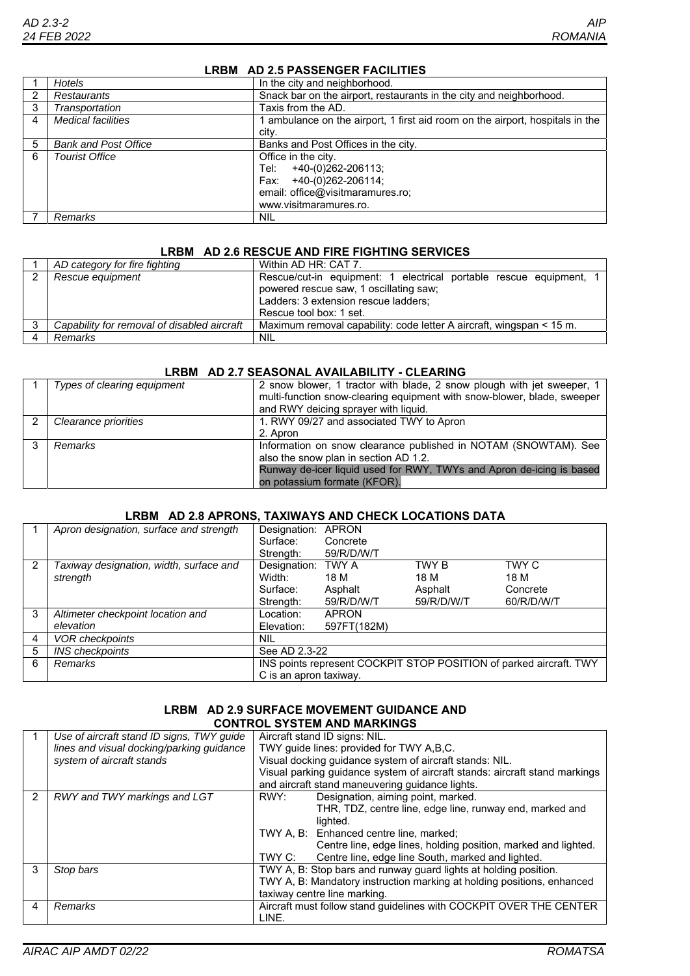#### **LRBM AD 2.5 PASSENGER FACILITIES**

|   | <b>Hotels</b>               | In the city and neighborhood.                                                 |
|---|-----------------------------|-------------------------------------------------------------------------------|
|   | <b>Restaurants</b>          | Snack bar on the airport, restaurants in the city and neighborhood.           |
| 3 | Transportation              | Taxis from the AD.                                                            |
| 4 | <b>Medical facilities</b>   | 1 ambulance on the airport, 1 first aid room on the airport, hospitals in the |
|   |                             | city.                                                                         |
| 5 | <b>Bank and Post Office</b> | Banks and Post Offices in the city.                                           |
| 6 | <b>Tourist Office</b>       | Office in the city.                                                           |
|   |                             | Tel: +40-(0)262-206113;                                                       |
|   |                             | Fax: $+40-(0)262-206114$ ;                                                    |
|   |                             | email: office@visitmaramures.ro;                                              |
|   |                             | www.visitmaramures.ro.                                                        |
|   | Remarks                     | NIL                                                                           |

#### **LRBM AD 2.6 RESCUE AND FIRE FIGHTING SERVICES**

| AD category for fire fighting               | Within AD HR: CAT 7.                                                                                                                                                            |
|---------------------------------------------|---------------------------------------------------------------------------------------------------------------------------------------------------------------------------------|
| Rescue equipment                            | Rescue/cut-in equipment: 1 electrical portable rescue equipment, 1<br>powered rescue saw, 1 oscillating saw;<br>Ladders: 3 extension rescue ladders;<br>Rescue tool box: 1 set. |
| Capability for removal of disabled aircraft | Maximum removal capability: code letter A aircraft, wingspan < 15 m.                                                                                                            |
| Remarks                                     | <b>NIL</b>                                                                                                                                                                      |

#### **LRBM AD 2.7 SEASONAL AVAILABILITY - CLEARING**

| Types of clearing equipment | 2 snow blower, 1 tractor with blade, 2 snow plough with jet sweeper, 1  |
|-----------------------------|-------------------------------------------------------------------------|
|                             | multi-function snow-clearing equipment with snow-blower, blade, sweeper |
|                             | and RWY deicing sprayer with liquid.                                    |
| Clearance priorities        | 1. RWY 09/27 and associated TWY to Apron                                |
|                             | 2. Apron                                                                |
| <b>Remarks</b>              | Information on snow clearance published in NOTAM (SNOWTAM). See         |
|                             | also the snow plan in section AD 1.2.                                   |
|                             | Runway de-icer liquid used for RWY, TWYs and Apron de-icing is based    |
|                             | on potassium formate (KFOR).                                            |

## **LRBM AD 2.8 APRONS, TAXIWAYS AND CHECK LOCATIONS DATA**

|                | Apron designation, surface and strength | Designation: APRON     |              |            |                                                                    |
|----------------|-----------------------------------------|------------------------|--------------|------------|--------------------------------------------------------------------|
|                |                                         | Surface:               | Concrete     |            |                                                                    |
|                |                                         | Strength:              | 59/R/D/W/T   |            |                                                                    |
| $\overline{2}$ | Taxiway designation, width, surface and | Designation: TWY A     |              | TWY B      | TWY C                                                              |
|                | strength                                | Width:                 | 18 M         | 18 M       | 18 M                                                               |
|                |                                         | Surface:               | Asphalt      | Asphalt    | Concrete                                                           |
|                |                                         | Strength:              | 59/R/D/W/T   | 59/R/D/W/T | 60/R/D/W/T                                                         |
| 3              | Altimeter checkpoint location and       | Location:              | <b>APRON</b> |            |                                                                    |
|                | elevation                               | Elevation:             | 597FT(182M)  |            |                                                                    |
| 4              | <b>VOR checkpoints</b>                  | <b>NIL</b>             |              |            |                                                                    |
| 5              | <b>INS checkpoints</b>                  | See AD 2.3-22          |              |            |                                                                    |
| 6              | Remarks                                 |                        |              |            | INS points represent COCKPIT STOP POSITION of parked aircraft. TWY |
|                |                                         | C is an apron taxiway. |              |            |                                                                    |

#### **LRBM AD 2.9 SURFACE MOVEMENT GUIDANCE AND CONTROL SYSTEM AND MARKINGS**

|               | Use of aircraft stand ID signs, TWY guide | Aircraft stand ID signs: NIL.                                              |  |  |
|---------------|-------------------------------------------|----------------------------------------------------------------------------|--|--|
|               | lines and visual docking/parking guidance | TWY guide lines: provided for TWY A,B,C.                                   |  |  |
|               | system of aircraft stands                 | Visual docking guidance system of aircraft stands: NIL.                    |  |  |
|               |                                           | Visual parking guidance system of aircraft stands: aircraft stand markings |  |  |
|               |                                           | and aircraft stand maneuvering guidance lights.                            |  |  |
| $\mathcal{P}$ | RWY and TWY markings and LGT              | Designation, aiming point, marked.<br>RWY:                                 |  |  |
|               |                                           | THR, TDZ, centre line, edge line, runway end, marked and                   |  |  |
|               |                                           | lighted.                                                                   |  |  |
|               |                                           | TWY A, B: Enhanced centre line, marked;                                    |  |  |
|               |                                           | Centre line, edge lines, holding position, marked and lighted.             |  |  |
|               |                                           | Centre line, edge line South, marked and lighted.<br>TWY C:                |  |  |
| 3             | Stop bars                                 | TWY A, B: Stop bars and runway guard lights at holding position.           |  |  |
|               |                                           | TWY A, B: Mandatory instruction marking at holding positions, enhanced     |  |  |
|               |                                           | taxiway centre line marking.                                               |  |  |
|               | Remarks                                   | Aircraft must follow stand guidelines with COCKPIT OVER THE CENTER         |  |  |
|               |                                           | LINE.                                                                      |  |  |
|               |                                           |                                                                            |  |  |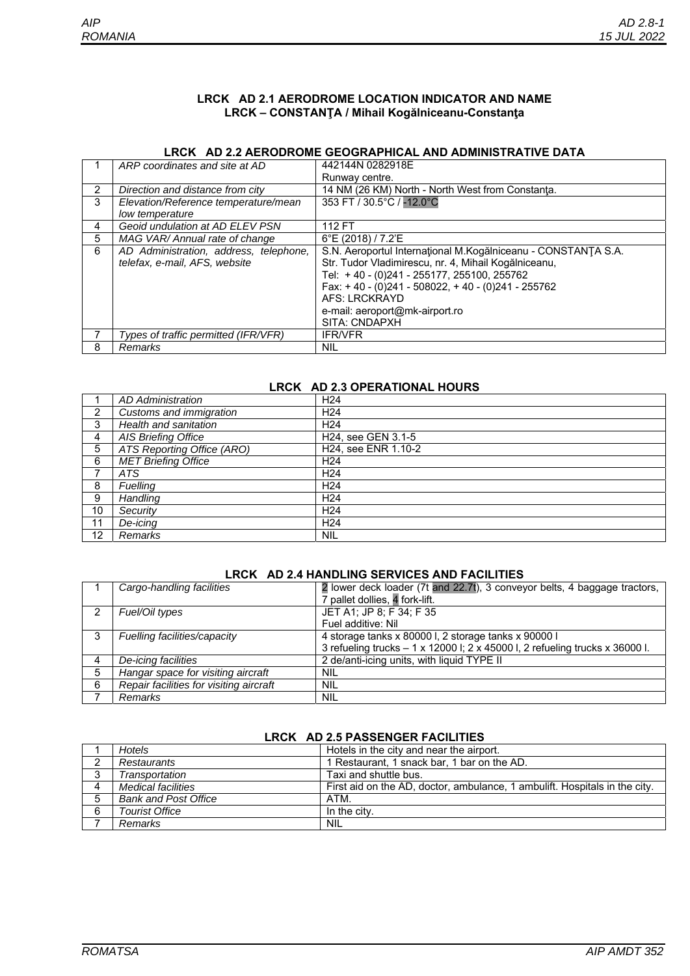## **LRCK AD 2.1 AERODROME LOCATION INDICATOR AND NAME LRCK – CONSTANŢA / Mihail Kogălniceanu-Constanţa**

|   |                                        | AP LIANS ALIVERNI LIDA DI TIMAL AND APIIIIN IN INTITLE PA      |
|---|----------------------------------------|----------------------------------------------------------------|
|   | ARP coordinates and site at AD         | 442144N 0282918E                                               |
|   |                                        | Runway centre.                                                 |
| 2 | Direction and distance from city       | 14 NM (26 KM) North - North West from Constanta.               |
| 3 | Elevation/Reference temperature/mean   | 353 FT / 30.5°C / -12.0°C                                      |
|   | low temperature                        |                                                                |
| 4 | Geoid undulation at AD ELEV PSN        | 112 FT                                                         |
| 5 | MAG VAR/Annual rate of change          | 6°E (2018) / 7.2'E                                             |
| 6 | AD Administration, address, telephone, | S.N. Aeroportul Internațional M. Kogălniceanu - CONSTANȚA S.A. |
|   | telefax, e-mail, AFS, website          | Str. Tudor Vladimirescu, nr. 4, Mihail Kogălniceanu,           |
|   |                                        | Tel: +40 - (0)241 - 255177, 255100, 255762                     |
|   |                                        | Fax: $+40 - (0)241 - 508022 + 40 - (0)241 - 255762$            |
|   |                                        | <b>AFS: LRCKRAYD</b>                                           |
|   |                                        | e-mail: aeroport@mk-airport.ro                                 |
|   |                                        | SITA: CNDAPXH                                                  |
|   | Types of traffic permitted (IFR/VFR)   | <b>IFR/VFR</b>                                                 |
| 8 | Remarks                                | NIL                                                            |

## **LRCK AD 2.2 AERODROME GEOGRAPHICAL AND ADMINISTRATIVE DATA**

## **LRCK AD 2.3 OPERATIONAL HOURS**

|                | <b>AD Administration</b>   | H <sub>24</sub>                  |
|----------------|----------------------------|----------------------------------|
| $\overline{2}$ | Customs and immigration    | H <sub>24</sub>                  |
| 3              | Health and sanitation      | H <sub>24</sub>                  |
| 4              | <b>AIS Briefing Office</b> | H24, see GEN 3.1-5               |
| 5              | ATS Reporting Office (ARO) | H <sub>24</sub> . see ENR 1.10-2 |
| 6              | <b>MET Briefing Office</b> | H <sub>24</sub>                  |
| ⇁              | ATS                        | H <sub>24</sub>                  |
| 8              | Fuelling                   | H <sub>24</sub>                  |
| 9              | Handling                   | H <sub>24</sub>                  |
| 10             | Security                   | H <sub>24</sub>                  |
| 11             | De-icing                   | H <sub>24</sub>                  |
| 12             | <b>Remarks</b>             | <b>NIL</b>                       |

#### **LRCK AD 2.4 HANDLING SERVICES AND FACILITIES**

|   | Cargo-handling facilities               | 2 lower deck loader (7t and 22.7t), 3 conveyor belts, 4 baggage tractors,    |
|---|-----------------------------------------|------------------------------------------------------------------------------|
|   |                                         | 7 pallet dollies, 4 fork-lift.                                               |
| 2 | Fuel/Oil types                          | JET A1; JP 8; F 34; F 35                                                     |
|   |                                         | Fuel additive: Nil                                                           |
| 3 | Fuelling facilities/capacity            | 4 storage tanks x 80000 l, 2 storage tanks x 90000 l                         |
|   |                                         | 3 refueling trucks - 1 x 12000 l; 2 x 45000 l, 2 refueling trucks x 36000 l. |
|   | De-icing facilities                     | 2 de/anti-icing units, with liquid TYPE II                                   |
| 5 | Hangar space for visiting aircraft      | NIL.                                                                         |
| 6 | Repair facilities for visiting aircraft | <b>NIL</b>                                                                   |
|   | <b>Remarks</b>                          | <b>NIL</b>                                                                   |

|   | <b>Hotels</b>               | Hotels in the city and near the airport.                                   |  |  |
|---|-----------------------------|----------------------------------------------------------------------------|--|--|
| 2 | Restaurants                 | 1 Restaurant, 1 snack bar, 1 bar on the AD.                                |  |  |
| 3 | Transportation              | Taxi and shuttle bus.                                                      |  |  |
| 4 | Medical facilities          | First aid on the AD, doctor, ambulance, 1 ambulift. Hospitals in the city. |  |  |
| 5 | <b>Bank and Post Office</b> | ATM.                                                                       |  |  |
| 6 | <b>Tourist Office</b>       | In the city.                                                               |  |  |
|   | Remarks                     | <b>NIL</b>                                                                 |  |  |

#### **LRCK AD 2.5 PASSENGER FACILITIES**